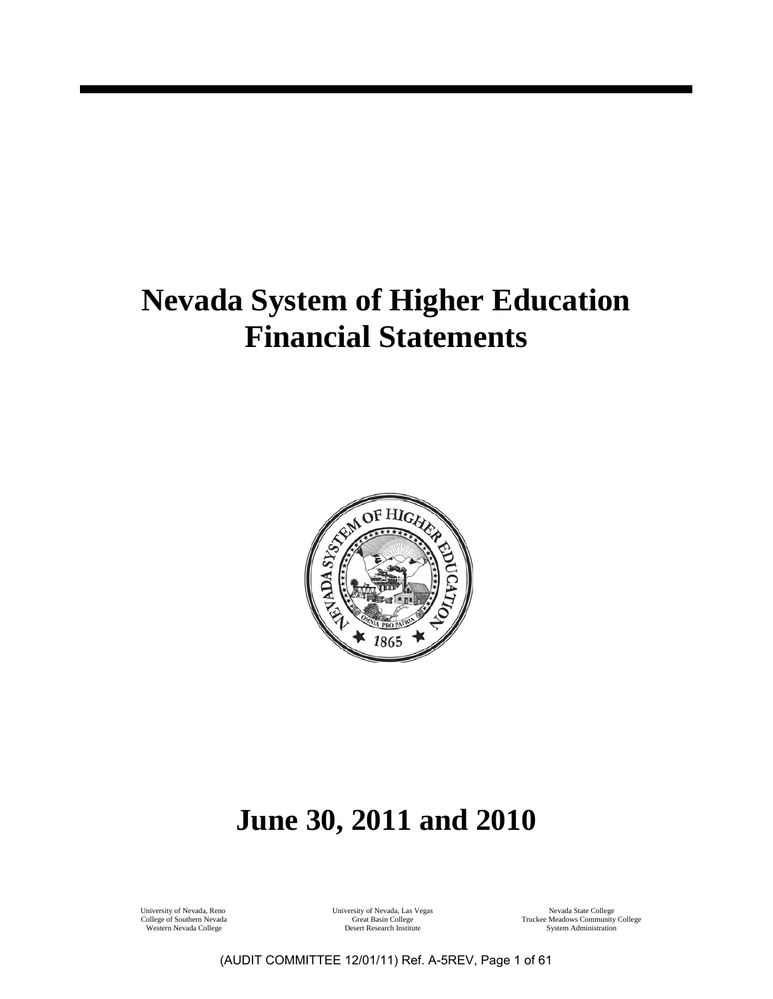# **Nevada System of Higher Education Financial Statements**



# **June 30, 2011 and 2010**

 University of Nevada, Reno College of Southern Nevada Western Nevada College

University of Nevada, Las Vegas Great Basin College Desert Research Institute

Nevada State College Truckee Meadows Community College System Administration

(AUDIT COMMITTEE 12/01/11) Ref. A-5REV, Page 1 of 61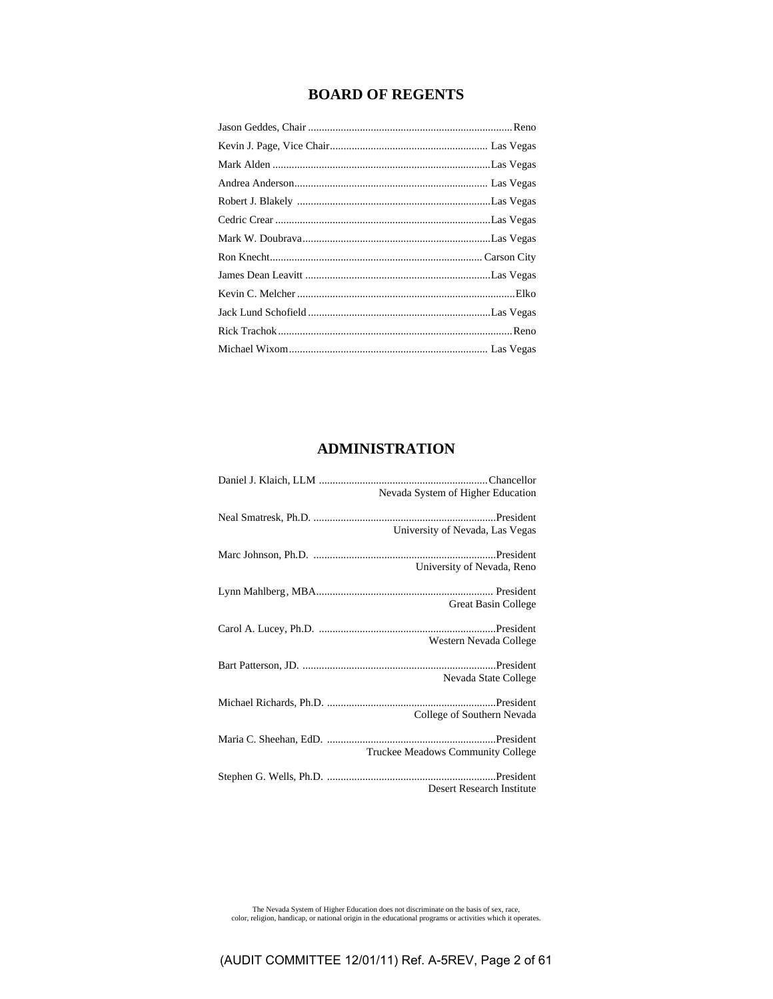### **BOARD OF REGENTS**

### **ADMINISTRATION**

| Nevada System of Higher Education |
|-----------------------------------|
|                                   |
|                                   |
| University of Nevada, Las Vegas   |
|                                   |
| University of Nevada, Reno        |
|                                   |
|                                   |
| <b>Great Basin College</b>        |
|                                   |
|                                   |
| Western Nevada College            |
|                                   |
|                                   |
| Nevada State College              |
|                                   |
|                                   |
| College of Southern Nevada        |
|                                   |
| Truckee Meadows Community College |
|                                   |
|                                   |
| Desert Research Institute         |

The Nevada System of Higher Education does not discriminate on the basis of sex, race, color, religion, handicap, or national origin in the educational programs or activities which it operates.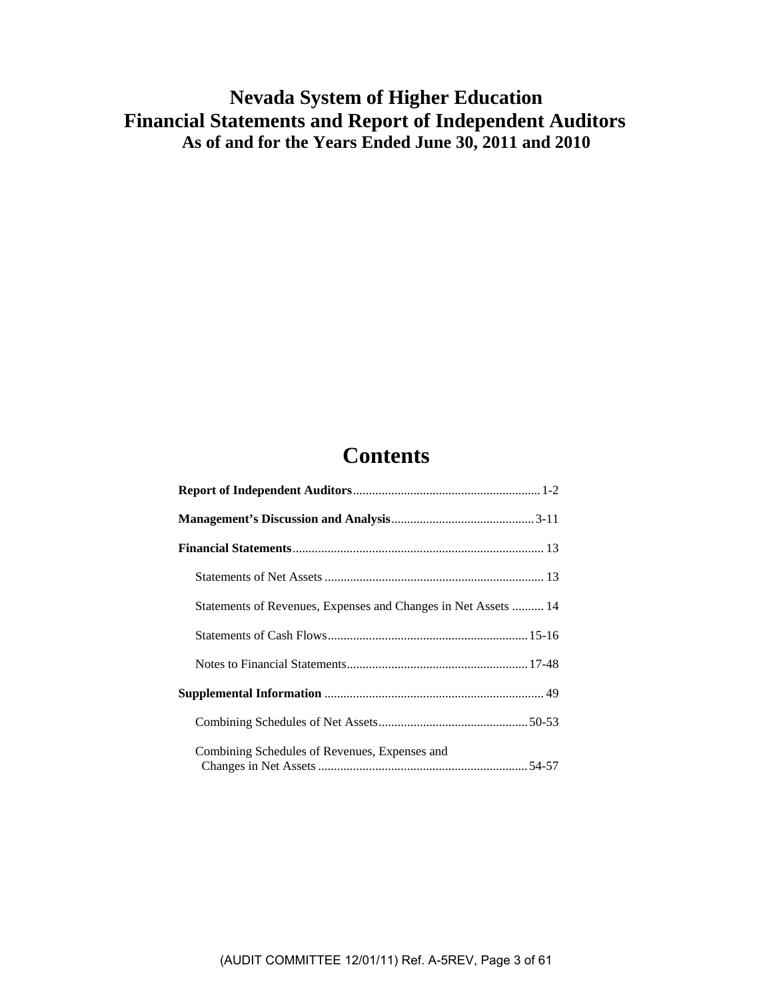## **Nevada System of Higher Education Financial Statements and Report of Independent Auditors As of and for the Years Ended June 30, 2011 and 2010**

# **Contents**

| Statements of Revenues, Expenses and Changes in Net Assets  14 |
|----------------------------------------------------------------|
|                                                                |
|                                                                |
|                                                                |
|                                                                |
| Combining Schedules of Revenues, Expenses and                  |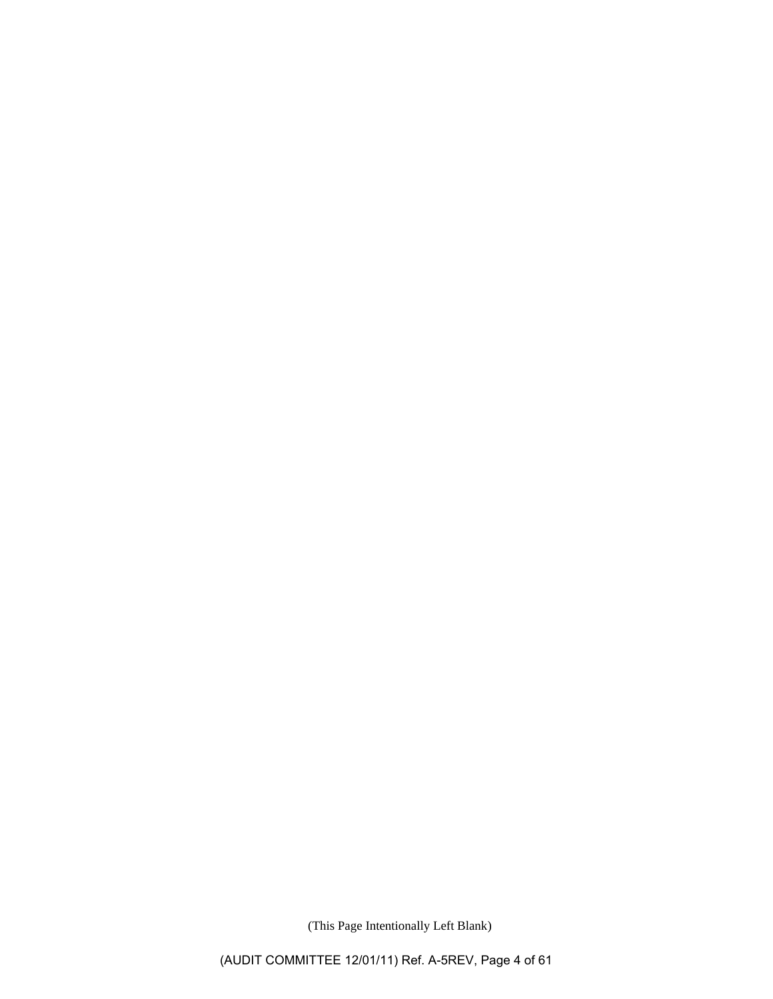(This Page Intentionally Left Blank)

(AUDIT COMMITTEE 12/01/11) Ref. A-5REV, Page 4 of 61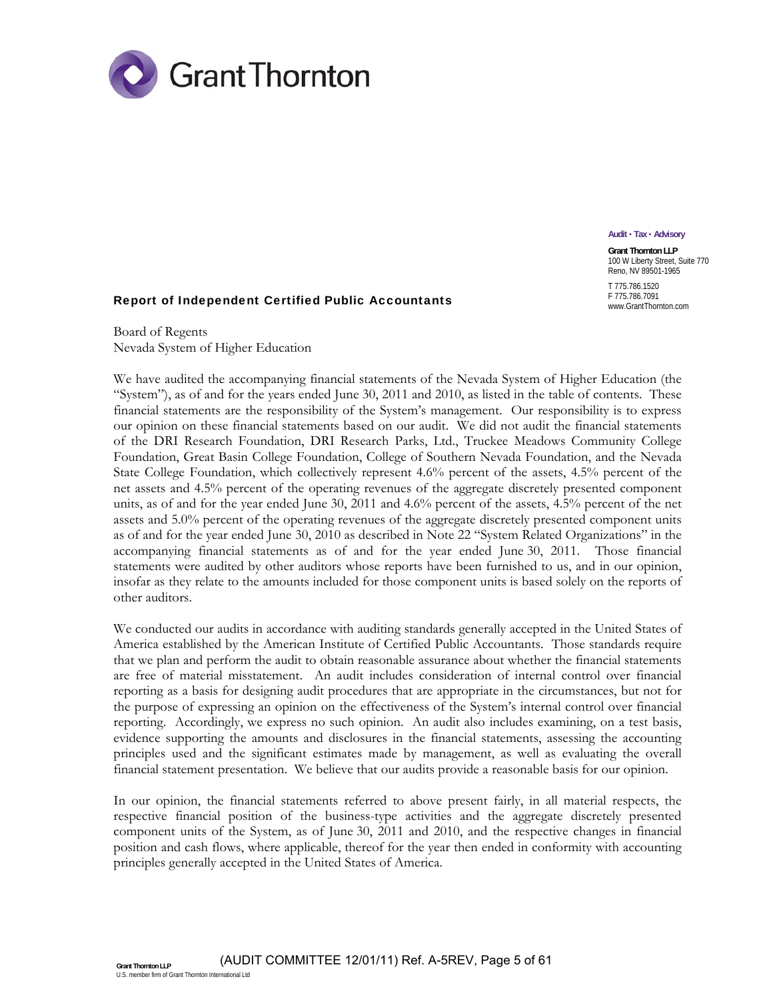

**Audit Tax Advisory** 

**Grant Thornton LLP**  100 W Liberty Street, Suite 770 Reno, NV 89501-1965 T 775.786.1520

### **Report of Independent Certified Public Accountants Report of Independent Certified Public Accountants**

Board of Regents Nevada System of Higher Education

We have audited the accompanying financial statements of the Nevada System of Higher Education (the "System"), as of and for the years ended June 30, 2011 and 2010, as listed in the table of contents. These financial statements are the responsibility of the System's management. Our responsibility is to express our opinion on these financial statements based on our audit. We did not audit the financial statements of the DRI Research Foundation, DRI Research Parks, Ltd., Truckee Meadows Community College Foundation, Great Basin College Foundation, College of Southern Nevada Foundation, and the Nevada State College Foundation, which collectively represent 4.6% percent of the assets, 4.5% percent of the net assets and 4.5% percent of the operating revenues of the aggregate discretely presented component units, as of and for the year ended June 30, 2011 and 4.6% percent of the assets, 4.5% percent of the net assets and 5.0% percent of the operating revenues of the aggregate discretely presented component units as of and for the year ended June 30, 2010 as described in Note 22 "System Related Organizations" in the accompanying financial statements as of and for the year ended June 30, 2011. Those financial statements were audited by other auditors whose reports have been furnished to us, and in our opinion, insofar as they relate to the amounts included for those component units is based solely on the reports of other auditors.

We conducted our audits in accordance with auditing standards generally accepted in the United States of America established by the American Institute of Certified Public Accountants. Those standards require that we plan and perform the audit to obtain reasonable assurance about whether the financial statements are free of material misstatement. An audit includes consideration of internal control over financial reporting as a basis for designing audit procedures that are appropriate in the circumstances, but not for the purpose of expressing an opinion on the effectiveness of the System's internal control over financial reporting. Accordingly, we express no such opinion. An audit also includes examining, on a test basis, evidence supporting the amounts and disclosures in the financial statements, assessing the accounting principles used and the significant estimates made by management, as well as evaluating the overall financial statement presentation. We believe that our audits provide a reasonable basis for our opinion.

In our opinion, the financial statements referred to above present fairly, in all material respects, the respective financial position of the business-type activities and the aggregate discretely presented component units of the System, as of June 30, 2011 and 2010, and the respective changes in financial position and cash flows, where applicable, thereof for the year then ended in conformity with accounting principles generally accepted in the United States of America.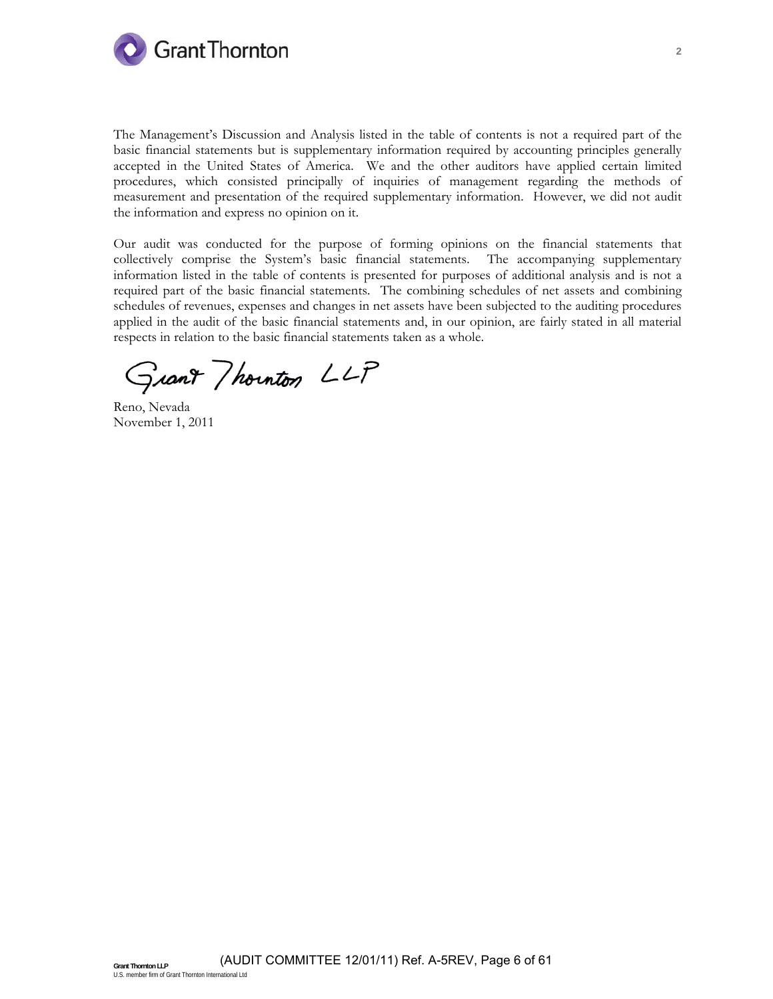

The Management's Discussion and Analysis listed in the table of contents is not a required part of the basic financial statements but is supplementary information required by accounting principles generally accepted in the United States of America. We and the other auditors have applied certain limited procedures, which consisted principally of inquiries of management regarding the methods of measurement and presentation of the required supplementary information. However, we did not audit the information and express no opinion on it.

Our audit was conducted for the purpose of forming opinions on the financial statements that collectively comprise the System's basic financial statements. The accompanying supplementary information listed in the table of contents is presented for purposes of additional analysis and is not a required part of the basic financial statements. The combining schedules of net assets and combining schedules of revenues, expenses and changes in net assets have been subjected to the auditing procedures applied in the audit of the basic financial statements and, in our opinion, are fairly stated in all material respects in relation to the basic financial statements taken as a whole.

Grant Thounton LLP

Reno, Nevada November 1, 2011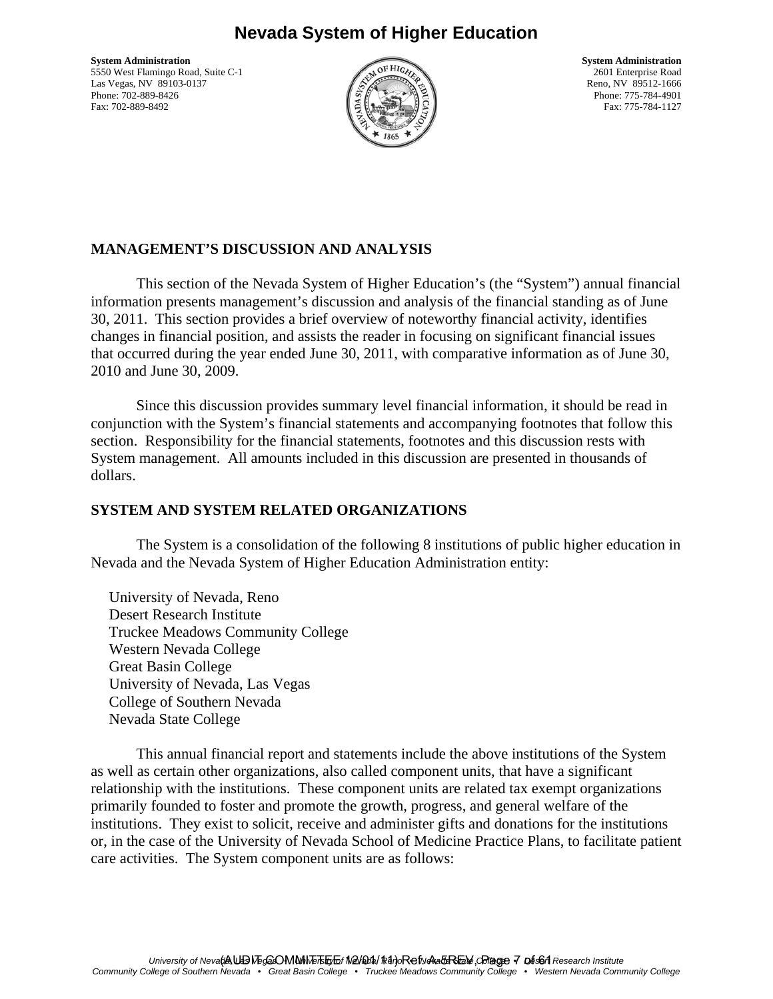## **Nevada System of Higher Education**

**System Administration**<br> **System Administration**<br> **System Administration**<br>  $\overbrace{ }$  (Of HIG). 5550 West Flamingo Road, Suite C-1 2601 Enterprise Road Las Vegas, NV 89103-0137 Reno, NV 89512-1666<br>Phone: 702-889-8426 Phone: 775-784-4901 Phone: 702-889-8426 Phone: 775-784-4901



Fax: 775-784-1127

### **MANAGEMENT'S DISCUSSION AND ANALYSIS**

This section of the Nevada System of Higher Education's (the "System") annual financial information presents management's discussion and analysis of the financial standing as of June 30, 2011. This section provides a brief overview of noteworthy financial activity, identifies changes in financial position, and assists the reader in focusing on significant financial issues that occurred during the year ended June 30, 2011, with comparative information as of June 30, 2010 and June 30, 2009.

Since this discussion provides summary level financial information, it should be read in conjunction with the System's financial statements and accompanying footnotes that follow this section. Responsibility for the financial statements, footnotes and this discussion rests with System management. All amounts included in this discussion are presented in thousands of dollars.

### **SYSTEM AND SYSTEM RELATED ORGANIZATIONS**

 The System is a consolidation of the following 8 institutions of public higher education in Nevada and the Nevada System of Higher Education Administration entity:

University of Nevada, Reno Desert Research Institute Truckee Meadows Community College Western Nevada College Great Basin College University of Nevada, Las Vegas College of Southern Nevada Nevada State College

 This annual financial report and statements include the above institutions of the System as well as certain other organizations, also called component units, that have a significant relationship with the institutions. These component units are related tax exempt organizations primarily founded to foster and promote the growth, progress, and general welfare of the institutions. They exist to solicit, receive and administer gifts and donations for the institutions or, in the case of the University of Nevada School of Medicine Practice Plans, to facilitate patient care activities. The System component units are as follows: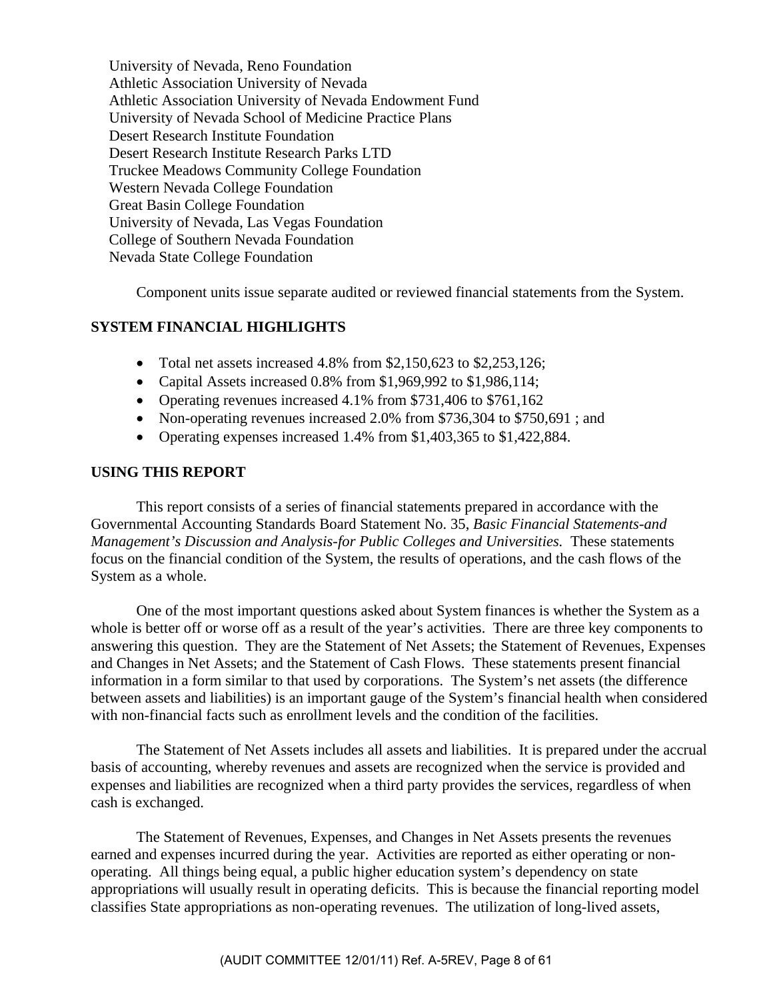University of Nevada, Reno Foundation Athletic Association University of Nevada Athletic Association University of Nevada Endowment Fund University of Nevada School of Medicine Practice Plans Desert Research Institute Foundation Desert Research Institute Research Parks LTD Truckee Meadows Community College Foundation Western Nevada College Foundation Great Basin College Foundation University of Nevada, Las Vegas Foundation College of Southern Nevada Foundation Nevada State College Foundation

Component units issue separate audited or reviewed financial statements from the System.

### **SYSTEM FINANCIAL HIGHLIGHTS**

- Total net assets increased  $4.8\%$  from \$2,150,623 to \$2,253,126;
- Capital Assets increased  $0.8\%$  from \$1,969,992 to \$1,986,114;
- Operating revenues increased 4.1% from \$731,406 to \$761,162
- Non-operating revenues increased 2.0% from \$736,304 to \$750,691; and
- Operating expenses increased 1.4% from \$1,403,365 to \$1,422,884.

### **USING THIS REPORT**

 This report consists of a series of financial statements prepared in accordance with the Governmental Accounting Standards Board Statement No. 35, *Basic Financial Statements-and Management's Discussion and Analysis-for Public Colleges and Universities.* These statements focus on the financial condition of the System, the results of operations, and the cash flows of the System as a whole.

 One of the most important questions asked about System finances is whether the System as a whole is better off or worse off as a result of the year's activities. There are three key components to answering this question. They are the Statement of Net Assets; the Statement of Revenues, Expenses and Changes in Net Assets; and the Statement of Cash Flows. These statements present financial information in a form similar to that used by corporations. The System's net assets (the difference between assets and liabilities) is an important gauge of the System's financial health when considered with non-financial facts such as enrollment levels and the condition of the facilities.

The Statement of Net Assets includes all assets and liabilities. It is prepared under the accrual basis of accounting, whereby revenues and assets are recognized when the service is provided and expenses and liabilities are recognized when a third party provides the services, regardless of when cash is exchanged.

The Statement of Revenues, Expenses, and Changes in Net Assets presents the revenues earned and expenses incurred during the year. Activities are reported as either operating or nonoperating. All things being equal, a public higher education system's dependency on state appropriations will usually result in operating deficits. This is because the financial reporting model classifies State appropriations as non-operating revenues. The utilization of long-lived assets,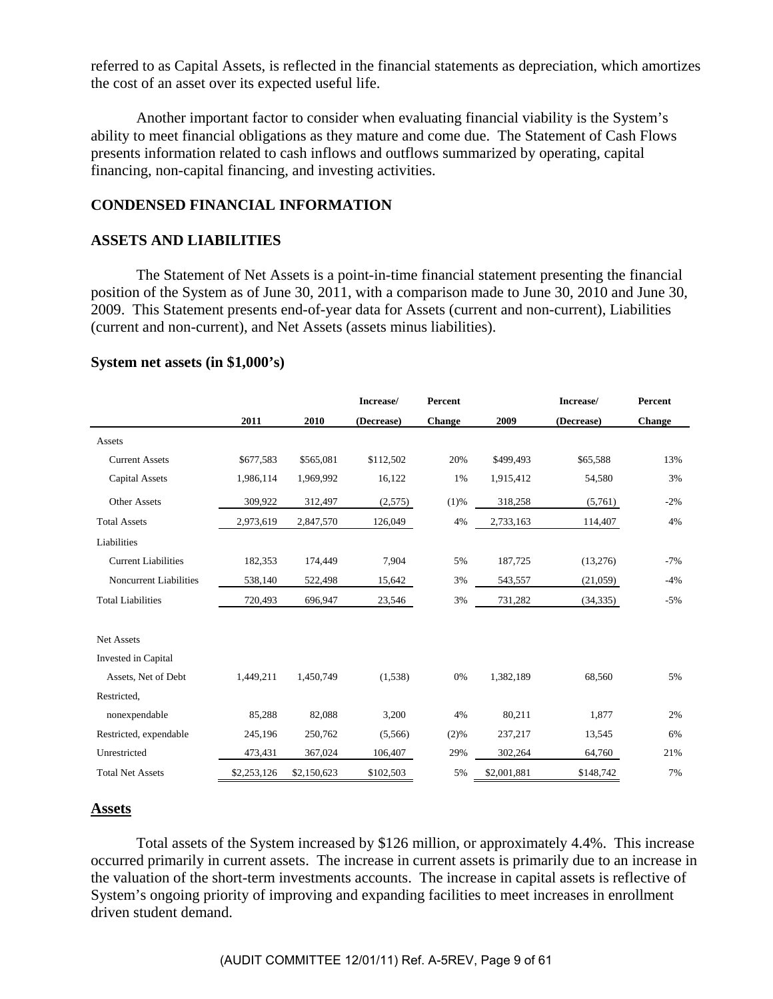referred to as Capital Assets, is reflected in the financial statements as depreciation, which amortizes the cost of an asset over its expected useful life.

Another important factor to consider when evaluating financial viability is the System's ability to meet financial obligations as they mature and come due. The Statement of Cash Flows presents information related to cash inflows and outflows summarized by operating, capital financing, non-capital financing, and investing activities.

### **CONDENSED FINANCIAL INFORMATION**

### **ASSETS AND LIABILITIES**

 The Statement of Net Assets is a point-in-time financial statement presenting the financial position of the System as of June 30, 2011, with a comparison made to June 30, 2010 and June 30, 2009. This Statement presents end-of-year data for Assets (current and non-current), Liabilities (current and non-current), and Net Assets (assets minus liabilities).

|                            |             |             | Increase/  | Percent       |             | Increase/  | Percent |
|----------------------------|-------------|-------------|------------|---------------|-------------|------------|---------|
|                            | 2011        | 2010        | (Decrease) | <b>Change</b> | 2009        | (Decrease) | Change  |
| Assets                     |             |             |            |               |             |            |         |
| <b>Current Assets</b>      | \$677,583   | \$565,081   | \$112,502  | 20%           | \$499,493   | \$65,588   | 13%     |
| <b>Capital Assets</b>      | 1,986,114   | 1,969,992   | 16,122     | 1%            | 1,915,412   | 54,580     | 3%      |
| <b>Other Assets</b>        | 309,922     | 312,497     | (2,575)    | (1)%          | 318,258     | (5,761)    | $-2%$   |
| <b>Total Assets</b>        | 2,973,619   | 2,847,570   | 126,049    | 4%            | 2,733,163   | 114,407    | 4%      |
| Liabilities                |             |             |            |               |             |            |         |
| <b>Current Liabilities</b> | 182,353     | 174,449     | 7,904      | 5%            | 187,725     | (13,276)   | $-7%$   |
| Noncurrent Liabilities     | 538,140     | 522,498     | 15,642     | 3%            | 543,557     | (21,059)   | $-4%$   |
| <b>Total Liabilities</b>   | 720,493     | 696,947     | 23,546     | 3%            | 731,282     | (34, 335)  | $-5%$   |
| Net Assets                 |             |             |            |               |             |            |         |
| Invested in Capital        |             |             |            |               |             |            |         |
| Assets, Net of Debt        | 1,449,211   | 1,450,749   | (1,538)    | 0%            | 1,382,189   | 68,560     | 5%      |
| Restricted,                |             |             |            |               |             |            |         |
| nonexpendable              | 85,288      | 82,088      | 3,200      | 4%            | 80,211      | 1,877      | 2%      |
| Restricted, expendable     | 245,196     | 250,762     | (5,566)    | (2)%          | 237,217     | 13,545     | 6%      |
| Unrestricted               | 473,431     | 367,024     | 106,407    | 29%           | 302,264     | 64,760     | 21%     |
| <b>Total Net Assets</b>    | \$2,253,126 | \$2,150,623 | \$102,503  | 5%            | \$2,001,881 | \$148,742  | 7%      |

### **System net assets (in \$1,000's)**

### **Assets**

 Total assets of the System increased by \$126 million, or approximately 4.4%. This increase occurred primarily in current assets. The increase in current assets is primarily due to an increase in the valuation of the short-term investments accounts. The increase in capital assets is reflective of System's ongoing priority of improving and expanding facilities to meet increases in enrollment driven student demand.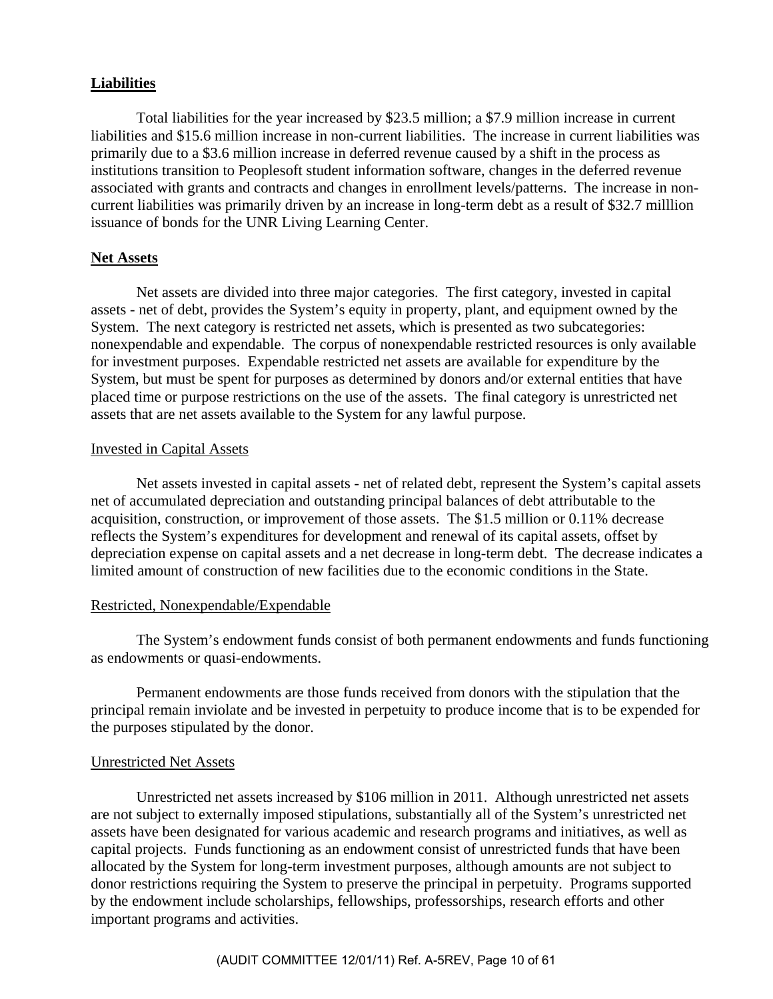### **Liabilities**

Total liabilities for the year increased by \$23.5 million; a \$7.9 million increase in current liabilities and \$15.6 million increase in non-current liabilities. The increase in current liabilities was primarily due to a \$3.6 million increase in deferred revenue caused by a shift in the process as institutions transition to Peoplesoft student information software, changes in the deferred revenue associated with grants and contracts and changes in enrollment levels/patterns. The increase in noncurrent liabilities was primarily driven by an increase in long-term debt as a result of \$32.7 milllion issuance of bonds for the UNR Living Learning Center.

### **Net Assets**

Net assets are divided into three major categories. The first category, invested in capital assets - net of debt, provides the System's equity in property, plant, and equipment owned by the System. The next category is restricted net assets, which is presented as two subcategories: nonexpendable and expendable. The corpus of nonexpendable restricted resources is only available for investment purposes. Expendable restricted net assets are available for expenditure by the System, but must be spent for purposes as determined by donors and/or external entities that have placed time or purpose restrictions on the use of the assets. The final category is unrestricted net assets that are net assets available to the System for any lawful purpose.

### Invested in Capital Assets

Net assets invested in capital assets - net of related debt, represent the System's capital assets net of accumulated depreciation and outstanding principal balances of debt attributable to the acquisition, construction, or improvement of those assets. The \$1.5 million or 0.11% decrease reflects the System's expenditures for development and renewal of its capital assets, offset by depreciation expense on capital assets and a net decrease in long-term debt. The decrease indicates a limited amount of construction of new facilities due to the economic conditions in the State.

### Restricted, Nonexpendable/Expendable

The System's endowment funds consist of both permanent endowments and funds functioning as endowments or quasi-endowments.

Permanent endowments are those funds received from donors with the stipulation that the principal remain inviolate and be invested in perpetuity to produce income that is to be expended for the purposes stipulated by the donor.

### Unrestricted Net Assets

Unrestricted net assets increased by \$106 million in 2011. Although unrestricted net assets are not subject to externally imposed stipulations, substantially all of the System's unrestricted net assets have been designated for various academic and research programs and initiatives, as well as capital projects. Funds functioning as an endowment consist of unrestricted funds that have been allocated by the System for long-term investment purposes, although amounts are not subject to donor restrictions requiring the System to preserve the principal in perpetuity. Programs supported by the endowment include scholarships, fellowships, professorships, research efforts and other important programs and activities.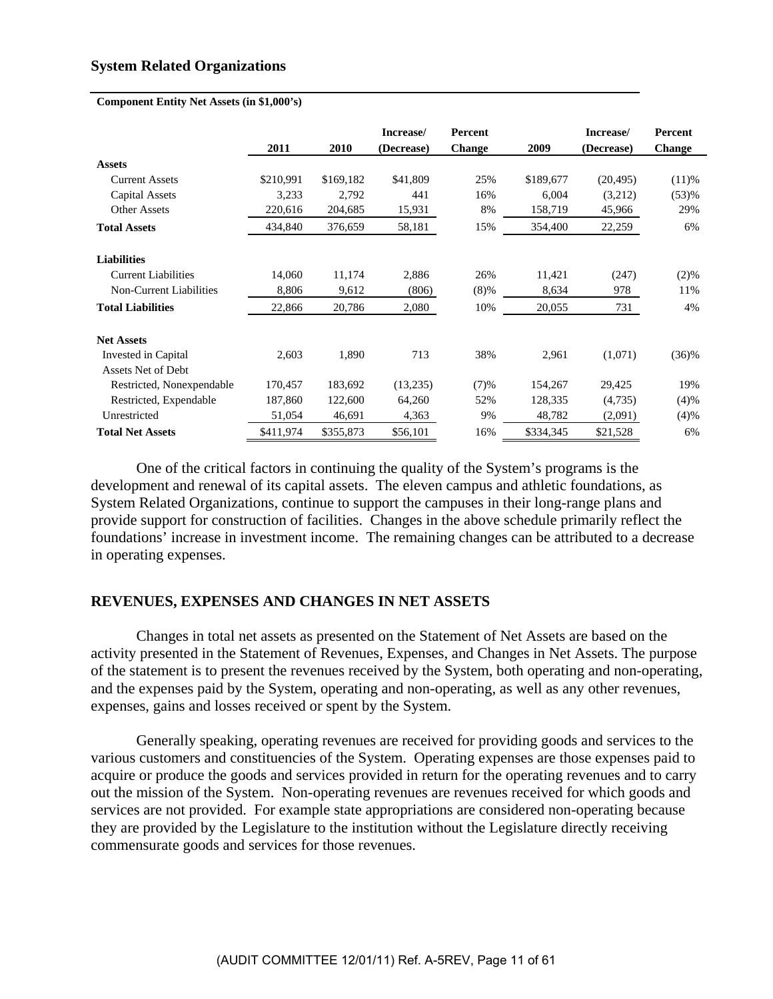### **System Related Organizations**

|                            |           |           | Increase/  | Percent       |           | Increase/  | Percent       |
|----------------------------|-----------|-----------|------------|---------------|-----------|------------|---------------|
|                            | 2011      | 2010      | (Decrease) | <b>Change</b> | 2009      | (Decrease) | <b>Change</b> |
| <b>Assets</b>              |           |           |            |               |           |            |               |
| <b>Current Assets</b>      | \$210,991 | \$169,182 | \$41,809   | 25%           | \$189,677 | (20, 495)  | (11)%         |
| <b>Capital Assets</b>      | 3,233     | 2,792     | 441        | 16%           | 6,004     | (3,212)    | (53)%         |
| <b>Other Assets</b>        | 220,616   | 204,685   | 15,931     | 8%            | 158,719   | 45,966     | 29%           |
| <b>Total Assets</b>        | 434,840   | 376,659   | 58,181     | 15%           | 354,400   | 22,259     | 6%            |
| <b>Liabilities</b>         |           |           |            |               |           |            |               |
| <b>Current Liabilities</b> | 14,060    | 11,174    | 2,886      | 26%           | 11,421    | (247)      | (2)%          |
| Non-Current Liabilities    | 8,806     | 9,612     | (806)      | (8)%          | 8,634     | 978        | 11%           |
| <b>Total Liabilities</b>   | 22,866    | 20,786    | 2,080      | 10%           | 20.055    | 731        | 4%            |
| <b>Net Assets</b>          |           |           |            |               |           |            |               |
| Invested in Capital        | 2,603     | 1,890     | 713        | 38%           | 2,961     | (1,071)    | $(36)\%$      |
| Assets Net of Debt         |           |           |            |               |           |            |               |
| Restricted, Nonexpendable  | 170,457   | 183,692   | (13,235)   | (7)%          | 154,267   | 29,425     | 19%           |
| Restricted, Expendable     | 187,860   | 122,600   | 64,260     | 52%           | 128,335   | (4,735)    | (4)%          |
| Unrestricted               | 51,054    | 46,691    | 4,363      | 9%            | 48,782    | (2,091)    | (4)%          |
| <b>Total Net Assets</b>    | \$411,974 | \$355,873 | \$56,101   | 16%           | \$334,345 | \$21,528   | 6%            |

**Component Entity Net Assets (in \$1,000's)** 

 One of the critical factors in continuing the quality of the System's programs is the development and renewal of its capital assets. The eleven campus and athletic foundations, as System Related Organizations, continue to support the campuses in their long-range plans and provide support for construction of facilities. Changes in the above schedule primarily reflect the foundations' increase in investment income. The remaining changes can be attributed to a decrease in operating expenses.

### **REVENUES, EXPENSES AND CHANGES IN NET ASSETS**

Changes in total net assets as presented on the Statement of Net Assets are based on the activity presented in the Statement of Revenues, Expenses, and Changes in Net Assets. The purpose of the statement is to present the revenues received by the System, both operating and non-operating, and the expenses paid by the System, operating and non-operating, as well as any other revenues, expenses, gains and losses received or spent by the System.

Generally speaking, operating revenues are received for providing goods and services to the various customers and constituencies of the System. Operating expenses are those expenses paid to acquire or produce the goods and services provided in return for the operating revenues and to carry out the mission of the System. Non-operating revenues are revenues received for which goods and services are not provided. For example state appropriations are considered non-operating because they are provided by the Legislature to the institution without the Legislature directly receiving commensurate goods and services for those revenues.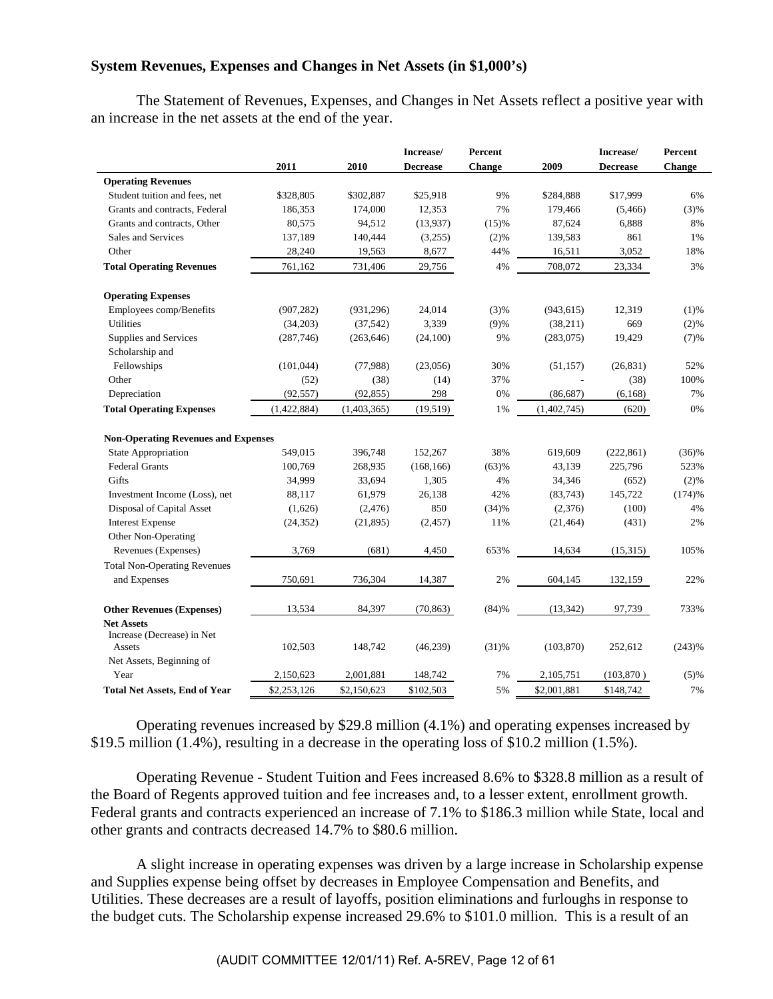### **System Revenues, Expenses and Changes in Net Assets (in \$1,000's)**

The Statement of Revenues, Expenses, and Changes in Net Assets reflect a positive year with an increase in the net assets at the end of the year.

|                                            |             |             | Increase/       | Percent |             | Increase/       | Percent       |
|--------------------------------------------|-------------|-------------|-----------------|---------|-------------|-----------------|---------------|
|                                            | 2011        | 2010        | <b>Decrease</b> | Change  | 2009        | <b>Decrease</b> | <b>Change</b> |
| <b>Operating Revenues</b>                  |             |             |                 |         |             |                 |               |
| Student tuition and fees, net              | \$328,805   | \$302,887   | \$25,918        | 9%      | \$284,888   | \$17,999        | 6%            |
| Grants and contracts, Federal              | 186,353     | 174,000     | 12,353          | 7%      | 179,466     | (5,466)         | (3)%          |
| Grants and contracts, Other                | 80,575      | 94,512      | (13,937)        | (15)%   | 87,624      | 6,888           | 8%            |
| Sales and Services                         | 137,189     | 140,444     | (3,255)         | (2)%    | 139,583     | 861             | 1%            |
| Other                                      | 28,240      | 19,563      | 8,677           | 44%     | 16,511      | 3,052           | 18%           |
| <b>Total Operating Revenues</b>            | 761,162     | 731,406     | 29,756          | 4%      | 708,072     | 23,334          | 3%            |
| <b>Operating Expenses</b>                  |             |             |                 |         |             |                 |               |
| Employees comp/Benefits                    | (907, 282)  | (931, 296)  | 24,014          | (3)%    | (943, 615)  | 12,319          | (1)%          |
| Utilities                                  | (34,203)    | (37, 542)   | 3,339           | (9)%    | (38,211)    | 669             | (2)%          |
| Supplies and Services                      | (287,746)   | (263, 646)  | (24,100)        | 9%      | (283,075)   | 19,429          | (7)%          |
| Scholarship and                            |             |             |                 |         |             |                 |               |
| Fellowships                                | (101, 044)  | (77,988)    | (23,056)        | 30%     | (51, 157)   | (26, 831)       | 52%           |
| Other                                      | (52)        | (38)        | (14)            | 37%     |             | (38)            | 100%          |
| Depreciation                               | (92, 557)   | (92, 855)   | 298             | $0\%$   | (86, 687)   | (6,168)         | 7%            |
| <b>Total Operating Expenses</b>            | (1,422,884) | (1,403,365) | (19, 519)       | 1%      | (1,402,745) | (620)           | 0%            |
| <b>Non-Operating Revenues and Expenses</b> |             |             |                 |         |             |                 |               |
| <b>State Appropriation</b>                 | 549,015     | 396,748     | 152,267         | 38%     | 619,609     | (222, 861)      | (36)%         |
| <b>Federal Grants</b>                      | 100,769     | 268,935     | (168, 166)      | (63)%   | 43,139      | 225,796         | 523%          |
| Gifts                                      | 34,999      | 33,694      | 1,305           | 4%      | 34,346      | (652)           | (2)%          |
| Investment Income (Loss), net              | 88,117      | 61,979      | 26,138          | 42%     | (83, 743)   | 145,722         | (174)%        |
| Disposal of Capital Asset                  | (1,626)     | (2, 476)    | 850             | (34)%   | (2,376)     | (100)           | 4%            |
| <b>Interest Expense</b>                    | (24, 352)   | (21,895)    | (2, 457)        | 11%     | (21, 464)   | (431)           | 2%            |
| Other Non-Operating                        |             |             |                 |         |             |                 |               |
| Revenues (Expenses)                        | 3,769       | (681)       | 4,450           | 653%    | 14,634      | (15,315)        | 105%          |
| <b>Total Non-Operating Revenues</b>        |             |             |                 |         |             |                 |               |
| and Expenses                               | 750,691     | 736,304     | 14,387          | 2%      | 604.145     | 132,159         | 22%           |
| <b>Other Revenues (Expenses)</b>           | 13,534      | 84,397      | (70, 863)       | (84)%   | (13, 342)   | 97,739          | 733%          |
| <b>Net Assets</b>                          |             |             |                 |         |             |                 |               |
| Increase (Decrease) in Net                 |             |             |                 |         |             |                 |               |
| Assets                                     | 102,503     | 148,742     | (46, 239)       | (31)%   | (103, 870)  | 252,612         | (243)%        |
| Net Assets, Beginning of                   |             |             |                 |         |             |                 |               |
| Year                                       | 2,150,623   | 2,001,881   | 148,742         | 7%      | 2,105,751   | (103, 870)      | (5)%          |
| <b>Total Net Assets, End of Year</b>       | \$2,253,126 | \$2,150,623 | \$102,503       | 5%      | \$2,001,881 | \$148,742       | 7%            |

Operating revenues increased by \$29.8 million (4.1%) and operating expenses increased by \$19.5 million (1.4%), resulting in a decrease in the operating loss of \$10.2 million (1.5%).

Operating Revenue - Student Tuition and Fees increased 8.6% to \$328.8 million as a result of the Board of Regents approved tuition and fee increases and, to a lesser extent, enrollment growth. Federal grants and contracts experienced an increase of 7.1% to \$186.3 million while State, local and other grants and contracts decreased 14.7% to \$80.6 million.

A slight increase in operating expenses was driven by a large increase in Scholarship expense and Supplies expense being offset by decreases in Employee Compensation and Benefits, and Utilities. These decreases are a result of layoffs, position eliminations and furloughs in response to the budget cuts. The Scholarship expense increased 29.6% to \$101.0 million. This is a result of an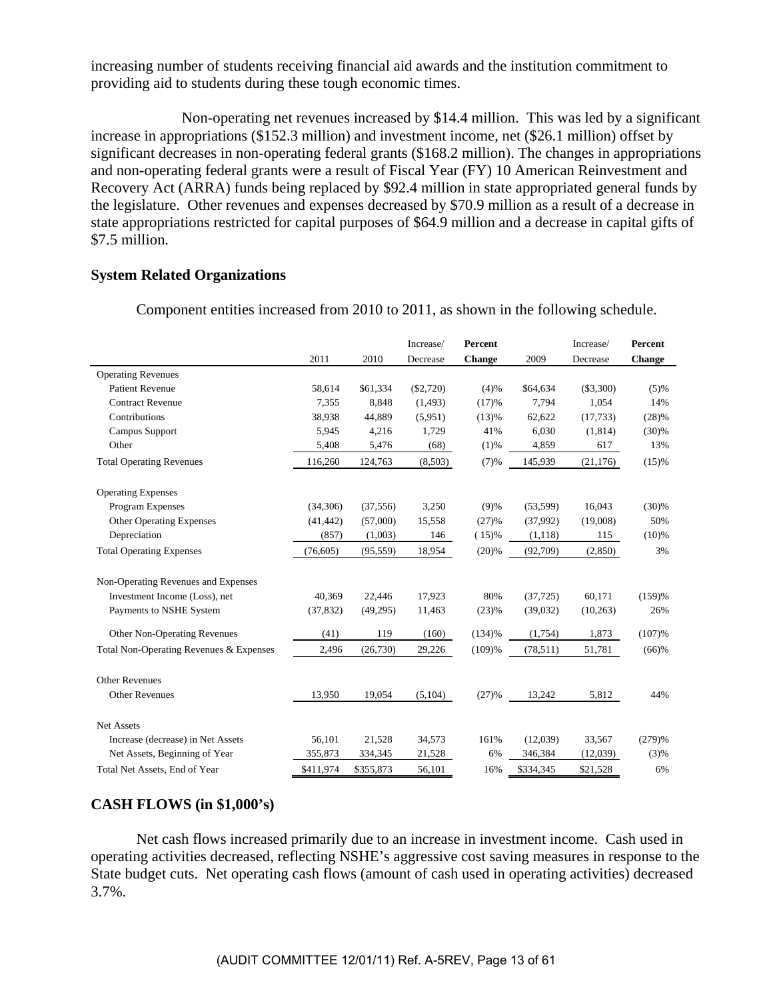increasing number of students receiving financial aid awards and the institution commitment to providing aid to students during these tough economic times.

 Non-operating net revenues increased by \$14.4 million. This was led by a significant increase in appropriations (\$152.3 million) and investment income, net (\$26.1 million) offset by significant decreases in non-operating federal grants (\$168.2 million). The changes in appropriations and non-operating federal grants were a result of Fiscal Year (FY) 10 American Reinvestment and Recovery Act (ARRA) funds being replaced by \$92.4 million in state appropriated general funds by the legislature. Other revenues and expenses decreased by \$70.9 million as a result of a decrease in state appropriations restricted for capital purposes of \$64.9 million and a decrease in capital gifts of \$7.5 million.

### **System Related Organizations**

|                                         |           |           | Increase/   | Percent  |           | Increase/ | Percent       |
|-----------------------------------------|-----------|-----------|-------------|----------|-----------|-----------|---------------|
|                                         | 2011      | 2010      | Decrease    | Change   | 2009      | Decrease  | <b>Change</b> |
| <b>Operating Revenues</b>               |           |           |             |          |           |           |               |
| <b>Patient Revenue</b>                  | 58,614    | \$61,334  | $(\$2,720)$ | (4)%     | \$64,634  | (\$3,300) | (5)%          |
| <b>Contract Revenue</b>                 | 7,355     | 8,848     | (1, 493)    | (17)%    | 7,794     | 1,054     | 14%           |
| Contributions                           | 38,938    | 44,889    | (5,951)     | (13)%    | 62,622    | (17, 733) | (28)%         |
| Campus Support                          | 5,945     | 4,216     | 1,729       | 41%      | 6,030     | (1, 814)  | (30)%         |
| Other                                   | 5,408     | 5,476     | (68)        | (1)%     | 4,859     | 617       | 13%           |
| <b>Total Operating Revenues</b>         | 116,260   | 124,763   | (8,503)     | (7)%     | 145,939   | (21, 176) | (15)%         |
| <b>Operating Expenses</b>               |           |           |             |          |           |           |               |
| Program Expenses                        | (34,306)  | (37, 556) | 3,250       | (9)%     | (53, 599) | 16,043    | (30)%         |
| Other Operating Expenses                | (41, 442) | (57,000)  | 15,558      | (27)%    | (37,992)  | (19,008)  | 50%           |
| Depreciation                            | (857)     | (1,003)   | 146         | $(15)\%$ | (1, 118)  | 115       | $(10)\%$      |
| <b>Total Operating Expenses</b>         | (76, 605) | (95, 559) | 18,954      | (20)%    | (92,709)  | (2,850)   | 3%            |
| Non-Operating Revenues and Expenses     |           |           |             |          |           |           |               |
| Investment Income (Loss), net           | 40.369    | 22,446    | 17,923      | 80%      | (37, 725) | 60.171    | (159)%        |
| Payments to NSHE System                 | (37, 832) | (49,295)  | 11,463      | (23)%    | (39,032)  | (10, 263) | 26%           |
| <b>Other Non-Operating Revenues</b>     | (41)      | 119       | (160)       | (134)%   | (1,754)   | 1,873     | (107)%        |
| Total Non-Operating Revenues & Expenses | 2,496     | (26,730)  | 29,226      | (109)%   | (78, 511) | 51,781    | $(66)$ %      |
| <b>Other Revenues</b>                   |           |           |             |          |           |           |               |
| <b>Other Revenues</b>                   | 13,950    | 19,054    | (5,104)     | (27)%    | 13,242    | 5,812     | 44%           |
| Net Assets                              |           |           |             |          |           |           |               |
| Increase (decrease) in Net Assets       | 56,101    | 21,528    | 34,573      | 161%     | (12,039)  | 33,567    | (279)%        |
| Net Assets, Beginning of Year           | 355,873   | 334,345   | 21,528      | 6%       | 346,384   | (12,039)  | (3)%          |
| Total Net Assets, End of Year           | \$411,974 | \$355,873 | 56,101      | 16%      | \$334,345 | \$21,528  | 6%            |

Component entities increased from 2010 to 2011, as shown in the following schedule.

### **CASH FLOWS (in \$1,000's)**

Net cash flows increased primarily due to an increase in investment income. Cash used in operating activities decreased, reflecting NSHE's aggressive cost saving measures in response to the State budget cuts. Net operating cash flows (amount of cash used in operating activities) decreased 3.7%.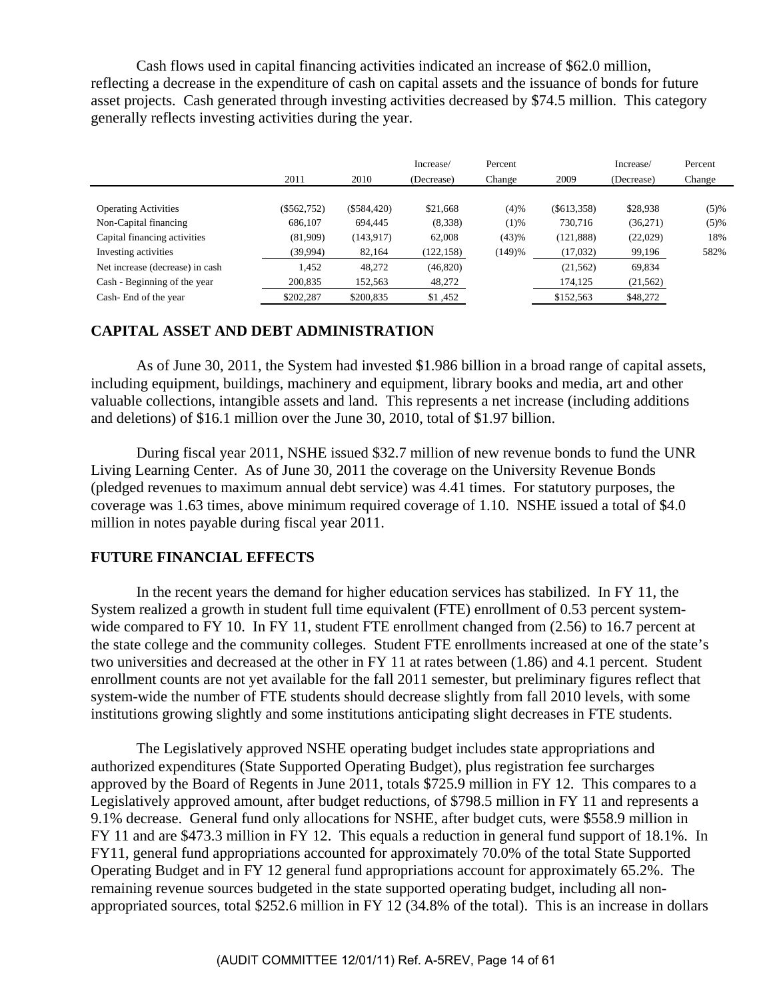Cash flows used in capital financing activities indicated an increase of \$62.0 million, reflecting a decrease in the expenditure of cash on capital assets and the issuance of bonds for future asset projects. Cash generated through investing activities decreased by \$74.5 million. This category generally reflects investing activities during the year.

|                                 |               |               | Increase/  | Percent |                | Increase/  | Percent |
|---------------------------------|---------------|---------------|------------|---------|----------------|------------|---------|
|                                 | 2011          | 2010          | (Decrease) | Change  | 2009           | (Decrease) | Change  |
|                                 |               |               |            |         |                |            |         |
| <b>Operating Activities</b>     | $(\$562,752)$ | $(\$584,420)$ | \$21,668   | (4)%    | $($ \$613,358) | \$28,938   | (5)%    |
| Non-Capital financing           | 686,107       | 694,445       | (8,338)    | (1)%    | 730,716        | (36,271)   | (5)%    |
| Capital financing activities    | (81,909)      | (143, 917)    | 62,008     | (43)%   | (121, 888)     | (22,029)   | 18%     |
| Investing activities            | (39,994)      | 82,164        | (122, 158) | (149)%  | (17,032)       | 99,196     | 582%    |
| Net increase (decrease) in cash | 1,452         | 48,272        | (46, 820)  |         | (21, 562)      | 69,834     |         |
| Cash - Beginning of the year    | 200,835       | 152,563       | 48,272     |         | 174,125        | (21, 562)  |         |
| Cash-End of the year            | \$202,287     | \$200,835     | \$1,452    |         | \$152,563      | \$48,272   |         |

### **CAPITAL ASSET AND DEBT ADMINISTRATION**

As of June 30, 2011, the System had invested \$1.986 billion in a broad range of capital assets, including equipment, buildings, machinery and equipment, library books and media, art and other valuable collections, intangible assets and land. This represents a net increase (including additions and deletions) of \$16.1 million over the June 30, 2010, total of \$1.97 billion.

During fiscal year 2011, NSHE issued \$32.7 million of new revenue bonds to fund the UNR Living Learning Center. As of June 30, 2011 the coverage on the University Revenue Bonds (pledged revenues to maximum annual debt service) was 4.41 times. For statutory purposes, the coverage was 1.63 times, above minimum required coverage of 1.10. NSHE issued a total of \$4.0 million in notes payable during fiscal year 2011.

### **FUTURE FINANCIAL EFFECTS**

In the recent years the demand for higher education services has stabilized. In FY 11, the System realized a growth in student full time equivalent (FTE) enrollment of 0.53 percent systemwide compared to FY 10. In FY 11, student FTE enrollment changed from  $(2.56)$  to 16.7 percent at the state college and the community colleges. Student FTE enrollments increased at one of the state's two universities and decreased at the other in FY 11 at rates between (1.86) and 4.1 percent. Student enrollment counts are not yet available for the fall 2011 semester, but preliminary figures reflect that system-wide the number of FTE students should decrease slightly from fall 2010 levels, with some institutions growing slightly and some institutions anticipating slight decreases in FTE students.

The Legislatively approved NSHE operating budget includes state appropriations and authorized expenditures (State Supported Operating Budget), plus registration fee surcharges approved by the Board of Regents in June 2011, totals \$725.9 million in FY 12. This compares to a Legislatively approved amount, after budget reductions, of \$798.5 million in FY 11 and represents a 9.1% decrease. General fund only allocations for NSHE, after budget cuts, were \$558.9 million in FY 11 and are \$473.3 million in FY 12. This equals a reduction in general fund support of 18.1%. In FY11, general fund appropriations accounted for approximately 70.0% of the total State Supported Operating Budget and in FY 12 general fund appropriations account for approximately 65.2%. The remaining revenue sources budgeted in the state supported operating budget, including all nonappropriated sources, total \$252.6 million in FY 12 (34.8% of the total). This is an increase in dollars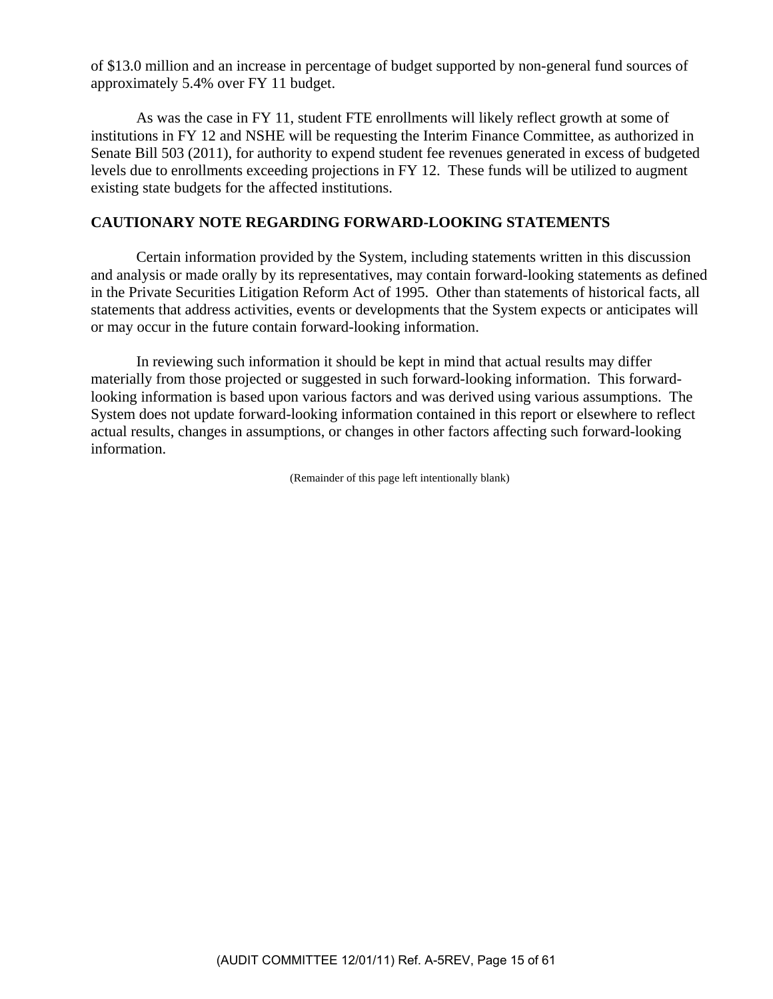of \$13.0 million and an increase in percentage of budget supported by non-general fund sources of approximately 5.4% over FY 11 budget.

As was the case in FY 11, student FTE enrollments will likely reflect growth at some of institutions in FY 12 and NSHE will be requesting the Interim Finance Committee, as authorized in Senate Bill 503 (2011), for authority to expend student fee revenues generated in excess of budgeted levels due to enrollments exceeding projections in FY 12. These funds will be utilized to augment existing state budgets for the affected institutions.

### **CAUTIONARY NOTE REGARDING FORWARD-LOOKING STATEMENTS**

Certain information provided by the System, including statements written in this discussion and analysis or made orally by its representatives, may contain forward-looking statements as defined in the Private Securities Litigation Reform Act of 1995. Other than statements of historical facts, all statements that address activities, events or developments that the System expects or anticipates will or may occur in the future contain forward-looking information.

In reviewing such information it should be kept in mind that actual results may differ materially from those projected or suggested in such forward-looking information. This forwardlooking information is based upon various factors and was derived using various assumptions. The System does not update forward-looking information contained in this report or elsewhere to reflect actual results, changes in assumptions, or changes in other factors affecting such forward-looking information.

(Remainder of this page left intentionally blank)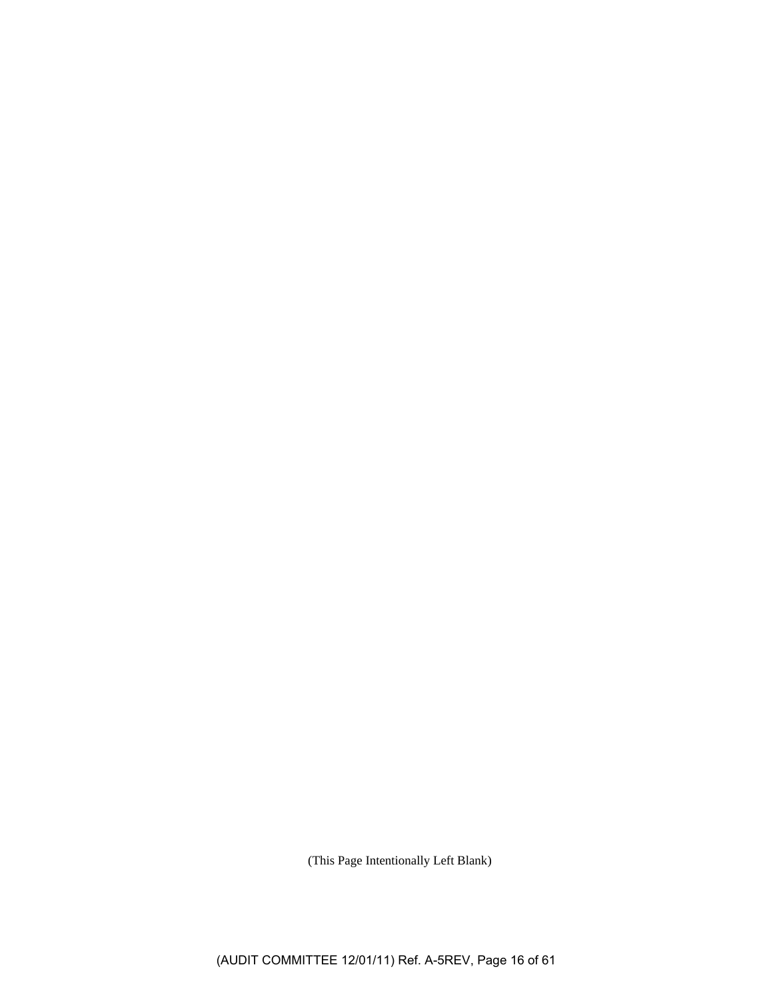(This Page Intentionally Left Blank)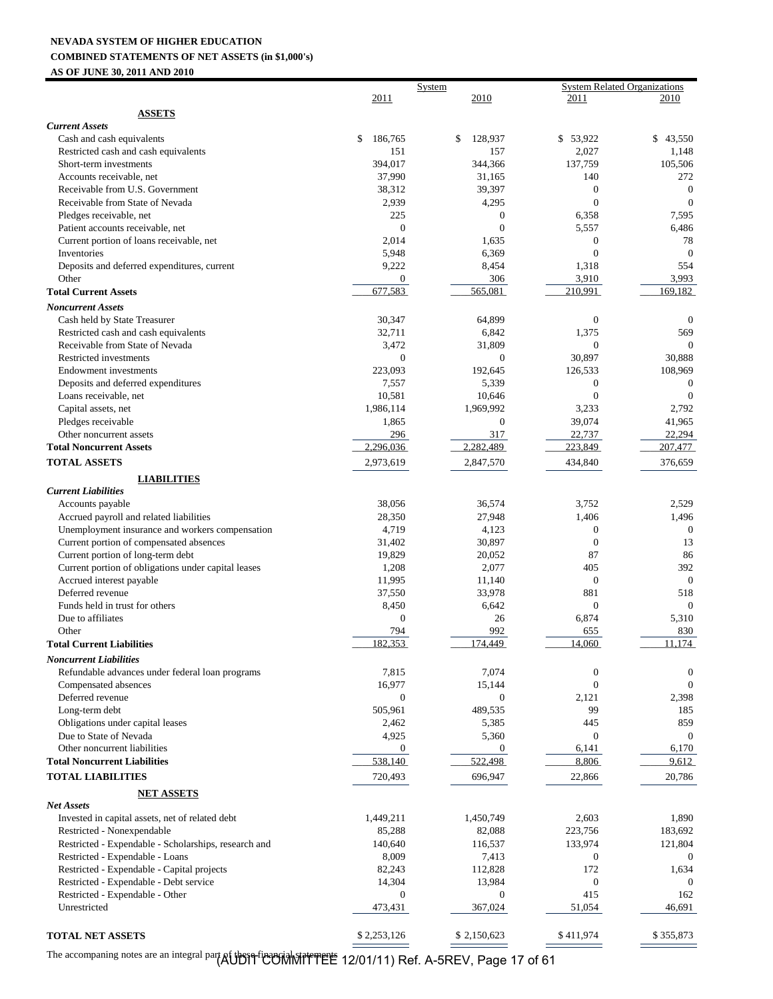### **NEVADA SYSTEM OF HIGHER EDUCATION COMBINED STATEMENTS OF NET ASSETS (in \$1,000's) AS OF JUNE 30, 2011 AND 2010**

|                                                                                      |                       | System                   |                         | <b>System Related Organizations</b> |
|--------------------------------------------------------------------------------------|-----------------------|--------------------------|-------------------------|-------------------------------------|
|                                                                                      | 2011                  | 2010                     |                         | 2010                                |
| <b>ASSETS</b>                                                                        |                       |                          |                         |                                     |
| <b>Current Assets</b>                                                                |                       |                          |                         |                                     |
| Cash and cash equivalents                                                            | 186,765<br>\$         | 128,937<br>\$            | \$53,922                | \$43,550                            |
| Restricted cash and cash equivalents                                                 | 151                   | 157                      | 2,027                   | 1,148                               |
| Short-term investments                                                               | 394,017<br>37,990     | 344,366<br>31,165        | 137,759<br>140          | 105,506<br>272                      |
| Accounts receivable, net<br>Receivable from U.S. Government                          | 38,312                | 39,397                   | $\boldsymbol{0}$        | $\overline{0}$                      |
| Receivable from State of Nevada                                                      | 2,939                 | 4,295                    | $\mathbf{0}$            | $\Omega$                            |
| Pledges receivable, net                                                              | 225                   | $\mathbf{0}$             | 6,358                   | 7,595                               |
| Patient accounts receivable, net                                                     | $\mathbf{0}$          | $\mathbf{0}$             | 5,557                   | 6,486                               |
| Current portion of loans receivable, net                                             | 2,014                 | 1,635                    | $\mathbf{0}$            | 78                                  |
| <b>Inventories</b>                                                                   | 5,948                 | 6,369                    | $\overline{0}$          | $\theta$                            |
| Deposits and deferred expenditures, current                                          | 9,222                 | 8,454                    | 1,318                   | 554                                 |
| Other                                                                                | $\boldsymbol{0}$      | 306                      | 3,910                   | 3,993                               |
| <b>Total Current Assets</b>                                                          | 677,583               | 565,081                  | 210,991                 | 169,182                             |
| <b>Noncurrent Assets</b>                                                             |                       |                          |                         |                                     |
| Cash held by State Treasurer                                                         | 30,347                | 64,899                   | $\mathbf{0}$            | $\theta$                            |
| Restricted cash and cash equivalents                                                 | 32,711                | 6,842                    | 1,375                   | 569                                 |
| Receivable from State of Nevada<br>Restricted investments                            | 3,472<br>$\mathbf{0}$ | 31,809<br>$\overline{0}$ | $\mathbf{0}$            | $\Omega$                            |
| <b>Endowment</b> investments                                                         | 223,093               | 192,645                  | 30,897                  | 30,888<br>108,969                   |
| Deposits and deferred expenditures                                                   | 7,557                 | 5,339                    | 126,533<br>$\mathbf{0}$ | $\mathbf{0}$                        |
| Loans receivable, net                                                                | 10,581                | 10,646                   | $\overline{0}$          | $\Omega$                            |
| Capital assets, net                                                                  | 1,986,114             | 1,969,992                | 3,233                   | 2,792                               |
| Pledges receivable                                                                   | 1,865                 | $\mathbf{0}$             | 39,074                  | 41,965                              |
| Other noncurrent assets                                                              | 296                   | 317                      | 22,737                  | 22,294                              |
| <b>Total Noncurrent Assets</b>                                                       | 2,296,036             | 2,282,489                | 223,849                 | 207,477                             |
| <b>TOTAL ASSETS</b>                                                                  | 2,973,619             | 2,847,570                | 434,840                 | 376,659                             |
| <b>LIABILITIES</b>                                                                   |                       |                          |                         |                                     |
| <b>Current Liabilities</b>                                                           |                       |                          |                         |                                     |
| Accounts payable                                                                     | 38,056                | 36,574                   | 3,752                   | 2,529                               |
| Accrued payroll and related liabilities                                              | 28,350                | 27,948                   | 1,406                   | 1,496                               |
| Unemployment insurance and workers compensation                                      | 4,719                 | 4,123                    | $\mathbf{0}$            | $\overline{0}$                      |
| Current portion of compensated absences                                              | 31,402                | 30,897                   | $\boldsymbol{0}$        | 13                                  |
| Current portion of long-term debt                                                    | 19,829                | 20,052                   | 87                      | 86                                  |
| Current portion of obligations under capital leases                                  | 1,208                 | 2,077                    | 405                     | 392                                 |
| Accrued interest payable                                                             | 11,995                | 11,140                   | $\mathbf{0}$            | $\overline{0}$                      |
| Deferred revenue<br>Funds held in trust for others                                   | 37,550                | 33,978                   | 881<br>$\mathbf{0}$     | 518<br>$\theta$                     |
| Due to affiliates                                                                    | 8,450<br>$\mathbf{0}$ | 6,642<br>26              | 6,874                   | 5,310                               |
| Other                                                                                | 794                   | 992                      | 655                     | 830                                 |
| <b>Total Current Liabilities</b>                                                     | <u>182,353 </u>       | <u>174,449 </u>          | <u>14,060</u>           | 11,174                              |
| <b>Noncurrent Liabilities</b>                                                        |                       |                          |                         |                                     |
| Refundable advances under federal loan programs                                      | 7,815                 | 7,074                    | $\boldsymbol{0}$        | $\mathbf{0}$                        |
| Compensated absences                                                                 | 16,977                | 15,144                   | $\mathbf{0}$            | $\theta$                            |
| Deferred revenue                                                                     | $\boldsymbol{0}$      | $\boldsymbol{0}$         | 2,121                   | 2,398                               |
| Long-term debt                                                                       | 505,961               | 489,535                  | 99                      | 185                                 |
| Obligations under capital leases                                                     | 2,462                 | 5,385                    | 445                     | 859                                 |
| Due to State of Nevada                                                               | 4,925                 | 5,360                    | $\boldsymbol{0}$        | $\mathbf{0}$                        |
| Other noncurrent liabilities                                                         | $\mathbf{0}$          | $\boldsymbol{0}$         | 6,141                   | 6,170                               |
| <b>Total Noncurrent Liabilities</b>                                                  | 538,140               | 522,498                  | 8,806                   | 9,612                               |
| <b>TOTAL LIABILITIES</b>                                                             | 720,493               | 696,947                  | 22,866                  | 20,786                              |
| <b>NET ASSETS</b>                                                                    |                       |                          |                         |                                     |
| <b>Net Assets</b>                                                                    |                       |                          |                         |                                     |
| Invested in capital assets, net of related debt                                      | 1,449,211             | 1,450,749                | 2,603                   | 1,890                               |
| Restricted - Nonexpendable                                                           | 85,288                | 82,088                   | 223,756                 | 183,692                             |
| Restricted - Expendable - Scholarships, research and                                 | 140,640               | 116,537                  | 133,974                 | 121,804                             |
| Restricted - Expendable - Loans                                                      | 8,009                 | 7,413                    | $\boldsymbol{0}$        | $\theta$                            |
| Restricted - Expendable - Capital projects<br>Restricted - Expendable - Debt service | 82,243<br>14,304      | 112,828                  | 172<br>$\boldsymbol{0}$ | 1,634<br>$\overline{0}$             |
| Restricted - Expendable - Other                                                      | $\mathbf{0}$          | 13,984<br>$\mathbf{0}$   | 415                     | 162                                 |
| Unrestricted                                                                         | 473,431               | 367,024                  | 51,054                  | 46,691                              |
|                                                                                      |                       |                          |                         |                                     |
| TOTAL NET ASSETS                                                                     | \$2,253,126           | \$2,150,623              | \$411,974               | \$355,873                           |

The accompaning notes are an integral part  $\alpha$  these financial statements 12/01/11) Ref. A-5REV, Page 17 of 61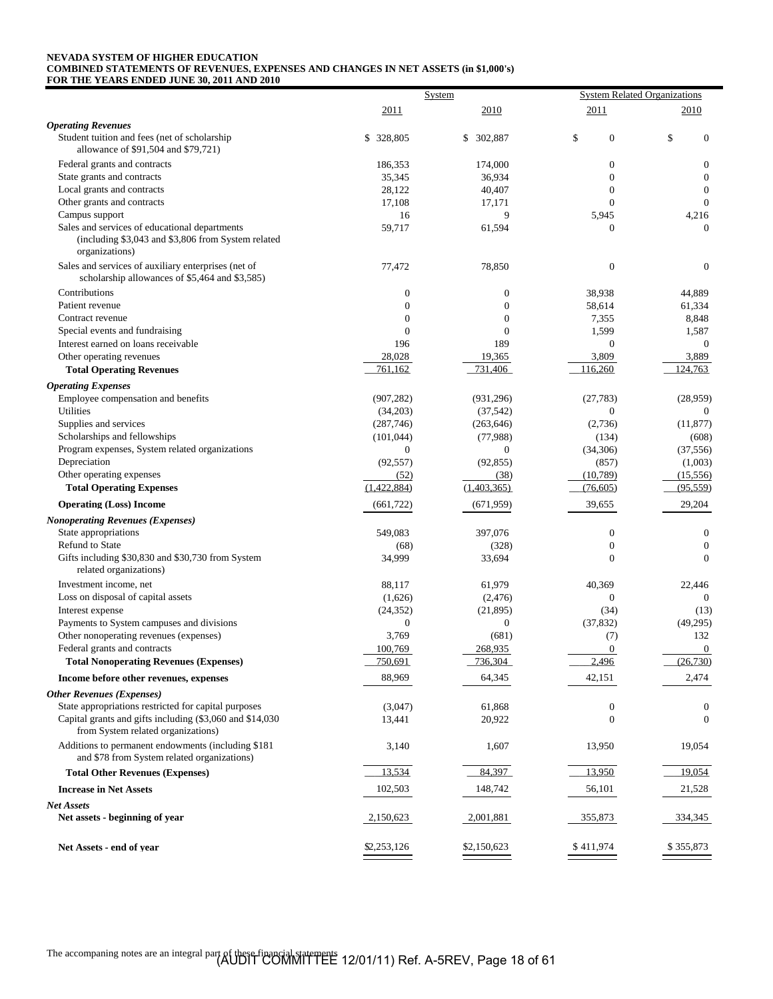#### **NEVADA SYSTEM OF HIGHER EDUCATION COMBINED STATEMENTS OF REVENUES, EXPENSES AND CHANGES IN NET ASSETS (in \$1,000's) FOR THE YEARS ENDED JUNE 30, 2011 AND 2010**

|                                                                                                       | System                  |                         |                           | <b>System Related Organizations</b> |
|-------------------------------------------------------------------------------------------------------|-------------------------|-------------------------|---------------------------|-------------------------------------|
|                                                                                                       | 2011                    | 2010                    | 2011                      | 2010                                |
| <b>Operating Revenues</b>                                                                             |                         |                         |                           |                                     |
| Student tuition and fees (net of scholarship<br>allowance of \$91,504 and \$79,721)                   | \$ 328,805              | \$<br>302,887           | \$<br>$\boldsymbol{0}$    | \$<br>$\boldsymbol{0}$              |
| Federal grants and contracts                                                                          | 186,353                 | 174,000                 | $\boldsymbol{0}$          | $\boldsymbol{0}$                    |
| State grants and contracts                                                                            | 35,345                  | 36,934                  | $\mathbf{0}$              | $\overline{0}$                      |
| Local grants and contracts                                                                            | 28,122                  | 40,407                  | $\mathbf{0}$              | $\overline{0}$                      |
| Other grants and contracts                                                                            | 17,108                  | 17,171<br>9             | $\mathbf{0}$              | $\overline{0}$                      |
| Campus support<br>Sales and services of educational departments                                       | 16<br>59,717            | 61,594                  | 5,945<br>$\mathbf{0}$     | 4,216<br>$\overline{0}$             |
| (including \$3,043 and \$3,806 from System related<br>organizations)                                  |                         |                         |                           |                                     |
| Sales and services of auxiliary enterprises (net of<br>scholarship allowances of \$5,464 and \$3,585) | 77,472                  | 78,850                  | $\boldsymbol{0}$          | $\boldsymbol{0}$                    |
| Contributions                                                                                         | $\mathbf{0}$            | $\boldsymbol{0}$        | 38,938                    | 44,889                              |
| Patient revenue                                                                                       | $\overline{0}$          | $\overline{0}$          | 58,614                    | 61,334                              |
| Contract revenue                                                                                      | $\mathbf{0}$            | $\mathbf{0}$            | 7,355                     | 8,848                               |
| Special events and fundraising                                                                        | $\overline{0}$          | $\mathbf{0}$            | 1,599                     | 1,587                               |
| Interest earned on loans receivable<br>Other operating revenues                                       | 196<br>28,028           | 189                     | $\mathbf{0}$<br>3,809     | $\overline{0}$<br>3,889             |
| <b>Total Operating Revenues</b>                                                                       | 761,162                 | 19,365<br>731,406       | 116,260                   | 124,763                             |
|                                                                                                       |                         |                         |                           |                                     |
| <b>Operating Expenses</b><br>Employee compensation and benefits                                       |                         |                         |                           | (28,959)                            |
| <b>Utilities</b>                                                                                      | (907, 282)<br>(34,203)  | (931, 296)<br>(37, 542) | (27, 783)<br>$\mathbf{0}$ | $\overline{0}$                      |
| Supplies and services                                                                                 | (287,746)               | (263, 646)              | (2,736)                   | (11, 877)                           |
| Scholarships and fellowships                                                                          | (101, 044)              | (77,988)                | (134)                     | (608)                               |
| Program expenses, System related organizations                                                        | $\mathbf{0}$            | $\boldsymbol{0}$        | (34,306)                  | (37, 556)                           |
| Depreciation                                                                                          | (92, 557)               | (92, 855)               | (857)                     | (1,003)                             |
| Other operating expenses                                                                              | (52)                    | (38)                    | (10,789)                  | (15, 556)                           |
| <b>Total Operating Expenses</b>                                                                       | (1,422,884)             | (1,403,365)             | (76,605)                  | (95, 559)                           |
| <b>Operating (Loss)</b> Income                                                                        | (661, 722)              | (671, 959)              | 39,655                    | 29,204                              |
| <b>Nonoperating Revenues (Expenses)</b>                                                               |                         |                         |                           |                                     |
| State appropriations                                                                                  | 549,083                 | 397,076                 | $\boldsymbol{0}$          | $\boldsymbol{0}$                    |
| Refund to State                                                                                       | (68)                    | (328)                   | $\boldsymbol{0}$          | $\boldsymbol{0}$                    |
| Gifts including \$30,830 and \$30,730 from System<br>related organizations)                           | 34,999                  | 33,694                  | $\mathbf{0}$              | $\overline{0}$                      |
| Investment income, net                                                                                | 88,117                  | 61,979                  | 40,369                    | 22,446                              |
| Loss on disposal of capital assets                                                                    | (1,626)                 | (2,476)                 | $\boldsymbol{0}$          | $\theta$                            |
| Interest expense                                                                                      | (24, 352)               | (21,895)                | (34)                      | (13)                                |
| Payments to System campuses and divisions<br>Other nonoperating revenues (expenses)                   | $\overline{0}$<br>3,769 | $\mathbf{0}$<br>(681)   | (37, 832)<br>(7)          | (49,295)<br>132                     |
| Federal grants and contracts                                                                          | 100.769                 | 268,935                 | $\boldsymbol{0}$          | $\overline{0}$                      |
| <b>Total Nonoperating Revenues (Expenses)</b>                                                         | 750,691                 | 736,304                 | 2,496                     | (26, 730)                           |
| Income before other revenues, expenses                                                                | 88,969                  | 64,345                  | 42,151                    | 2,474                               |
| <b>Other Revenues (Expenses)</b>                                                                      |                         |                         |                           |                                     |
| State appropriations restricted for capital purposes                                                  | (3,047)                 | 61,868                  | $\boldsymbol{0}$          | $\boldsymbol{0}$                    |
| Capital grants and gifts including (\$3,060 and \$14,030<br>from System related organizations)        | 13,441                  | 20,922                  | $\boldsymbol{0}$          | $\boldsymbol{0}$                    |
| Additions to permanent endowments (including \$181)<br>and \$78 from System related organizations)    | 3,140                   | 1,607                   | 13,950                    | 19,054                              |
| <b>Total Other Revenues (Expenses)</b>                                                                | 13,534                  | 84,397                  | 13,950                    | 19,054                              |
| <b>Increase in Net Assets</b>                                                                         | 102,503                 | 148,742                 | 56,101                    | 21,528                              |
| Net Assets                                                                                            |                         |                         |                           |                                     |
| Net assets - beginning of year                                                                        | 2,150,623               | 2,001,881               | 355,873                   | 334,345                             |
| Net Assets - end of year                                                                              | \$2,253,126             | \$2,150,623             | \$411,974                 | \$355,873                           |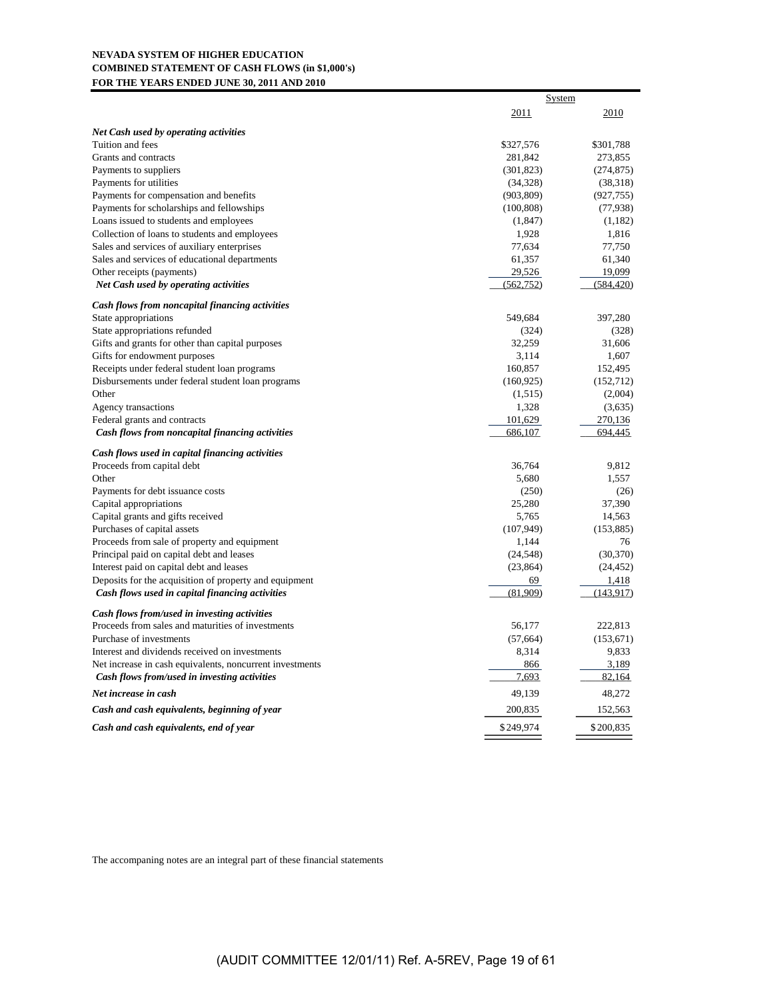#### **NEVADA SYSTEM OF HIGHER EDUCATION COMBINED STATEMENT OF CASH FLOWS (in \$1,000's) FOR THE YEARS ENDED JUNE 30, 2011 AND 2010**

|                                                          | System     |            |
|----------------------------------------------------------|------------|------------|
|                                                          | 2011       | 2010       |
| <b>Net Cash used by operating activities</b>             |            |            |
| Tuition and fees                                         | \$327,576  | \$301,788  |
| Grants and contracts                                     | 281,842    | 273,855    |
| Payments to suppliers                                    | (301, 823) | (274, 875) |
| Payments for utilities                                   | (34, 328)  | (38,318)   |
| Payments for compensation and benefits                   | (903, 809) | (927, 755) |
| Payments for scholarships and fellowships                | (100, 808) | (77, 938)  |
| Loans issued to students and employees                   | (1, 847)   | (1,182)    |
| Collection of loans to students and employees            | 1,928      | 1,816      |
| Sales and services of auxiliary enterprises              | 77,634     | 77,750     |
| Sales and services of educational departments            | 61,357     | 61,340     |
| Other receipts (payments)                                | 29,526     | 19,099     |
| Net Cash used by operating activities                    | (562, 752) | (584, 420) |
| Cash flows from noncapital financing activities          |            |            |
| State appropriations                                     | 549,684    | 397,280    |
| State appropriations refunded                            | (324)      | (328)      |
| Gifts and grants for other than capital purposes         | 32,259     | 31.606     |
| Gifts for endowment purposes                             | 3,114      | 1,607      |
| Receipts under federal student loan programs             | 160,857    | 152,495    |
| Disbursements under federal student loan programs        | (160, 925) | (152, 712) |
| Other                                                    | (1,515)    | (2,004)    |
| Agency transactions                                      | 1,328      | (3,635)    |
| Federal grants and contracts                             | 101,629    | 270,136    |
| Cash flows from noncapital financing activities          | 686,107    | 694,445    |
| Cash flows used in capital financing activities          |            |            |
| Proceeds from capital debt                               | 36,764     | 9,812      |
| Other                                                    | 5,680      | 1,557      |
| Payments for debt issuance costs                         | (250)      | (26)       |
| Capital appropriations                                   | 25,280     | 37,390     |
| Capital grants and gifts received                        | 5,765      | 14,563     |
| Purchases of capital assets                              | (107, 949) | (153, 885) |
| Proceeds from sale of property and equipment             | 1,144      | 76         |
| Principal paid on capital debt and leases                | (24, 548)  | (30, 370)  |
| Interest paid on capital debt and leases                 | (23, 864)  | (24, 452)  |
| Deposits for the acquisition of property and equipment   | 69         | 1,418      |
| Cash flows used in capital financing activities          | (81,909)   | (143, 917) |
| Cash flows from/used in investing activities             |            |            |
| Proceeds from sales and maturities of investments        | 56,177     | 222,813    |
| Purchase of investments                                  | (57, 664)  | (153, 671) |
| Interest and dividends received on investments           | 8,314      | 9,833      |
| Net increase in cash equivalents, noncurrent investments | 866        | 3,189      |
| Cash flows from/used in investing activities             | 7,693      | 82,164     |
| Net increase in cash                                     | 49,139     | 48,272     |
| Cash and cash equivalents, beginning of year             | 200,835    | 152,563    |
| Cash and cash equivalents, end of year                   | \$249,974  | \$200,835  |
|                                                          |            |            |

The accompaning notes are an integral part of these financial statements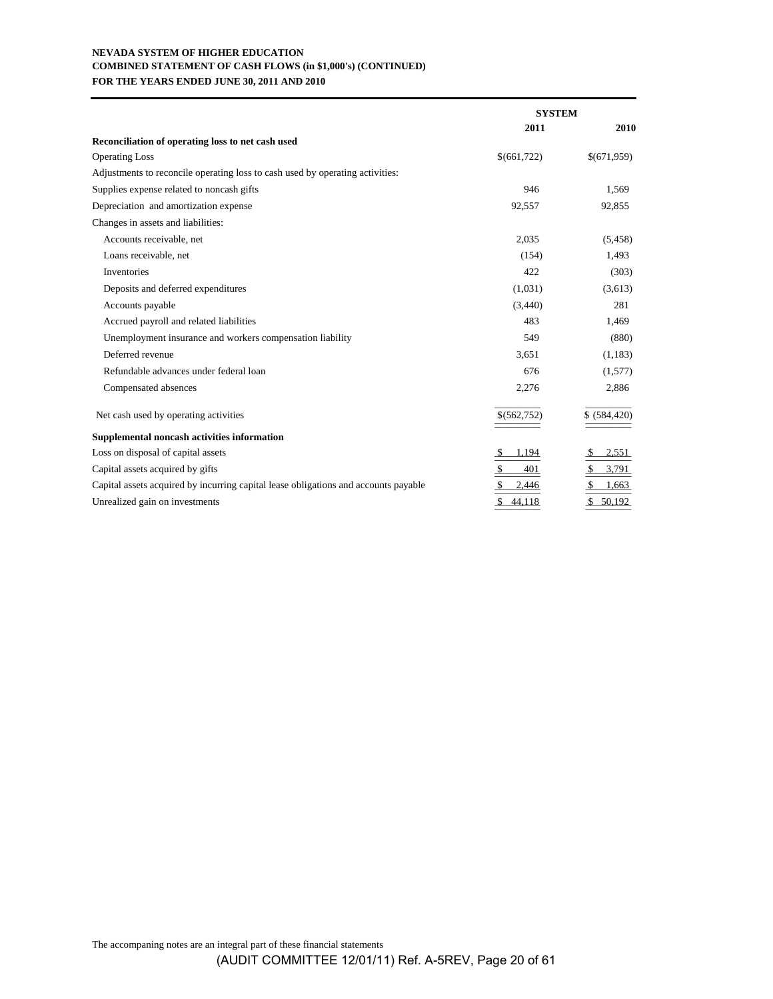#### **NEVADA SYSTEM OF HIGHER EDUCATION COMBINED STATEMENT OF CASH FLOWS (in \$1,000's) (CONTINUED) FOR THE YEARS ENDED JUNE 30, 2011 AND 2010**

|                                                                                     | <b>SYSTEM</b> |               |
|-------------------------------------------------------------------------------------|---------------|---------------|
|                                                                                     | 2011          | 2010          |
| Reconciliation of operating loss to net cash used                                   |               |               |
| <b>Operating Loss</b>                                                               | \$(661,722)   | \$(671,959)   |
| Adjustments to reconcile operating loss to cash used by operating activities:       |               |               |
| Supplies expense related to noncash gifts                                           | 946           | 1,569         |
| Depreciation and amortization expense                                               | 92,557        | 92,855        |
| Changes in assets and liabilities:                                                  |               |               |
| Accounts receivable, net                                                            | 2,035         | (5, 458)      |
| Loans receivable, net                                                               | (154)         | 1,493         |
| Inventories                                                                         | 422           | (303)         |
| Deposits and deferred expenditures                                                  | (1,031)       | (3,613)       |
| Accounts payable                                                                    | (3,440)       | 281           |
| Accrued payroll and related liabilities                                             | 483           | 1,469         |
| Unemployment insurance and workers compensation liability                           | 549           | (880)         |
| Deferred revenue                                                                    | 3,651         | (1, 183)      |
| Refundable advances under federal loan                                              | 676           | (1,577)       |
| Compensated absences                                                                | 2,276         | 2,886         |
| Net cash used by operating activities                                               | \$(562,752)   | \$ (584, 420) |
| Supplemental noncash activities information                                         |               |               |
| Loss on disposal of capital assets                                                  | 1,194         | 2,551         |
| Capital assets acquired by gifts                                                    | 401           | 3,791         |
| Capital assets acquired by incurring capital lease obligations and accounts payable | 2,446         | 1,663         |
| Unrealized gain on investments                                                      | 44,118        | \$50,192      |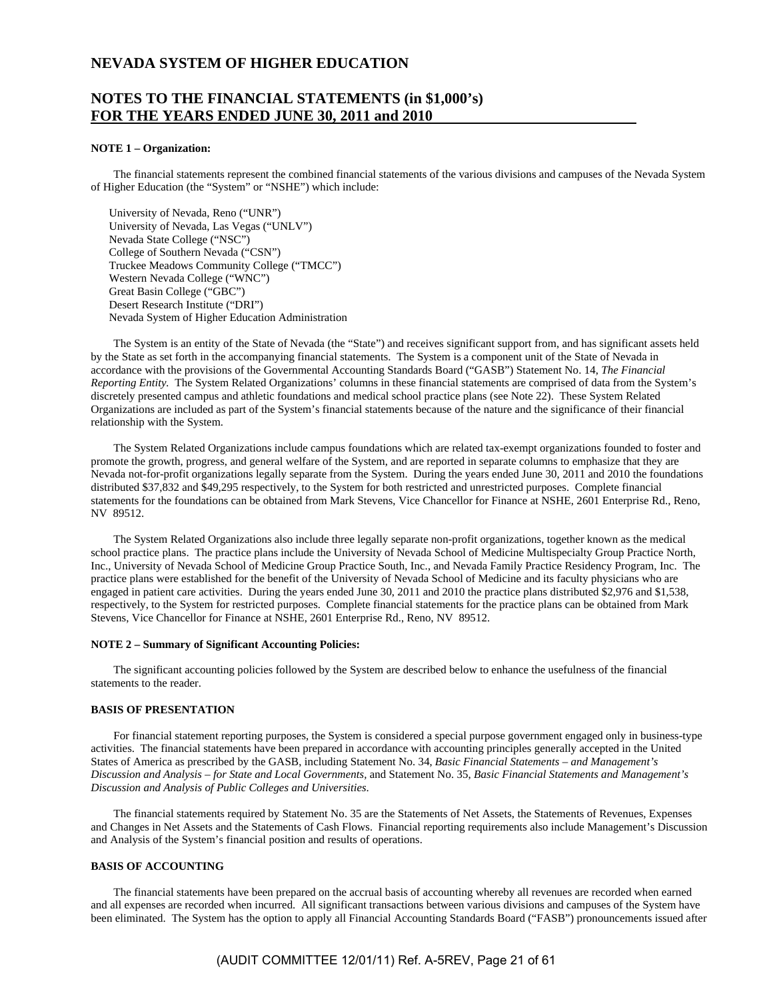### **NOTES TO THE FINANCIAL STATEMENTS (in \$1,000's) FOR THE YEARS ENDED JUNE 30, 2011 and 2010**

#### **NOTE 1 – Organization:**

The financial statements represent the combined financial statements of the various divisions and campuses of the Nevada System of Higher Education (the "System" or "NSHE") which include:

University of Nevada, Reno ("UNR") University of Nevada, Las Vegas ("UNLV") Nevada State College ("NSC") College of Southern Nevada ("CSN") Truckee Meadows Community College ("TMCC") Western Nevada College ("WNC") Great Basin College ("GBC") Desert Research Institute ("DRI") Nevada System of Higher Education Administration

The System is an entity of the State of Nevada (the "State") and receives significant support from, and has significant assets held by the State as set forth in the accompanying financial statements. The System is a component unit of the State of Nevada in accordance with the provisions of the Governmental Accounting Standards Board ("GASB") Statement No. 14, *The Financial Reporting Entity.* The System Related Organizations' columns in these financial statements are comprised of data from the System's discretely presented campus and athletic foundations and medical school practice plans (see Note 22). These System Related Organizations are included as part of the System's financial statements because of the nature and the significance of their financial relationship with the System.

The System Related Organizations include campus foundations which are related tax-exempt organizations founded to foster and promote the growth, progress, and general welfare of the System, and are reported in separate columns to emphasize that they are Nevada not-for-profit organizations legally separate from the System. During the years ended June 30, 2011 and 2010 the foundations distributed \$37,832 and \$49,295 respectively, to the System for both restricted and unrestricted purposes. Complete financial statements for the foundations can be obtained from Mark Stevens, Vice Chancellor for Finance at NSHE, 2601 Enterprise Rd., Reno, NV 89512.

The System Related Organizations also include three legally separate non-profit organizations, together known as the medical school practice plans. The practice plans include the University of Nevada School of Medicine Multispecialty Group Practice North, Inc., University of Nevada School of Medicine Group Practice South, Inc., and Nevada Family Practice Residency Program, Inc. The practice plans were established for the benefit of the University of Nevada School of Medicine and its faculty physicians who are engaged in patient care activities. During the years ended June 30, 2011 and 2010 the practice plans distributed \$2,976 and \$1,538, respectively, to the System for restricted purposes. Complete financial statements for the practice plans can be obtained from Mark Stevens, Vice Chancellor for Finance at NSHE, 2601 Enterprise Rd., Reno, NV 89512.

#### **NOTE 2 – Summary of Significant Accounting Policies:**

 The significant accounting policies followed by the System are described below to enhance the usefulness of the financial statements to the reader.

#### **BASIS OF PRESENTATION**

For financial statement reporting purposes, the System is considered a special purpose government engaged only in business-type activities. The financial statements have been prepared in accordance with accounting principles generally accepted in the United States of America as prescribed by the GASB, including Statement No. 34, *Basic Financial Statements – and Management's Discussion and Analysis – for State and Local Governments,* and Statement No. 35, *Basic Financial Statements and Management's Discussion and Analysis of Public Colleges and Universities*.

 The financial statements required by Statement No. 35 are the Statements of Net Assets, the Statements of Revenues, Expenses and Changes in Net Assets and the Statements of Cash Flows. Financial reporting requirements also include Management's Discussion and Analysis of the System's financial position and results of operations.

#### **BASIS OF ACCOUNTING**

 The financial statements have been prepared on the accrual basis of accounting whereby all revenues are recorded when earned and all expenses are recorded when incurred. All significant transactions between various divisions and campuses of the System have been eliminated. The System has the option to apply all Financial Accounting Standards Board ("FASB") pronouncements issued after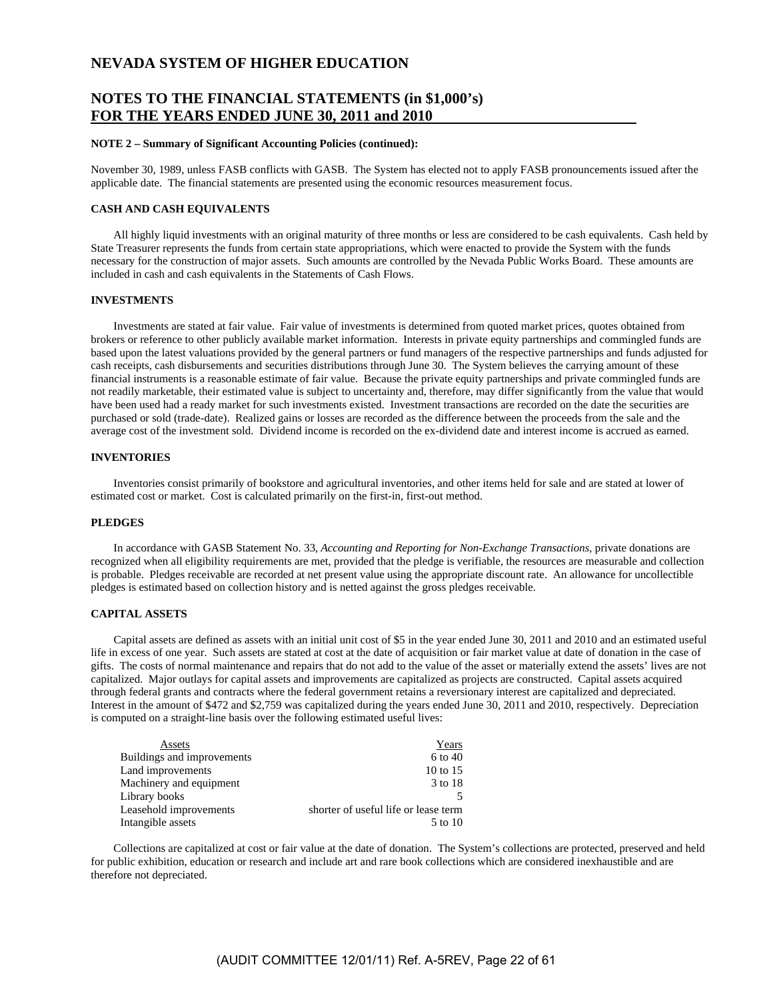### **NOTES TO THE FINANCIAL STATEMENTS (in \$1,000's) FOR THE YEARS ENDED JUNE 30, 2011 and 2010**

#### **NOTE 2 – Summary of Significant Accounting Policies (continued):**

November 30, 1989, unless FASB conflicts with GASB. The System has elected not to apply FASB pronouncements issued after the applicable date. The financial statements are presented using the economic resources measurement focus.

#### **CASH AND CASH EQUIVALENTS**

 All highly liquid investments with an original maturity of three months or less are considered to be cash equivalents. Cash held by State Treasurer represents the funds from certain state appropriations, which were enacted to provide the System with the funds necessary for the construction of major assets. Such amounts are controlled by the Nevada Public Works Board. These amounts are included in cash and cash equivalents in the Statements of Cash Flows.

#### **INVESTMENTS**

 Investments are stated at fair value. Fair value of investments is determined from quoted market prices, quotes obtained from brokers or reference to other publicly available market information. Interests in private equity partnerships and commingled funds are based upon the latest valuations provided by the general partners or fund managers of the respective partnerships and funds adjusted for cash receipts, cash disbursements and securities distributions through June 30. The System believes the carrying amount of these financial instruments is a reasonable estimate of fair value. Because the private equity partnerships and private commingled funds are not readily marketable, their estimated value is subject to uncertainty and, therefore, may differ significantly from the value that would have been used had a ready market for such investments existed. Investment transactions are recorded on the date the securities are purchased or sold (trade-date). Realized gains or losses are recorded as the difference between the proceeds from the sale and the average cost of the investment sold. Dividend income is recorded on the ex-dividend date and interest income is accrued as earned.

#### **INVENTORIES**

 Inventories consist primarily of bookstore and agricultural inventories, and other items held for sale and are stated at lower of estimated cost or market. Cost is calculated primarily on the first-in, first-out method.

#### **PLEDGES**

 In accordance with GASB Statement No. 33, *Accounting and Reporting for Non-Exchange Transactions,* private donations are recognized when all eligibility requirements are met, provided that the pledge is verifiable, the resources are measurable and collection is probable. Pledges receivable are recorded at net present value using the appropriate discount rate. An allowance for uncollectible pledges is estimated based on collection history and is netted against the gross pledges receivable.

#### **CAPITAL ASSETS**

 Capital assets are defined as assets with an initial unit cost of \$5 in the year ended June 30, 2011 and 2010 and an estimated useful life in excess of one year. Such assets are stated at cost at the date of acquisition or fair market value at date of donation in the case of gifts. The costs of normal maintenance and repairs that do not add to the value of the asset or materially extend the assets' lives are not capitalized. Major outlays for capital assets and improvements are capitalized as projects are constructed. Capital assets acquired through federal grants and contracts where the federal government retains a reversionary interest are capitalized and depreciated. Interest in the amount of \$472 and \$2,759 was capitalized during the years ended June 30, 2011 and 2010, respectively. Depreciation is computed on a straight-line basis over the following estimated useful lives:

| Assets                     | Years                                |
|----------------------------|--------------------------------------|
| Buildings and improvements | 6 to 40                              |
| Land improvements          | 10 to 15                             |
| Machinery and equipment    | 3 to 18                              |
| Library books              |                                      |
| Leasehold improvements     | shorter of useful life or lease term |
| Intangible assets          | 5 to 10                              |

 Collections are capitalized at cost or fair value at the date of donation. The System's collections are protected, preserved and held for public exhibition, education or research and include art and rare book collections which are considered inexhaustible and are therefore not depreciated.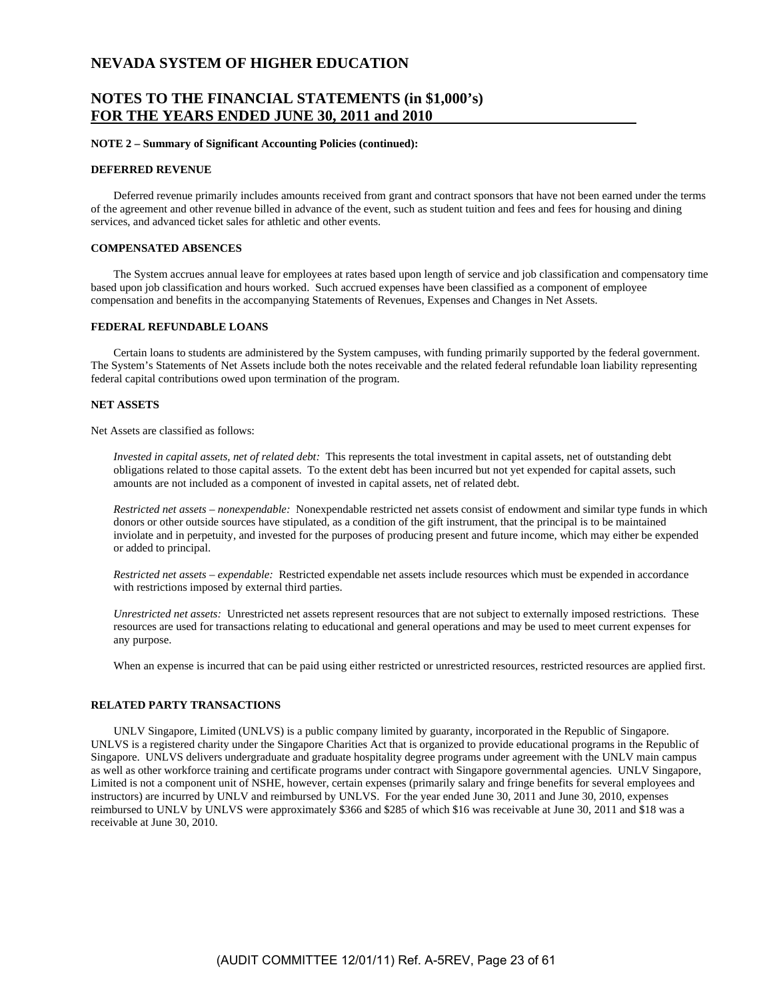### **NOTES TO THE FINANCIAL STATEMENTS (in \$1,000's) FOR THE YEARS ENDED JUNE 30, 2011 and 2010**

#### **NOTE 2 – Summary of Significant Accounting Policies (continued):**

#### **DEFERRED REVENUE**

 Deferred revenue primarily includes amounts received from grant and contract sponsors that have not been earned under the terms of the agreement and other revenue billed in advance of the event, such as student tuition and fees and fees for housing and dining services, and advanced ticket sales for athletic and other events.

#### **COMPENSATED ABSENCES**

The System accrues annual leave for employees at rates based upon length of service and job classification and compensatory time based upon job classification and hours worked. Such accrued expenses have been classified as a component of employee compensation and benefits in the accompanying Statements of Revenues, Expenses and Changes in Net Assets.

#### **FEDERAL REFUNDABLE LOANS**

 Certain loans to students are administered by the System campuses, with funding primarily supported by the federal government. The System's Statements of Net Assets include both the notes receivable and the related federal refundable loan liability representing federal capital contributions owed upon termination of the program.

#### **NET ASSETS**

Net Assets are classified as follows:

*Invested in capital assets, net of related debt:* This represents the total investment in capital assets, net of outstanding debt obligations related to those capital assets. To the extent debt has been incurred but not yet expended for capital assets, such amounts are not included as a component of invested in capital assets, net of related debt.

*Restricted net assets – nonexpendable:* Nonexpendable restricted net assets consist of endowment and similar type funds in which donors or other outside sources have stipulated, as a condition of the gift instrument, that the principal is to be maintained inviolate and in perpetuity, and invested for the purposes of producing present and future income, which may either be expended or added to principal.

*Restricted net assets – expendable:* Restricted expendable net assets include resources which must be expended in accordance with restrictions imposed by external third parties.

*Unrestricted net assets:* Unrestricted net assets represent resources that are not subject to externally imposed restrictions. These resources are used for transactions relating to educational and general operations and may be used to meet current expenses for any purpose.

When an expense is incurred that can be paid using either restricted or unrestricted resources, restricted resources are applied first.

#### **RELATED PARTY TRANSACTIONS**

 UNLV Singapore, Limited (UNLVS) is a public company limited by guaranty, incorporated in the Republic of Singapore. UNLVS is a registered charity under the Singapore Charities Act that is organized to provide educational programs in the Republic of Singapore. UNLVS delivers undergraduate and graduate hospitality degree programs under agreement with the UNLV main campus as well as other workforce training and certificate programs under contract with Singapore governmental agencies. UNLV Singapore, Limited is not a component unit of NSHE, however, certain expenses (primarily salary and fringe benefits for several employees and instructors) are incurred by UNLV and reimbursed by UNLVS. For the year ended June 30, 2011 and June 30, 2010, expenses reimbursed to UNLV by UNLVS were approximately \$366 and \$285 of which \$16 was receivable at June 30, 2011 and \$18 was a receivable at June 30, 2010.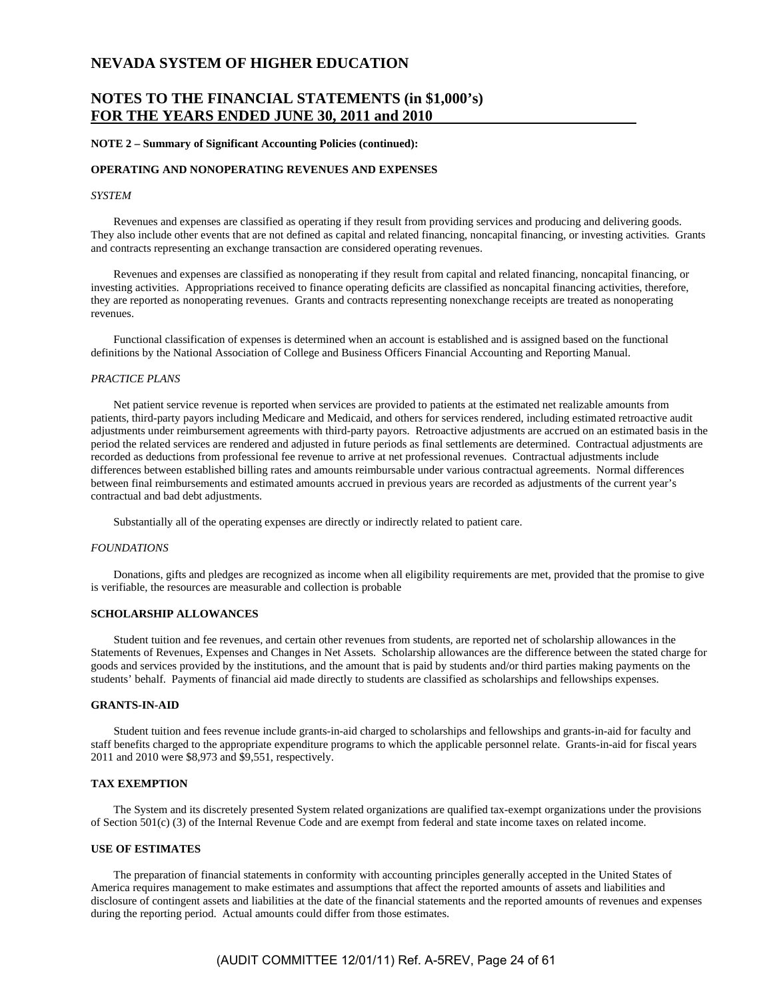### **NOTES TO THE FINANCIAL STATEMENTS (in \$1,000's) FOR THE YEARS ENDED JUNE 30, 2011 and 2010**

**NOTE 2 – Summary of Significant Accounting Policies (continued):** 

#### **OPERATING AND NONOPERATING REVENUES AND EXPENSES**

#### *SYSTEM*

Revenues and expenses are classified as operating if they result from providing services and producing and delivering goods. They also include other events that are not defined as capital and related financing, noncapital financing, or investing activities. Grants and contracts representing an exchange transaction are considered operating revenues.

 Revenues and expenses are classified as nonoperating if they result from capital and related financing, noncapital financing, or investing activities. Appropriations received to finance operating deficits are classified as noncapital financing activities, therefore, they are reported as nonoperating revenues. Grants and contracts representing nonexchange receipts are treated as nonoperating revenues.

 Functional classification of expenses is determined when an account is established and is assigned based on the functional definitions by the National Association of College and Business Officers Financial Accounting and Reporting Manual.

#### *PRACTICE PLANS*

 Net patient service revenue is reported when services are provided to patients at the estimated net realizable amounts from patients, third-party payors including Medicare and Medicaid, and others for services rendered, including estimated retroactive audit adjustments under reimbursement agreements with third-party payors. Retroactive adjustments are accrued on an estimated basis in the period the related services are rendered and adjusted in future periods as final settlements are determined. Contractual adjustments are recorded as deductions from professional fee revenue to arrive at net professional revenues. Contractual adjustments include differences between established billing rates and amounts reimbursable under various contractual agreements. Normal differences between final reimbursements and estimated amounts accrued in previous years are recorded as adjustments of the current year's contractual and bad debt adjustments.

Substantially all of the operating expenses are directly or indirectly related to patient care.

#### *FOUNDATIONS*

 Donations, gifts and pledges are recognized as income when all eligibility requirements are met, provided that the promise to give is verifiable, the resources are measurable and collection is probable

#### **SCHOLARSHIP ALLOWANCES**

 Student tuition and fee revenues, and certain other revenues from students, are reported net of scholarship allowances in the Statements of Revenues, Expenses and Changes in Net Assets. Scholarship allowances are the difference between the stated charge for goods and services provided by the institutions, and the amount that is paid by students and/or third parties making payments on the students' behalf. Payments of financial aid made directly to students are classified as scholarships and fellowships expenses.

#### **GRANTS-IN-AID**

Student tuition and fees revenue include grants-in-aid charged to scholarships and fellowships and grants-in-aid for faculty and staff benefits charged to the appropriate expenditure programs to which the applicable personnel relate. Grants-in-aid for fiscal years 2011 and 2010 were \$8,973 and \$9,551, respectively.

#### **TAX EXEMPTION**

 The System and its discretely presented System related organizations are qualified tax-exempt organizations under the provisions of Section 501(c) (3) of the Internal Revenue Code and are exempt from federal and state income taxes on related income.

#### **USE OF ESTIMATES**

 The preparation of financial statements in conformity with accounting principles generally accepted in the United States of America requires management to make estimates and assumptions that affect the reported amounts of assets and liabilities and disclosure of contingent assets and liabilities at the date of the financial statements and the reported amounts of revenues and expenses during the reporting period. Actual amounts could differ from those estimates.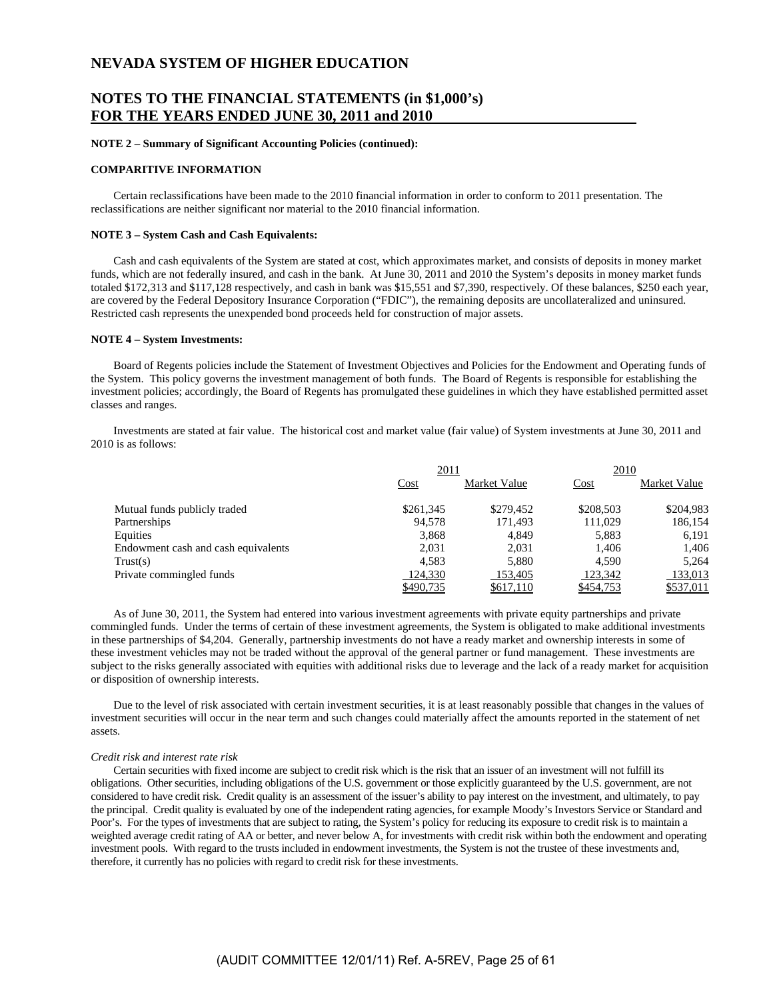### **NOTES TO THE FINANCIAL STATEMENTS (in \$1,000's) FOR THE YEARS ENDED JUNE 30, 2011 and 2010**

#### **NOTE 2 – Summary of Significant Accounting Policies (continued):**

#### **COMPARITIVE INFORMATION**

 Certain reclassifications have been made to the 2010 financial information in order to conform to 2011 presentation. The reclassifications are neither significant nor material to the 2010 financial information.

#### **NOTE 3 – System Cash and Cash Equivalents:**

 Cash and cash equivalents of the System are stated at cost, which approximates market, and consists of deposits in money market funds, which are not federally insured, and cash in the bank. At June 30, 2011 and 2010 the System's deposits in money market funds totaled \$172,313 and \$117,128 respectively, and cash in bank was \$15,551 and \$7,390, respectively. Of these balances, \$250 each year, are covered by the Federal Depository Insurance Corporation ("FDIC"), the remaining deposits are uncollateralized and uninsured. Restricted cash represents the unexpended bond proceeds held for construction of major assets.

#### **NOTE 4 – System Investments:**

Board of Regents policies include the Statement of Investment Objectives and Policies for the Endowment and Operating funds of the System. This policy governs the investment management of both funds. The Board of Regents is responsible for establishing the investment policies; accordingly, the Board of Regents has promulgated these guidelines in which they have established permitted asset classes and ranges.

Investments are stated at fair value. The historical cost and market value (fair value) of System investments at June 30, 2011 and 2010 is as follows:

|                                     | 2011      |              | 2010      |              |
|-------------------------------------|-----------|--------------|-----------|--------------|
|                                     | Cost      | Market Value | Cost      | Market Value |
| Mutual funds publicly traded        | \$261,345 | \$279.452    | \$208,503 | \$204.983    |
| Partnerships                        | 94.578    | 171.493      | 111.029   | 186,154      |
| Equities                            | 3,868     | 4.849        | 5.883     | 6,191        |
| Endowment cash and cash equivalents | 2.031     | 2.031        | 1.406     | 1.406        |
| Trust(s)                            | 4.583     | 5.880        | 4.590     | 5.264        |
| Private commingled funds            | 124,330   | 153,405      | 123,342   | 133,013      |
|                                     | \$490.735 | \$617,110    | \$454,753 | \$537.011    |

 As of June 30, 2011, the System had entered into various investment agreements with private equity partnerships and private commingled funds. Under the terms of certain of these investment agreements, the System is obligated to make additional investments in these partnerships of \$4,204. Generally, partnership investments do not have a ready market and ownership interests in some of these investment vehicles may not be traded without the approval of the general partner or fund management. These investments are subject to the risks generally associated with equities with additional risks due to leverage and the lack of a ready market for acquisition or disposition of ownership interests.

 Due to the level of risk associated with certain investment securities, it is at least reasonably possible that changes in the values of investment securities will occur in the near term and such changes could materially affect the amounts reported in the statement of net assets.

#### *Credit risk and interest rate risk*

 Certain securities with fixed income are subject to credit risk which is the risk that an issuer of an investment will not fulfill its obligations. Other securities, including obligations of the U.S. government or those explicitly guaranteed by the U.S. government, are not considered to have credit risk. Credit quality is an assessment of the issuer's ability to pay interest on the investment, and ultimately, to pay the principal. Credit quality is evaluated by one of the independent rating agencies, for example Moody's Investors Service or Standard and Poor's. For the types of investments that are subject to rating, the System's policy for reducing its exposure to credit risk is to maintain a weighted average credit rating of AA or better, and never below A, for investments with credit risk within both the endowment and operating investment pools. With regard to the trusts included in endowment investments, the System is not the trustee of these investments and, therefore, it currently has no policies with regard to credit risk for these investments.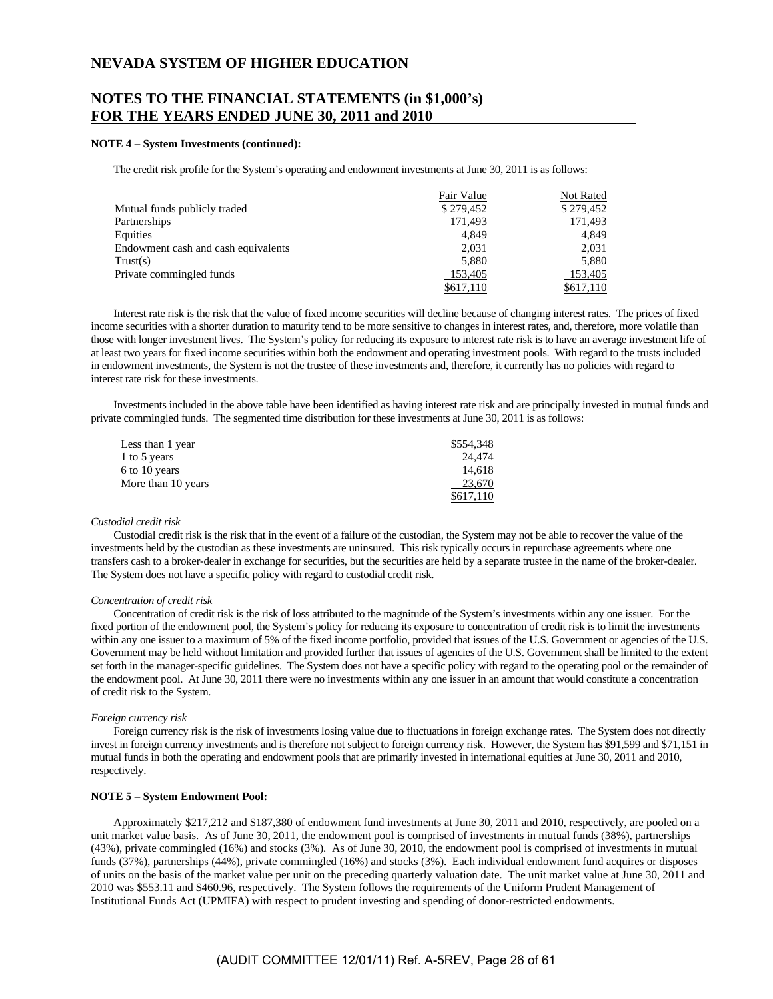### **NOTES TO THE FINANCIAL STATEMENTS (in \$1,000's) FOR THE YEARS ENDED JUNE 30, 2011 and 2010**

#### **NOTE 4 – System Investments (continued):**

The credit risk profile for the System's operating and endowment investments at June 30, 2011 is as follows:

|                                     | Fair Value | Not Rated |
|-------------------------------------|------------|-----------|
| Mutual funds publicly traded        | \$279,452  | \$279,452 |
| Partnerships                        | 171,493    | 171,493   |
| Equities                            | 4.849      | 4.849     |
| Endowment cash and cash equivalents | 2,031      | 2,031     |
| Trust(s)                            | 5,880      | 5,880     |
| Private commingled funds            | 153,405    | 153,405   |
|                                     | \$617,110  | \$617,110 |

 Interest rate risk is the risk that the value of fixed income securities will decline because of changing interest rates. The prices of fixed income securities with a shorter duration to maturity tend to be more sensitive to changes in interest rates, and, therefore, more volatile than those with longer investment lives. The System's policy for reducing its exposure to interest rate risk is to have an average investment life of at least two years for fixed income securities within both the endowment and operating investment pools. With regard to the trusts included in endowment investments, the System is not the trustee of these investments and, therefore, it currently has no policies with regard to interest rate risk for these investments.

 Investments included in the above table have been identified as having interest rate risk and are principally invested in mutual funds and private commingled funds. The segmented time distribution for these investments at June 30, 2011 is as follows:

| Less than 1 year   | \$554,348 |
|--------------------|-----------|
| 1 to 5 years       | 24,474    |
| 6 to 10 years      | 14.618    |
| More than 10 years | 23,670    |
|                    | \$617,110 |

#### *Custodial credit risk*

 Custodial credit risk is the risk that in the event of a failure of the custodian, the System may not be able to recover the value of the investments held by the custodian as these investments are uninsured. This risk typically occurs in repurchase agreements where one transfers cash to a broker-dealer in exchange for securities, but the securities are held by a separate trustee in the name of the broker-dealer. The System does not have a specific policy with regard to custodial credit risk.

#### *Concentration of credit risk*

 Concentration of credit risk is the risk of loss attributed to the magnitude of the System's investments within any one issuer. For the fixed portion of the endowment pool, the System's policy for reducing its exposure to concentration of credit risk is to limit the investments within any one issuer to a maximum of 5% of the fixed income portfolio, provided that issues of the U.S. Government or agencies of the U.S. Government may be held without limitation and provided further that issues of agencies of the U.S. Government shall be limited to the extent set forth in the manager-specific guidelines. The System does not have a specific policy with regard to the operating pool or the remainder of the endowment pool. At June 30, 2011 there were no investments within any one issuer in an amount that would constitute a concentration of credit risk to the System.

#### *Foreign currency risk*

 Foreign currency risk is the risk of investments losing value due to fluctuations in foreign exchange rates. The System does not directly invest in foreign currency investments and is therefore not subject to foreign currency risk. However, the System has \$91,599 and \$71,151 in mutual funds in both the operating and endowment pools that are primarily invested in international equities at June 30, 2011 and 2010, respectively.

#### **NOTE 5 – System Endowment Pool:**

 Approximately \$217,212 and \$187,380 of endowment fund investments at June 30, 2011 and 2010, respectively, are pooled on a unit market value basis. As of June 30, 2011, the endowment pool is comprised of investments in mutual funds (38%), partnerships (43%), private commingled (16%) and stocks (3%). As of June 30, 2010, the endowment pool is comprised of investments in mutual funds (37%), partnerships (44%), private commingled (16%) and stocks (3%). Each individual endowment fund acquires or disposes of units on the basis of the market value per unit on the preceding quarterly valuation date. The unit market value at June 30, 2011 and 2010 was \$553.11 and \$460.96, respectively. The System follows the requirements of the Uniform Prudent Management of Institutional Funds Act (UPMIFA) with respect to prudent investing and spending of donor-restricted endowments.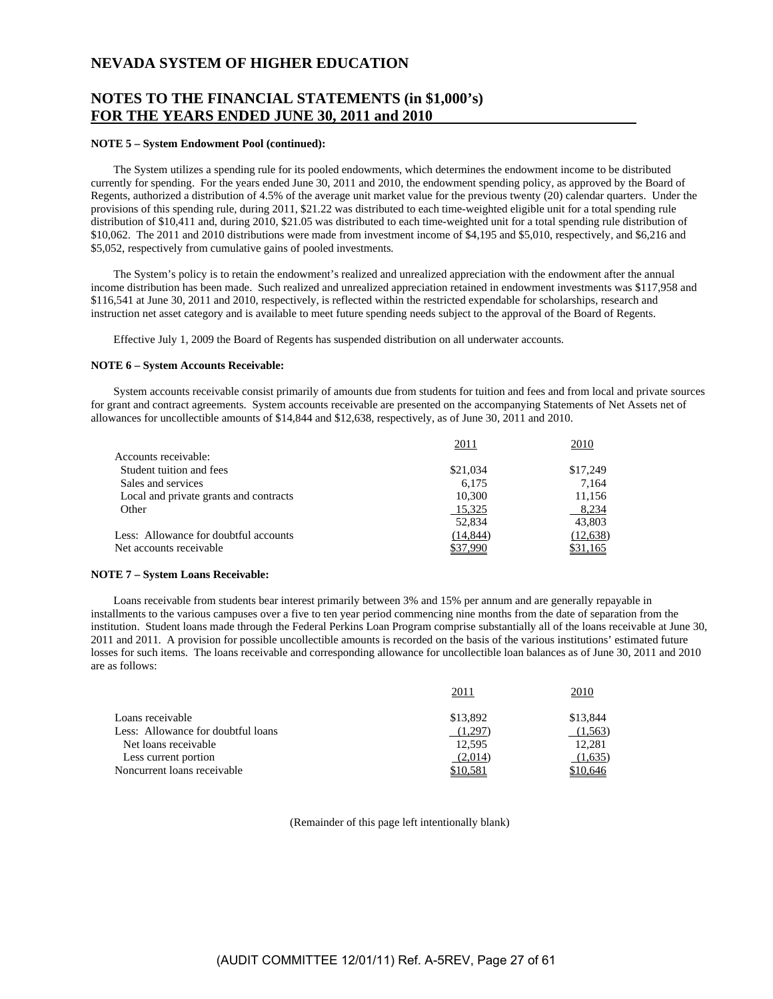### **NOTES TO THE FINANCIAL STATEMENTS (in \$1,000's) FOR THE YEARS ENDED JUNE 30, 2011 and 2010**

#### **NOTE 5 – System Endowment Pool (continued):**

 The System utilizes a spending rule for its pooled endowments, which determines the endowment income to be distributed currently for spending. For the years ended June 30, 2011 and 2010, the endowment spending policy, as approved by the Board of Regents, authorized a distribution of 4.5% of the average unit market value for the previous twenty (20) calendar quarters. Under the provisions of this spending rule, during 2011, \$21.22 was distributed to each time-weighted eligible unit for a total spending rule distribution of \$10,411 and, during 2010, \$21.05 was distributed to each time-weighted unit for a total spending rule distribution of \$10,062. The 2011 and 2010 distributions were made from investment income of \$4,195 and \$5,010, respectively, and \$6,216 and \$5,052, respectively from cumulative gains of pooled investments.

 The System's policy is to retain the endowment's realized and unrealized appreciation with the endowment after the annual income distribution has been made. Such realized and unrealized appreciation retained in endowment investments was \$117,958 and \$116,541 at June 30, 2011 and 2010, respectively, is reflected within the restricted expendable for scholarships, research and instruction net asset category and is available to meet future spending needs subject to the approval of the Board of Regents.

Effective July 1, 2009 the Board of Regents has suspended distribution on all underwater accounts.

#### **NOTE 6 – System Accounts Receivable:**

 System accounts receivable consist primarily of amounts due from students for tuition and fees and from local and private sources for grant and contract agreements. System accounts receivable are presented on the accompanying Statements of Net Assets net of allowances for uncollectible amounts of \$14,844 and \$12,638, respectively, as of June 30, 2011 and 2010.

|                                        | 2011      | 2010      |
|----------------------------------------|-----------|-----------|
| Accounts receivable:                   |           |           |
| Student tuition and fees               | \$21,034  | \$17,249  |
| Sales and services                     | 6.175     | 7.164     |
| Local and private grants and contracts | 10.300    | 11,156    |
| Other                                  | 15,325    | 8,234     |
|                                        | 52,834    | 43,803    |
| Less: Allowance for doubtful accounts  | (14, 844) | (12, 638) |
| Net accounts receivable                | \$37.990  | 31,165    |

#### **NOTE 7 – System Loans Receivable:**

 Loans receivable from students bear interest primarily between 3% and 15% per annum and are generally repayable in installments to the various campuses over a five to ten year period commencing nine months from the date of separation from the institution. Student loans made through the Federal Perkins Loan Program comprise substantially all of the loans receivable at June 30, 2011 and 2011. A provision for possible uncollectible amounts is recorded on the basis of the various institutions' estimated future losses for such items. The loans receivable and corresponding allowance for uncollectible loan balances as of June 30, 2011 and 2010 are as follows:

|                                    | 2011     | 2010     |
|------------------------------------|----------|----------|
| Loans receivable                   | \$13,892 | \$13,844 |
| Less: Allowance for doubtful loans | (1,297)  | (1,563)  |
| Net loans receivable               | 12.595   | 12.281   |
| Less current portion               | (2,014)  | (1,635)  |
| Noncurrent loans receivable        | \$10,581 | 10,646   |

(Remainder of this page left intentionally blank)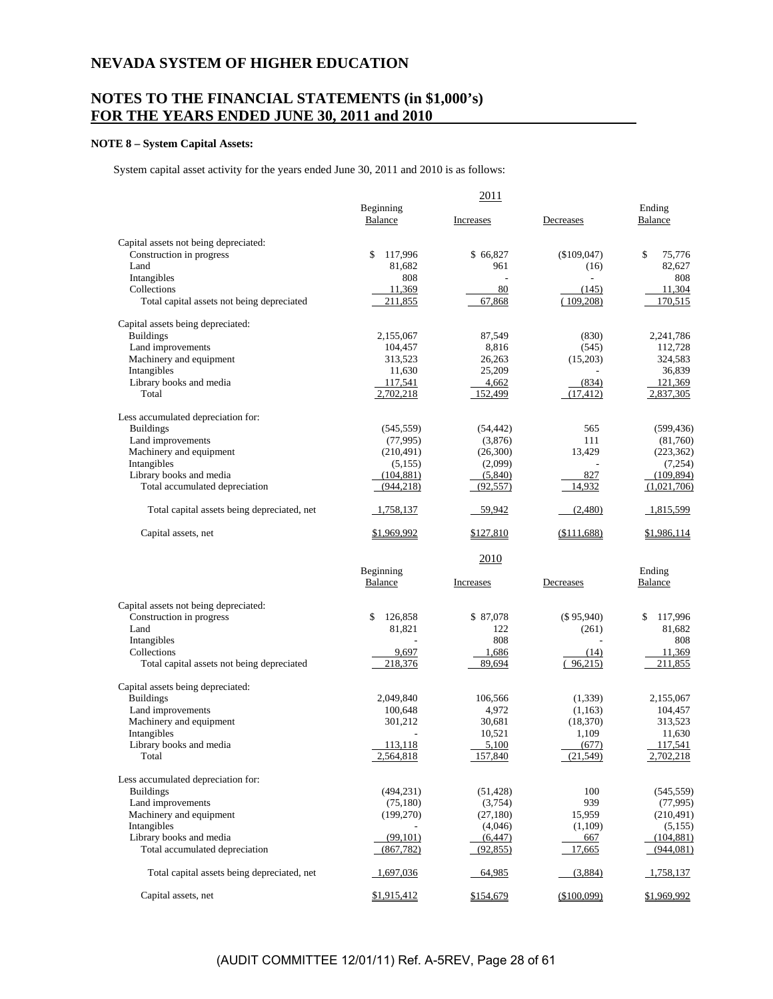### **NOTES TO THE FINANCIAL STATEMENTS (in \$1,000's) FOR THE YEARS ENDED JUNE 30, 2011 and 2010**

#### **NOTE 8 – System Capital Assets:**

System capital asset activity for the years ended June 30, 2011 and 2010 is as follows:

|                                                       |                      | 2011             |                     |                   |
|-------------------------------------------------------|----------------------|------------------|---------------------|-------------------|
|                                                       | Beginning<br>Balance | Increases        | Decreases           | Ending<br>Balance |
| Capital assets not being depreciated:                 |                      |                  |                     |                   |
| Construction in progress                              | \$<br>117,996        | \$66,827         | (\$109,047)         | \$<br>75,776      |
| Land                                                  | 81,682               | 961              | (16)                | 82,627            |
| Intangibles                                           | 808                  |                  |                     | 808               |
| Collections                                           | 11,369               | 80               | (145)               | 11,304            |
| Total capital assets not being depreciated            | 211,855              | 67,868           | (109,208)           | 170,515           |
| Capital assets being depreciated:                     |                      |                  |                     |                   |
| <b>Buildings</b>                                      | 2,155,067            | 87,549           | (830)               | 2,241,786         |
| Land improvements                                     | 104,457              | 8,816            | (545)               | 112,728           |
| Machinery and equipment                               | 313,523              | 26,263           | (15,203)            | 324,583           |
| Intangibles                                           | 11,630               | 25,209           |                     | 36,839            |
| Library books and media                               | 117,541              | 4,662            | (834)               | 121,369           |
| Total                                                 | 2,702,218            | 152,499          | (17, 412)           | 2,837,305         |
| Less accumulated depreciation for:                    |                      |                  |                     |                   |
| <b>Buildings</b>                                      | (545, 559)           | (54, 442)        | 565                 | (599, 436)        |
| Land improvements                                     | (77,995)             | (3,876)          | 111                 | (81,760)          |
| Machinery and equipment                               | (210, 491)           | (26,300)         | 13,429              | (223, 362)        |
| Intangibles                                           | (5, 155)             | (2,099)          |                     | (7,254)           |
| Library books and media                               | (104, 881)           | (5,840)          | 827                 | (109, 894)        |
| Total accumulated depreciation                        | (944, 218)           | (92, 557)        | 14,932              | (1,021,706)       |
| Total capital assets being depreciated, net           | 1,758,137            | 59,942           | (2,480)             | 1,815,599         |
| Capital assets, net                                   | \$1,969,992          | \$127,810        | ( \$111,688)        | \$1,986,114       |
|                                                       |                      | 2010             |                     |                   |
|                                                       | Beginning            |                  |                     | Ending            |
|                                                       |                      |                  |                     |                   |
|                                                       | Balance              | Increases        | Decreases           | Balance           |
|                                                       |                      |                  |                     |                   |
| Capital assets not being depreciated:                 | \$                   |                  |                     | \$                |
| Construction in progress<br>Land                      | 126,858<br>81,821    | \$ 87,078<br>122 | (\$95,940)<br>(261) | 117,996<br>81,682 |
| Intangibles                                           |                      | 808              |                     | 808               |
| Collections                                           | 9,697                | 1,686            | (14)                | 11,369            |
| Total capital assets not being depreciated            | 218,376              | 89,694           | (96,215)            | 211,855           |
|                                                       |                      |                  |                     |                   |
| Capital assets being depreciated:<br><b>Buildings</b> | 2,049,840            | 106,566          | (1, 339)            | 2,155,067         |
| Land improvements                                     | 100,648              | 4,972            | (1,163)             | 104,457           |
| Machinery and equipment                               | 301,212              | 30,681           | (18, 370)           | 313,523           |
| Intangibles                                           |                      | 10,521           | 1,109               | 11,630            |
| Library books and media                               | 113,118              | 5,100            | (677)               | 117,541           |
| Total                                                 | 2,564,818            | 157,840          | (21, 549)           | 2,702,218         |
| Less accumulated depreciation for:                    |                      |                  |                     |                   |
| <b>Buildings</b>                                      | (494, 231)           | (51, 428)        | 100                 | (545, 559)        |
| Land improvements                                     | (75,180)             | (3,754)          | 939                 | (77, 995)         |
| Machinery and equipment                               | (199,270)            | (27,180)         | 15,959              | (210, 491)        |
| Intangibles                                           |                      | (4,046)          | (1,109)             | (5,155)           |
| Library books and media                               | (99, 101)            | (6, 447)         | 667                 | (104, 881)        |
| Total accumulated depreciation                        | (867, 782)           | (92, 855)        | 17,665              | (944,081)         |
| Total capital assets being depreciated, net           | 1,697,036            | 64,985           | (3,884)             | 1,758,137         |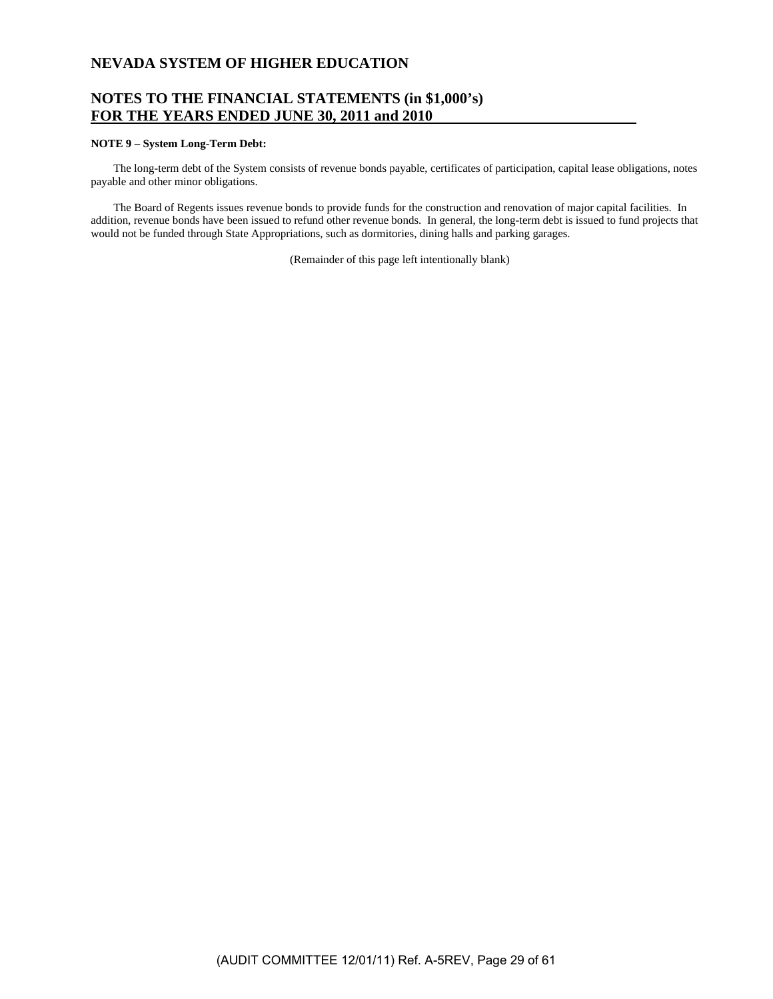### **NOTES TO THE FINANCIAL STATEMENTS (in \$1,000's) FOR THE YEARS ENDED JUNE 30, 2011 and 2010**

#### **NOTE 9 – System Long-Term Debt:**

 The long-term debt of the System consists of revenue bonds payable, certificates of participation, capital lease obligations, notes payable and other minor obligations.

 The Board of Regents issues revenue bonds to provide funds for the construction and renovation of major capital facilities. In addition, revenue bonds have been issued to refund other revenue bonds. In general, the long-term debt is issued to fund projects that would not be funded through State Appropriations, such as dormitories, dining halls and parking garages.

(Remainder of this page left intentionally blank)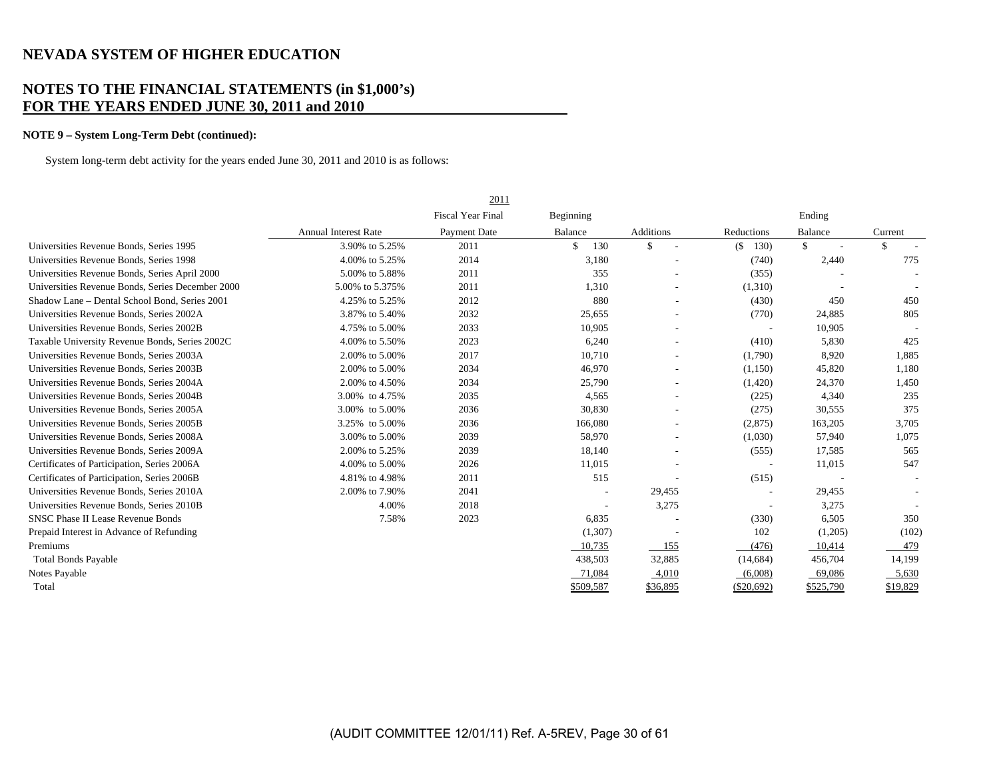### **NOTES TO THE FINANCIAL STATEMENTS (in \$1,000's) FOR THE YEARS ENDED JUNE 30, 2011 and 2010**

### **NOTE 9 – System Long-Term Debt (continued):**

System long-term debt activity for the years ended June 30, 2011 and 2010 is as follows:

|                                                  | 2011                        |                          |                          |                                |                |           |          |
|--------------------------------------------------|-----------------------------|--------------------------|--------------------------|--------------------------------|----------------|-----------|----------|
|                                                  |                             | <b>Fiscal Year Final</b> | Beginning                |                                |                | Ending    |          |
|                                                  | <b>Annual Interest Rate</b> | Payment Date             | Balance                  | <b>Additions</b>               | Reductions     | Balance   | Current  |
| Universities Revenue Bonds, Series 1995          | 3.90% to 5.25%              | 2011                     | 130<br>\$                | \$<br>$\overline{\phantom{a}}$ | $($ \$<br>130) | \$        | \$       |
| Universities Revenue Bonds, Series 1998          | 4.00% to 5.25%              | 2014                     | 3,180                    |                                | (740)          | 2,440     | 775      |
| Universities Revenue Bonds, Series April 2000    | 5.00% to 5.88%              | 2011                     | 355                      |                                | (355)          |           |          |
| Universities Revenue Bonds, Series December 2000 | 5.00% to 5.375%             | 2011                     | 1,310                    |                                | (1,310)        |           |          |
| Shadow Lane - Dental School Bond, Series 2001    | 4.25% to 5.25%              | 2012                     | 880                      |                                | (430)          | 450       | 450      |
| Universities Revenue Bonds, Series 2002A         | 3.87% to 5.40%              | 2032                     | 25,655                   |                                | (770)          | 24,885    | 805      |
| Universities Revenue Bonds, Series 2002B         | 4.75% to 5.00%              | 2033                     | 10,905                   |                                |                | 10,905    |          |
| Taxable University Revenue Bonds, Series 2002C   | 4.00% to 5.50%              | 2023                     | 6,240                    |                                | (410)          | 5,830     | 425      |
| Universities Revenue Bonds, Series 2003A         | 2.00% to 5.00%              | 2017                     | 10,710                   |                                | (1,790)        | 8,920     | 1,885    |
| Universities Revenue Bonds, Series 2003B         | 2.00% to 5.00%              | 2034                     | 46,970                   | $\overline{\phantom{a}}$       | (1,150)        | 45,820    | 1,180    |
| Universities Revenue Bonds, Series 2004A         | 2.00% to 4.50%              | 2034                     | 25,790                   |                                | (1,420)        | 24,370    | 1,450    |
| Universities Revenue Bonds, Series 2004B         | 3.00% to 4.75%              | 2035                     | 4,565                    | ۰                              | (225)          | 4,340     | 235      |
| Universities Revenue Bonds, Series 2005A         | 3.00% to 5.00%              | 2036                     | 30,830                   |                                | (275)          | 30,555    | 375      |
| Universities Revenue Bonds, Series 2005B         | 3.25% to 5.00%              | 2036                     | 166,080                  |                                | (2,875)        | 163,205   | 3,705    |
| Universities Revenue Bonds, Series 2008A         | 3.00% to 5.00%              | 2039                     | 58,970                   |                                | (1,030)        | 57,940    | 1,075    |
| Universities Revenue Bonds, Series 2009A         | 2.00% to 5.25%              | 2039                     | 18,140                   | $\overline{\phantom{a}}$       | (555)          | 17,585    | 565      |
| Certificates of Participation, Series 2006A      | 4.00% to 5.00%              | 2026                     | 11,015                   |                                |                | 11,015    | 547      |
| Certificates of Participation, Series 2006B      | 4.81% to 4.98%              | 2011                     | 515                      |                                | (515)          |           |          |
| Universities Revenue Bonds, Series 2010A         | 2.00% to 7.90%              | 2041                     | $\overline{\phantom{a}}$ | 29,455                         |                | 29,455    |          |
| Universities Revenue Bonds, Series 2010B         | 4.00%                       | 2018                     |                          | 3,275                          |                | 3,275     |          |
| SNSC Phase II Lease Revenue Bonds                | 7.58%                       | 2023                     | 6,835                    |                                | (330)          | 6,505     | 350      |
| Prepaid Interest in Advance of Refunding         |                             |                          | (1,307)                  |                                | 102            | (1,205)   | (102)    |
| Premiums                                         |                             |                          | 10,735                   | 155                            | (476)          | 10,414    | 479      |
| <b>Total Bonds Payable</b>                       |                             |                          | 438,503                  | 32,885                         | (14, 684)      | 456,704   | 14,199   |
| Notes Payable                                    |                             |                          | 71,084                   | 4,010                          | (6,008)        | 69,086    | 5,630    |
| Total                                            |                             |                          | \$509,587                | \$36,895                       | (\$20,692)     | \$525,790 | \$19,829 |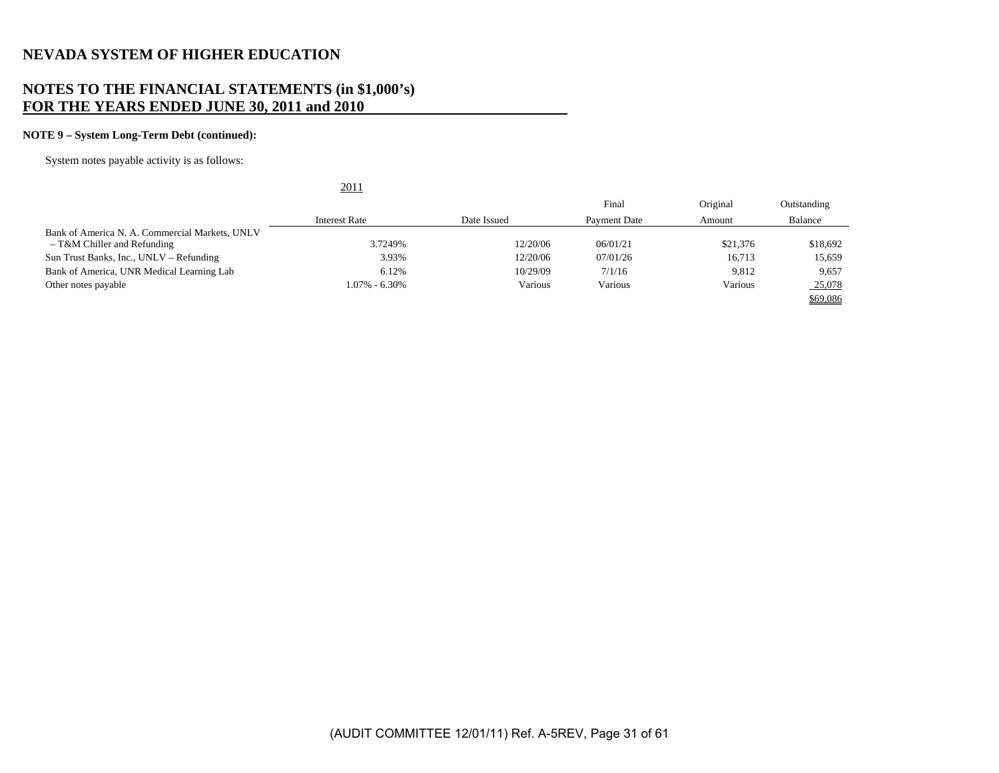### **NOTES TO THE FINANCIAL STATEMENTS (in \$1,000's) FOR THE YEARS ENDED JUNE 30, 2011 and 2010**

### **NOTE 9 – System Long-Term Debt (continued):**

System notes payable activity is as follows:

 20112011

|                                                |                      |             | Final        | Original | Outstanding |
|------------------------------------------------|----------------------|-------------|--------------|----------|-------------|
|                                                | <b>Interest Rate</b> | Date Issued | Payment Date | Amount   | Balance     |
| Bank of America N. A. Commercial Markets, UNLV |                      |             |              |          |             |
| $- T \& M$ Chiller and Refunding               | 3.7249%              | 12/20/06    | 06/01/21     | \$21,376 | \$18,692    |
| Sun Trust Banks, Inc., UNLV – Refunding        | 3.93%                | 12/20/06    | 07/01/26     | 16,713   | 15,659      |
| Bank of America, UNR Medical Learning Lab      | 6.12%                | 10/29/09    | 7/1/16       | 9.812    | 9.657       |
| Other notes payable                            | $1.07\% - 6.30\%$    | Various     | Various      | Various  | 25,078      |
|                                                |                      |             |              |          | \$69,086    |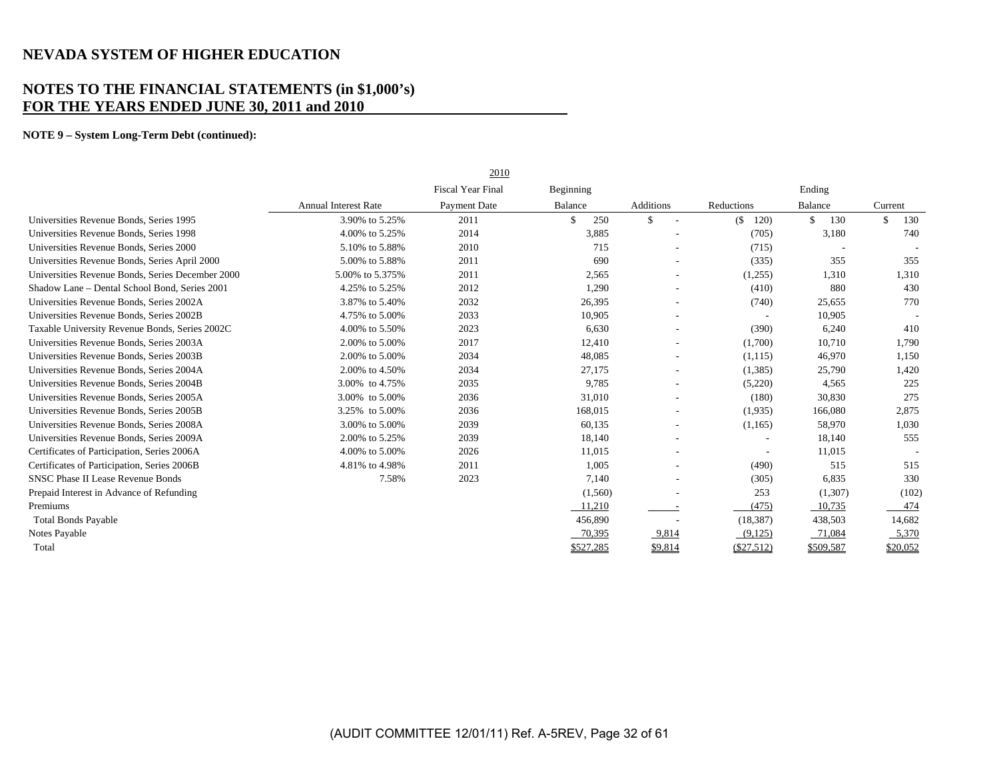### **NOTES TO THE FINANCIAL STATEMENTS (in \$1,000's) FOR THE YEARS ENDED JUNE 30, 2011 and 2010**

### **NOTE 9 – System Long-Term Debt (continued):**

|                                                  |                             | 2010                     |           |                                |                          |           |                          |
|--------------------------------------------------|-----------------------------|--------------------------|-----------|--------------------------------|--------------------------|-----------|--------------------------|
|                                                  |                             | <b>Fiscal Year Final</b> | Beginning |                                |                          | Ending    |                          |
|                                                  | <b>Annual Interest Rate</b> | <b>Payment Date</b>      | Balance   | Additions                      | Reductions               | Balance   | Current                  |
| Universities Revenue Bonds, Series 1995          | 3.90% to 5.25%              | 2011                     | 250<br>\$ | \$<br>$\overline{\phantom{a}}$ | $($ \$<br>120)           | \$<br>130 | \$<br>130                |
| Universities Revenue Bonds, Series 1998          | 4.00% to 5.25%              | 2014                     | 3,885     |                                | (705)                    | 3,180     | 740                      |
| Universities Revenue Bonds, Series 2000          | 5.10% to 5.88%              | 2010                     | 715       |                                | (715)                    |           |                          |
| Universities Revenue Bonds, Series April 2000    | 5.00% to 5.88%              | 2011                     | 690       |                                | (335)                    | 355       | 355                      |
| Universities Revenue Bonds, Series December 2000 | 5.00% to 5.375%             | 2011                     | 2,565     |                                | (1,255)                  | 1,310     | 1,310                    |
| Shadow Lane - Dental School Bond, Series 2001    | 4.25% to 5.25%              | 2012                     | 1,290     |                                | (410)                    | 880       | 430                      |
| Universities Revenue Bonds, Series 2002A         | 3.87% to 5.40%              | 2032                     | 26,395    |                                | (740)                    | 25,655    | 770                      |
| Universities Revenue Bonds, Series 2002B         | 4.75% to 5.00%              | 2033                     | 10,905    | ٠                              | $\overline{\phantom{a}}$ | 10.905    | $\overline{\phantom{a}}$ |
| Taxable University Revenue Bonds, Series 2002C   | 4.00% to 5.50%              | 2023                     | 6,630     |                                | (390)                    | 6.240     | 410                      |
| Universities Revenue Bonds, Series 2003A         | 2.00% to 5.00%              | 2017                     | 12,410    |                                | (1,700)                  | 10.710    | 1,790                    |
| Universities Revenue Bonds, Series 2003B         | 2.00% to 5.00%              | 2034                     | 48,085    |                                | (1,115)                  | 46,970    | 1,150                    |
| Universities Revenue Bonds, Series 2004A         | 2.00% to 4.50%              | 2034                     | 27,175    | $\overline{\phantom{a}}$       | (1,385)                  | 25,790    | 1,420                    |
| Universities Revenue Bonds, Series 2004B         | 3.00% to 4.75%              | 2035                     | 9.785     |                                | (5,220)                  | 4,565     | 225                      |
| Universities Revenue Bonds, Series 2005A         | 3.00% to 5.00%              | 2036                     | 31,010    |                                | (180)                    | 30,830    | 275                      |
| Universities Revenue Bonds, Series 2005B         | 3.25% to 5.00%              | 2036                     | 168,015   |                                | (1,935)                  | 166,080   | 2,875                    |
| Universities Revenue Bonds, Series 2008A         | 3.00% to 5.00%              | 2039                     | 60,135    |                                | (1,165)                  | 58,970    | 1,030                    |
| Universities Revenue Bonds, Series 2009A         | 2.00% to 5.25%              | 2039                     | 18,140    | ٠                              |                          | 18,140    | 555                      |
| Certificates of Participation, Series 2006A      | 4.00% to 5.00%              | 2026                     | 11,015    |                                |                          | 11.015    |                          |
| Certificates of Participation, Series 2006B      | 4.81% to 4.98%              | 2011                     | 1,005     |                                | (490)                    | 515       | 515                      |
| <b>SNSC Phase II Lease Revenue Bonds</b>         | 7.58%                       | 2023                     | 7.140     |                                | (305)                    | 6,835     | 330                      |
| Prepaid Interest in Advance of Refunding         |                             |                          | (1,560)   |                                | 253                      | (1,307)   | (102)                    |
| Premiums                                         |                             |                          | 11,210    |                                | (475)                    | 10,735    | 474                      |
| <b>Total Bonds Payable</b>                       |                             |                          | 456,890   |                                | (18, 387)                | 438,503   | 14,682                   |
| Notes Payable                                    |                             |                          | 70,395    | 9,814                          | (9,125)                  | 71.084    | 5,370                    |
| Total                                            |                             |                          | \$527,285 | \$9,814                        | (\$27,512)               | \$509,587 | \$20,052                 |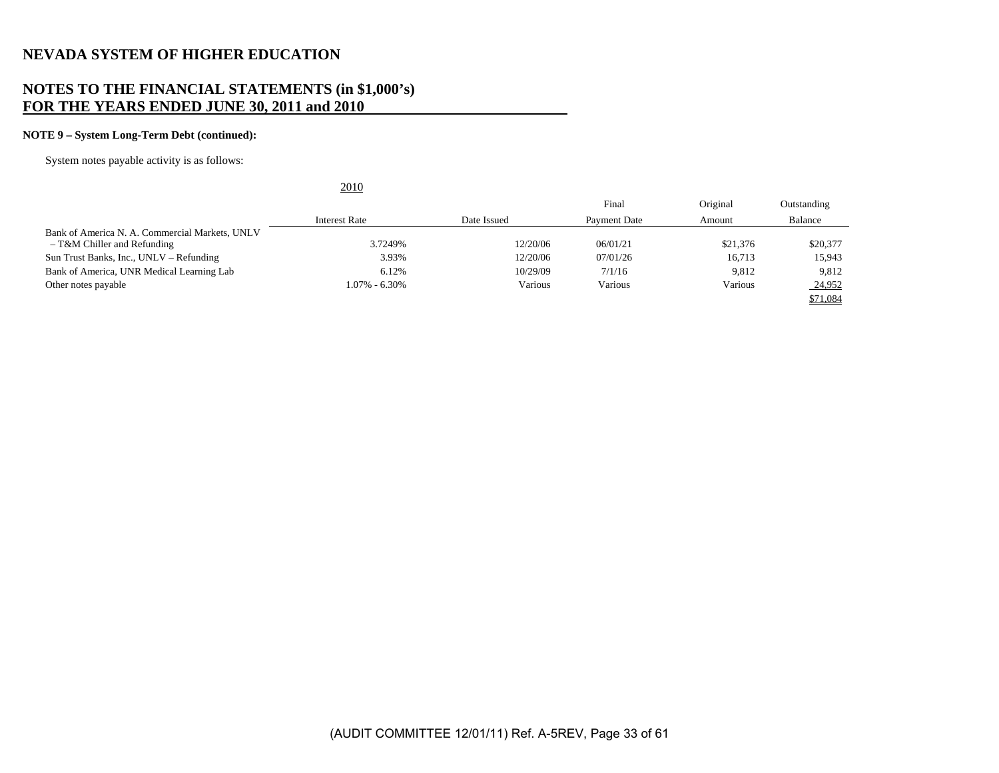### **NOTES TO THE FINANCIAL STATEMENTS (in \$1,000's) FOR THE YEARS ENDED JUNE 30, 2011 and 2010**

### **NOTE 9 – System Long-Term Debt (continued):**

System notes payable activity is as follows:

 20102010

|                                                |               |             | Final        | Original | Outstanding |
|------------------------------------------------|---------------|-------------|--------------|----------|-------------|
|                                                | Interest Rate | Date Issued | Payment Date | Amount   | Balance     |
| Bank of America N. A. Commercial Markets, UNLV |               |             |              |          |             |
| $- T \& M$ Chiller and Refunding               | 3.7249%       | 12/20/06    | 06/01/21     | \$21,376 | \$20,377    |
| Sun Trust Banks, Inc., UNLV – Refunding        | 3.93%         | 12/20/06    | 07/01/26     | 16.713   | 15.943      |
| Bank of America, UNR Medical Learning Lab      | 6.12%         | 10/29/09    | 7/1/16       | 9,812    | 9.812       |
| Other notes payable                            | 1.07% - 6.30% | Various     | Various      | Various  | 24,952      |
|                                                |               |             |              |          | \$71,084    |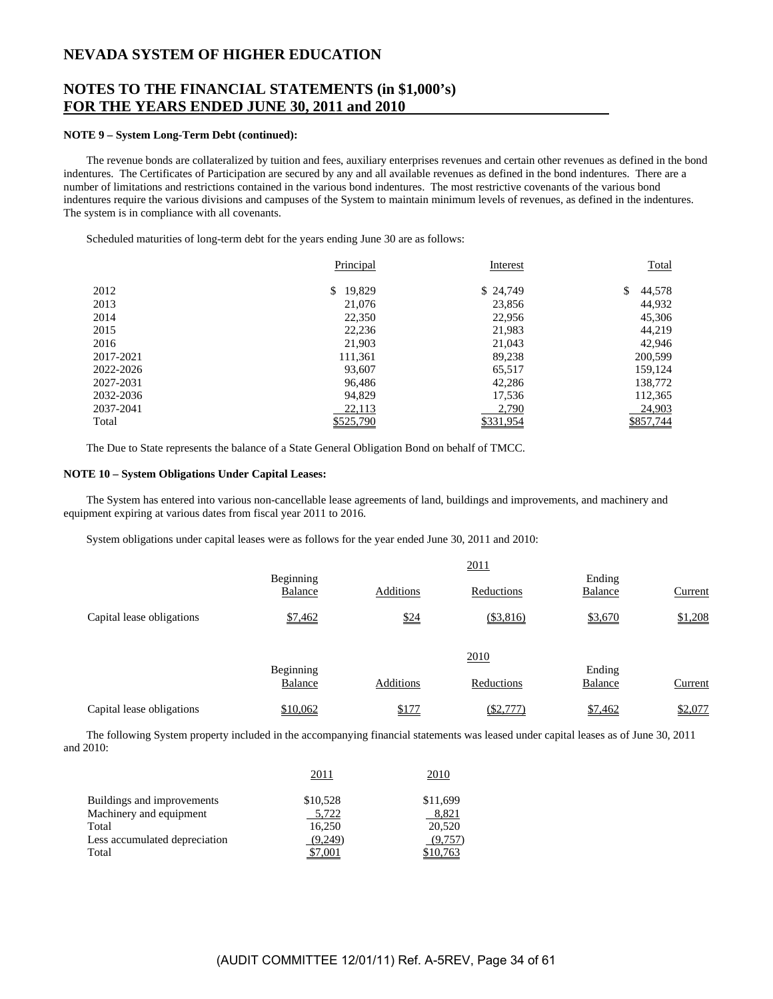### **NOTES TO THE FINANCIAL STATEMENTS (in \$1,000's) FOR THE YEARS ENDED JUNE 30, 2011 and 2010**

#### **NOTE 9 – System Long-Term Debt (continued):**

 The revenue bonds are collateralized by tuition and fees, auxiliary enterprises revenues and certain other revenues as defined in the bond indentures. The Certificates of Participation are secured by any and all available revenues as defined in the bond indentures. There are a number of limitations and restrictions contained in the various bond indentures. The most restrictive covenants of the various bond indentures require the various divisions and campuses of the System to maintain minimum levels of revenues, as defined in the indentures. The system is in compliance with all covenants.

Scheduled maturities of long-term debt for the years ending June 30 are as follows:

|           | Principal              | Interest  | Total        |
|-----------|------------------------|-----------|--------------|
| 2012      | 19,829<br>$\mathbb{S}$ | \$24,749  | \$<br>44,578 |
| 2013      | 21,076                 | 23,856    | 44,932       |
| 2014      | 22,350                 | 22,956    | 45,306       |
| 2015      | 22,236                 | 21,983    | 44,219       |
| 2016      | 21,903                 | 21,043    | 42,946       |
| 2017-2021 | 111,361                | 89,238    | 200,599      |
| 2022-2026 | 93,607                 | 65,517    | 159,124      |
| 2027-2031 | 96,486                 | 42,286    | 138,772      |
| 2032-2036 | 94,829                 | 17,536    | 112,365      |
| 2037-2041 | 22,113                 | 2,790     | 24,903       |
| Total     | \$525,790              | \$331,954 | \$857,744    |

The Due to State represents the balance of a State General Obligation Bond on behalf of TMCC.

#### **NOTE 10 – System Obligations Under Capital Leases:**

The System has entered into various non-cancellable lease agreements of land, buildings and improvements, and machinery and equipment expiring at various dates from fiscal year 2011 to 2016.

System obligations under capital leases were as follows for the year ended June 30, 2011 and 2010:

|                           |                             |                  | 2011        |                          |         |
|---------------------------|-----------------------------|------------------|-------------|--------------------------|---------|
|                           | Beginning<br><b>Balance</b> | <b>Additions</b> | Reductions  | Ending<br><b>Balance</b> | Current |
| Capital lease obligations | \$7,462                     | \$24             | (\$3,816)   | \$3,670                  | \$1,208 |
|                           |                             |                  | 2010        |                          |         |
|                           | Beginning<br><b>Balance</b> | Additions        | Reductions  | Ending<br><b>Balance</b> | Current |
| Capital lease obligations | \$10,062                    | \$177            | $(\$2,777)$ | \$7,462                  | \$2,077 |

The following System property included in the accompanying financial statements was leased under capital leases as of June 30, 2011 and 2010:

|                               | 2011     | 2010     |
|-------------------------------|----------|----------|
| Buildings and improvements    | \$10,528 | \$11,699 |
| Machinery and equipment       | 5,722    | 8.821    |
| Total                         | 16.250   | 20,520   |
| Less accumulated depreciation | (9,249)  | (9,757)  |
| Total                         | .001     | \$10.763 |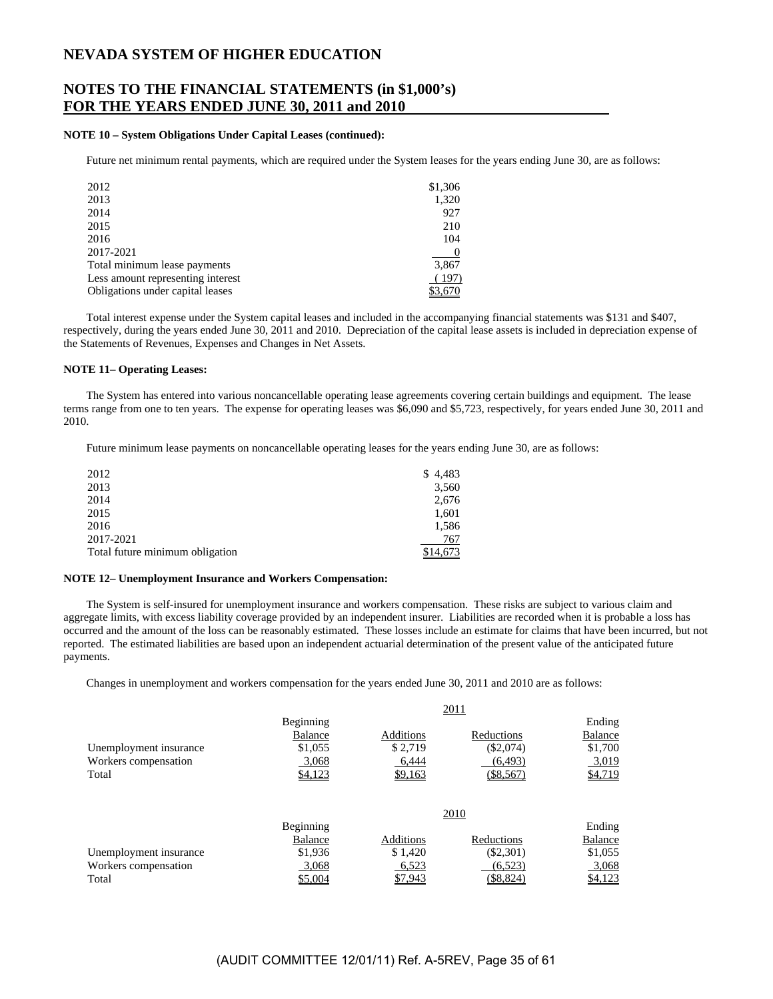### **NOTES TO THE FINANCIAL STATEMENTS (in \$1,000's) FOR THE YEARS ENDED JUNE 30, 2011 and 2010**

#### **NOTE 10 – System Obligations Under Capital Leases (continued):**

Future net minimum rental payments, which are required under the System leases for the years ending June 30, are as follows:

| 2012                              | \$1,306 |
|-----------------------------------|---------|
| 2013                              | 1,320   |
| 2014                              | 927     |
| 2015                              | 210     |
| 2016                              | 104     |
| 2017-2021                         |         |
| Total minimum lease payments      | 3,867   |
| Less amount representing interest | (197)   |
| Obligations under capital leases  |         |

 Total interest expense under the System capital leases and included in the accompanying financial statements was \$131 and \$407, respectively, during the years ended June 30, 2011 and 2010. Depreciation of the capital lease assets is included in depreciation expense of the Statements of Revenues, Expenses and Changes in Net Assets.

#### **NOTE 11– Operating Leases:**

 The System has entered into various noncancellable operating lease agreements covering certain buildings and equipment. The lease terms range from one to ten years. The expense for operating leases was \$6,090 and \$5,723, respectively, for years ended June 30, 2011 and 2010.

Future minimum lease payments on noncancellable operating leases for the years ending June 30, are as follows:

| 2012                            | \$4,483  |
|---------------------------------|----------|
| 2013                            | 3,560    |
| 2014                            | 2,676    |
| 2015                            | 1,601    |
| 2016                            | 1,586    |
| 2017-2021                       | 767      |
| Total future minimum obligation | \$14,673 |

#### **NOTE 12– Unemployment Insurance and Workers Compensation:**

 The System is self-insured for unemployment insurance and workers compensation. These risks are subject to various claim and aggregate limits, with excess liability coverage provided by an independent insurer. Liabilities are recorded when it is probable a loss has occurred and the amount of the loss can be reasonably estimated. These losses include an estimate for claims that have been incurred, but not reported. The estimated liabilities are based upon an independent actuarial determination of the present value of the anticipated future payments.

Changes in unemployment and workers compensation for the years ended June 30, 2011 and 2010 are as follows:

|                        |                |           | 2011        |                |
|------------------------|----------------|-----------|-------------|----------------|
|                        | Beginning      |           |             | Ending         |
|                        | <b>Balance</b> | Additions | Reductions  | Balance        |
| Unemployment insurance | \$1,055        | \$2,719   | $(\$2,074)$ | \$1,700        |
| Workers compensation   | 3,068          | 6,444     | (6, 493)    | 3,019          |
| Total                  | \$4,123        | \$9,163   | $(\$8,567)$ | \$4,719        |
|                        |                |           |             |                |
|                        | Beginning      |           | 2010        |                |
|                        |                |           |             | Ending         |
|                        | <b>Balance</b> | Additions | Reductions  | Balance        |
| Unemployment insurance | \$1,936        | \$1,420   | $(\$2,301)$ | \$1,055        |
| Workers compensation   | 3,068          | 6,523     | (6, 523)    | 3,068          |
| Total                  | \$5,004        | \$7,943   | $(\$8,824)$ | <u>\$4,123</u> |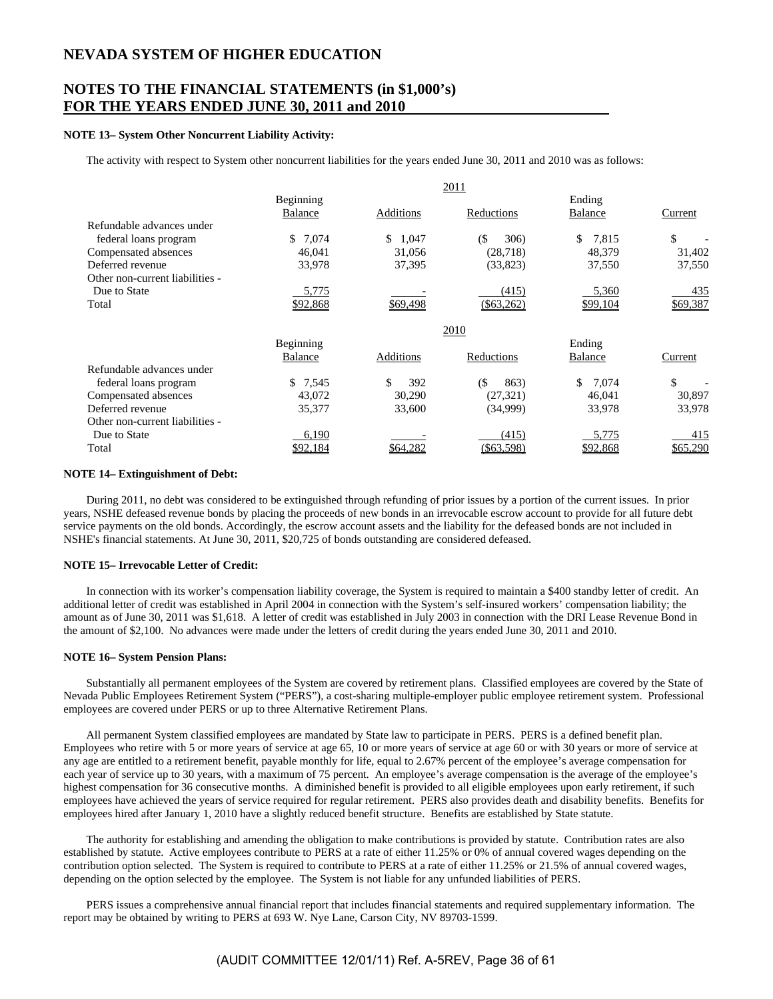### **NOTES TO THE FINANCIAL STATEMENTS (in \$1,000's) FOR THE YEARS ENDED JUNE 30, 2011 and 2010**

#### **NOTE 13– System Other Noncurrent Liability Activity:**

The activity with respect to System other noncurrent liabilities for the years ended June 30, 2011 and 2010 was as follows:

|                                 |                |              | 2011           |                |          |
|---------------------------------|----------------|--------------|----------------|----------------|----------|
|                                 | Beginning      |              |                | Ending         |          |
|                                 | <b>Balance</b> | Additions    | Reductions     | <b>Balance</b> | Current  |
| Refundable advances under       |                |              |                |                |          |
| federal loans program           | 7,074<br>S.    | \$.<br>1.047 | $($ \$<br>306) | 7,815<br>\$.   | \$       |
| Compensated absences            | 46,041         | 31,056       | (28, 718)      | 48,379         | 31,402   |
| Deferred revenue                | 33,978         | 37,395       | (33, 823)      | 37,550         | 37,550   |
| Other non-current liabilities - |                |              |                |                |          |
| Due to State                    | 5,775          |              | (415)          | 5,360          | 435      |
| Total                           | \$92,868       | \$69,498     | $($ \$63,262)  | \$99,104       | \$69,387 |
|                                 |                |              | 2010           |                |          |
|                                 | Beginning      |              |                | Ending         |          |
|                                 | <b>Balance</b> | Additions    | Reductions     | <b>Balance</b> | Current  |
| Refundable advances under       |                |              |                |                |          |
| federal loans program           | \$7,545        | \$.<br>392   | $($ \$<br>863) | \$<br>7.074    | \$       |
| Compensated absences            | 43,072         | 30,290       | (27, 321)      | 46,041         | 30,897   |
| Deferred revenue                | 35,377         | 33,600       | (34,999)       | 33,978         | 33,978   |
| Other non-current liabilities - |                |              |                |                |          |
| Due to State                    | 6,190          |              | (415)          | 5,775          | 415      |
| Total                           | \$92,184       | \$64,282     | $(\$63,598)$   | \$92,868       | \$65,290 |

2011

#### **NOTE 14– Extinguishment of Debt:**

 During 2011, no debt was considered to be extinguished through refunding of prior issues by a portion of the current issues. In prior years, NSHE defeased revenue bonds by placing the proceeds of new bonds in an irrevocable escrow account to provide for all future debt service payments on the old bonds. Accordingly, the escrow account assets and the liability for the defeased bonds are not included in NSHE's financial statements. At June 30, 2011, \$20,725 of bonds outstanding are considered defeased.

#### **NOTE 15– Irrevocable Letter of Credit:**

 In connection with its worker's compensation liability coverage, the System is required to maintain a \$400 standby letter of credit. An additional letter of credit was established in April 2004 in connection with the System's self-insured workers' compensation liability; the amount as of June 30, 2011 was \$1,618. A letter of credit was established in July 2003 in connection with the DRI Lease Revenue Bond in the amount of \$2,100. No advances were made under the letters of credit during the years ended June 30, 2011 and 2010.

#### **NOTE 16– System Pension Plans:**

 Substantially all permanent employees of the System are covered by retirement plans. Classified employees are covered by the State of Nevada Public Employees Retirement System ("PERS"), a cost-sharing multiple-employer public employee retirement system. Professional employees are covered under PERS or up to three Alternative Retirement Plans.

 All permanent System classified employees are mandated by State law to participate in PERS. PERS is a defined benefit plan. Employees who retire with 5 or more years of service at age 65, 10 or more years of service at age 60 or with 30 years or more of service at any age are entitled to a retirement benefit, payable monthly for life, equal to 2.67% percent of the employee's average compensation for each year of service up to 30 years, with a maximum of 75 percent. An employee's average compensation is the average of the employee's highest compensation for 36 consecutive months. A diminished benefit is provided to all eligible employees upon early retirement, if such employees have achieved the years of service required for regular retirement. PERS also provides death and disability benefits. Benefits for employees hired after January 1, 2010 have a slightly reduced benefit structure. Benefits are established by State statute.

 The authority for establishing and amending the obligation to make contributions is provided by statute. Contribution rates are also established by statute. Active employees contribute to PERS at a rate of either 11.25% or 0% of annual covered wages depending on the contribution option selected. The System is required to contribute to PERS at a rate of either 11.25% or 21.5% of annual covered wages, depending on the option selected by the employee. The System is not liable for any unfunded liabilities of PERS.

 PERS issues a comprehensive annual financial report that includes financial statements and required supplementary information. The report may be obtained by writing to PERS at 693 W. Nye Lane, Carson City, NV 89703-1599.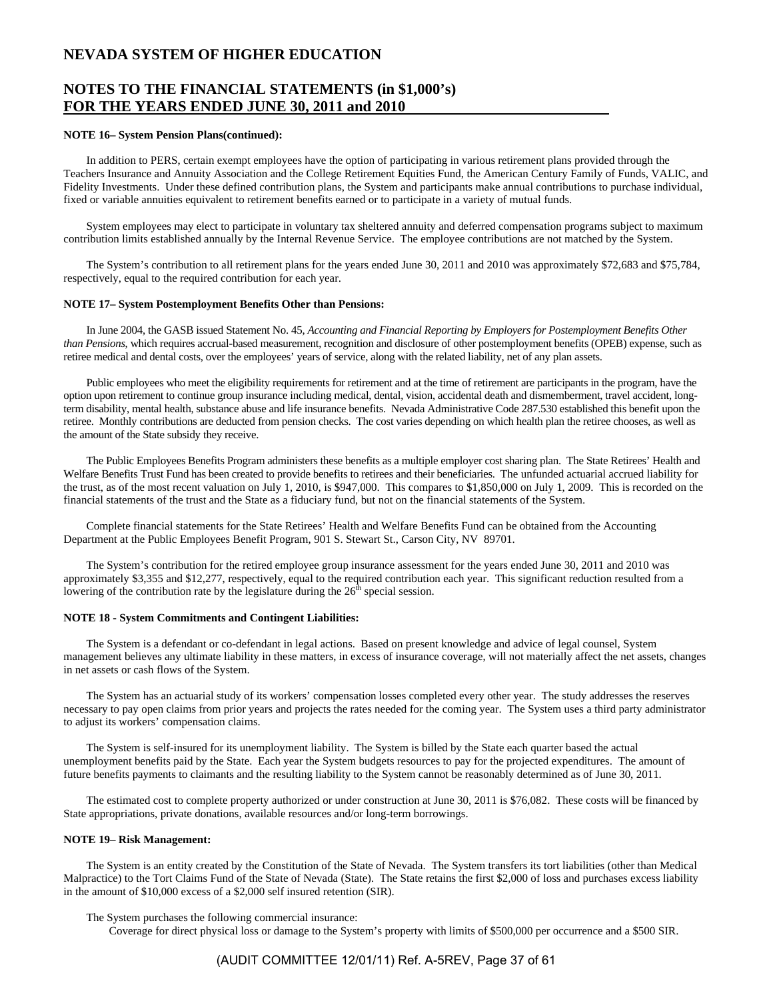### **NOTES TO THE FINANCIAL STATEMENTS (in \$1,000's) FOR THE YEARS ENDED JUNE 30, 2011 and 2010**

#### **NOTE 16– System Pension Plans(continued):**

 In addition to PERS, certain exempt employees have the option of participating in various retirement plans provided through the Teachers Insurance and Annuity Association and the College Retirement Equities Fund, the American Century Family of Funds, VALIC, and Fidelity Investments. Under these defined contribution plans, the System and participants make annual contributions to purchase individual, fixed or variable annuities equivalent to retirement benefits earned or to participate in a variety of mutual funds.

 System employees may elect to participate in voluntary tax sheltered annuity and deferred compensation programs subject to maximum contribution limits established annually by the Internal Revenue Service. The employee contributions are not matched by the System.

 The System's contribution to all retirement plans for the years ended June 30, 2011 and 2010 was approximately \$72,683 and \$75,784, respectively, equal to the required contribution for each year.

#### **NOTE 17– System Postemployment Benefits Other than Pensions:**

In June 2004, the GASB issued Statement No. 45, *Accounting and Financial Reporting by Employers for Postemployment Benefits Other than Pensions*, which requires accrual-based measurement, recognition and disclosure of other postemployment benefits (OPEB) expense, such as retiree medical and dental costs, over the employees' years of service, along with the related liability, net of any plan assets.

Public employees who meet the eligibility requirements for retirement and at the time of retirement are participants in the program, have the option upon retirement to continue group insurance including medical, dental, vision, accidental death and dismemberment, travel accident, longterm disability, mental health, substance abuse and life insurance benefits. Nevada Administrative Code 287.530 established this benefit upon the retiree. Monthly contributions are deducted from pension checks. The cost varies depending on which health plan the retiree chooses, as well as the amount of the State subsidy they receive.

The Public Employees Benefits Program administers these benefits as a multiple employer cost sharing plan. The State Retirees' Health and Welfare Benefits Trust Fund has been created to provide benefits to retirees and their beneficiaries. The unfunded actuarial accrued liability for the trust, as of the most recent valuation on July 1, 2010, is \$947,000. This compares to \$1,850,000 on July 1, 2009. This is recorded on the financial statements of the trust and the State as a fiduciary fund, but not on the financial statements of the System.

Complete financial statements for the State Retirees' Health and Welfare Benefits Fund can be obtained from the Accounting Department at the Public Employees Benefit Program, 901 S. Stewart St., Carson City, NV 89701.

 The System's contribution for the retired employee group insurance assessment for the years ended June 30, 2011 and 2010 was approximately \$3,355 and \$12,277, respectively, equal to the required contribution each year. This significant reduction resulted from a lowering of the contribution rate by the legislature during the  $26<sup>th</sup>$  special session.

#### **NOTE 18 - System Commitments and Contingent Liabilities:**

 The System is a defendant or co-defendant in legal actions. Based on present knowledge and advice of legal counsel, System management believes any ultimate liability in these matters, in excess of insurance coverage, will not materially affect the net assets, changes in net assets or cash flows of the System.

 The System has an actuarial study of its workers' compensation losses completed every other year. The study addresses the reserves necessary to pay open claims from prior years and projects the rates needed for the coming year. The System uses a third party administrator to adjust its workers' compensation claims.

 The System is self-insured for its unemployment liability. The System is billed by the State each quarter based the actual unemployment benefits paid by the State. Each year the System budgets resources to pay for the projected expenditures. The amount of future benefits payments to claimants and the resulting liability to the System cannot be reasonably determined as of June 30, 2011.

 The estimated cost to complete property authorized or under construction at June 30, 2011 is \$76,082. These costs will be financed by State appropriations, private donations, available resources and/or long-term borrowings.

#### **NOTE 19– Risk Management:**

 The System is an entity created by the Constitution of the State of Nevada. The System transfers its tort liabilities (other than Medical Malpractice) to the Tort Claims Fund of the State of Nevada (State). The State retains the first \$2,000 of loss and purchases excess liability in the amount of \$10,000 excess of a \$2,000 self insured retention (SIR).

The System purchases the following commercial insurance:

Coverage for direct physical loss or damage to the System's property with limits of \$500,000 per occurrence and a \$500 SIR.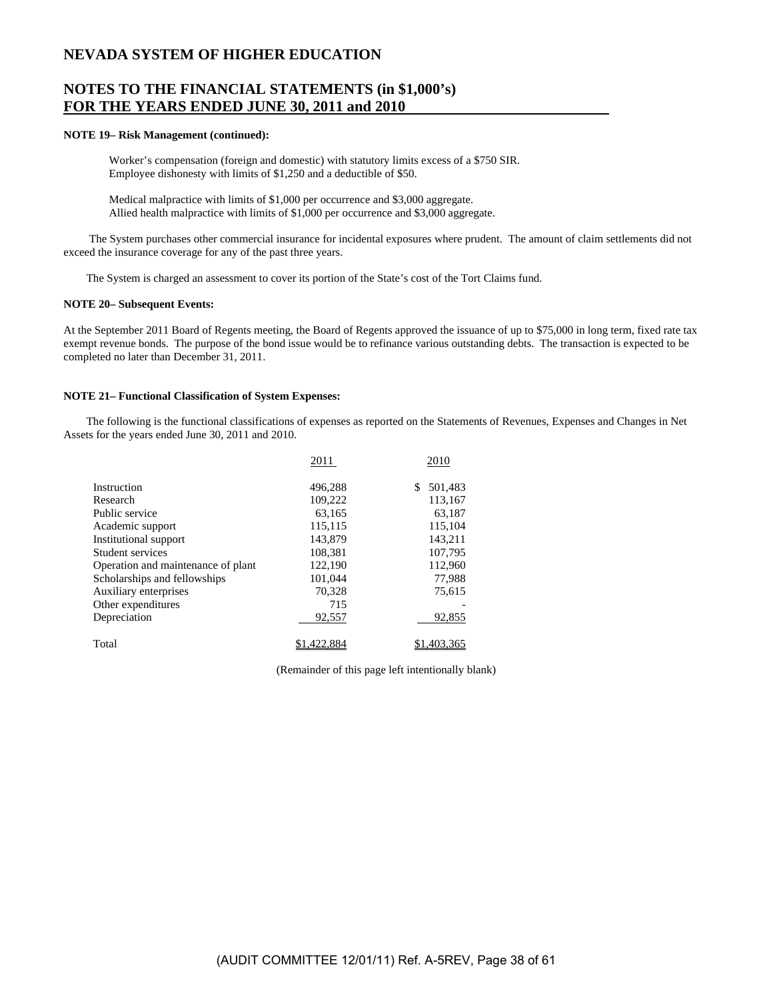### **NOTES TO THE FINANCIAL STATEMENTS (in \$1,000's) FOR THE YEARS ENDED JUNE 30, 2011 and 2010**

#### **NOTE 19– Risk Management (continued):**

Worker's compensation (foreign and domestic) with statutory limits excess of a \$750 SIR. Employee dishonesty with limits of \$1,250 and a deductible of \$50.

Medical malpractice with limits of \$1,000 per occurrence and \$3,000 aggregate. Allied health malpractice with limits of \$1,000 per occurrence and \$3,000 aggregate.

 The System purchases other commercial insurance for incidental exposures where prudent. The amount of claim settlements did not exceed the insurance coverage for any of the past three years.

The System is charged an assessment to cover its portion of the State's cost of the Tort Claims fund.

#### **NOTE 20– Subsequent Events:**

At the September 2011 Board of Regents meeting, the Board of Regents approved the issuance of up to \$75,000 in long term, fixed rate tax exempt revenue bonds. The purpose of the bond issue would be to refinance various outstanding debts. The transaction is expected to be completed no later than December 31, 2011.

#### **NOTE 21– Functional Classification of System Expenses:**

The following is the functional classifications of expenses as reported on the Statements of Revenues, Expenses and Changes in Net Assets for the years ended June 30, 2011 and 2010.

| 501,483<br>113,167 |
|--------------------|
|                    |
|                    |
| 63,187             |
| 115,104            |
| 143.211            |
| 107,795            |
| 112,960            |
| 77.988             |
| 75,615             |
|                    |
| 92,855             |
|                    |
|                    |

(Remainder of this page left intentionally blank)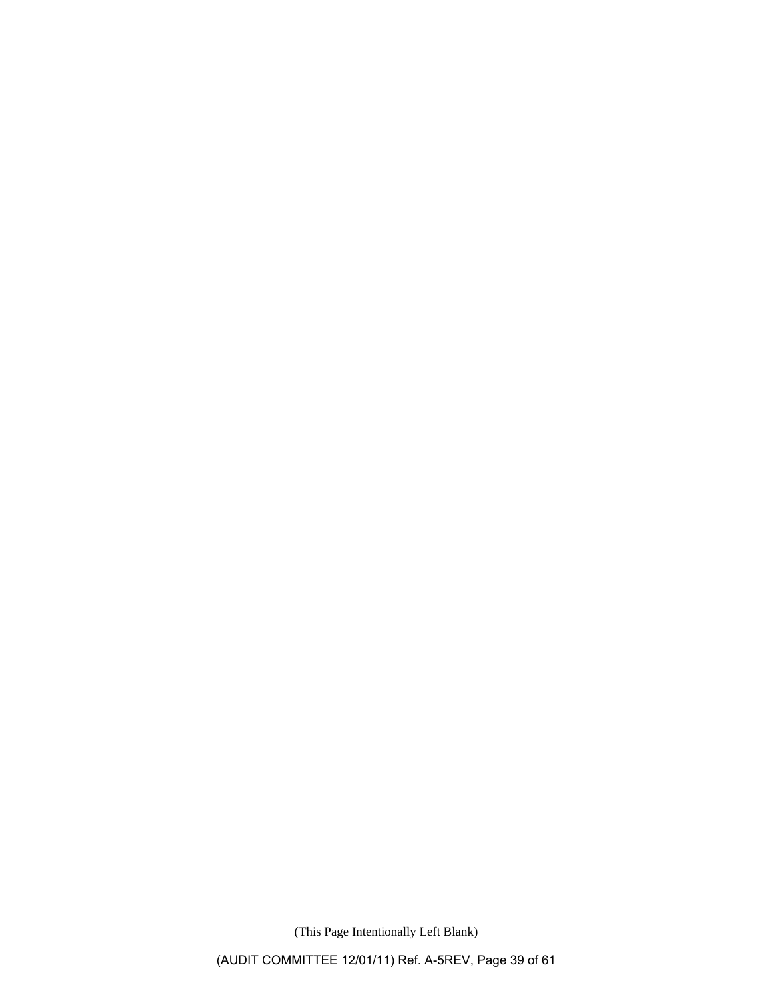(This Page Intentionally Left Blank)

(AUDIT COMMITTEE 12/01/11) Ref. A-5REV, Page 39 of 61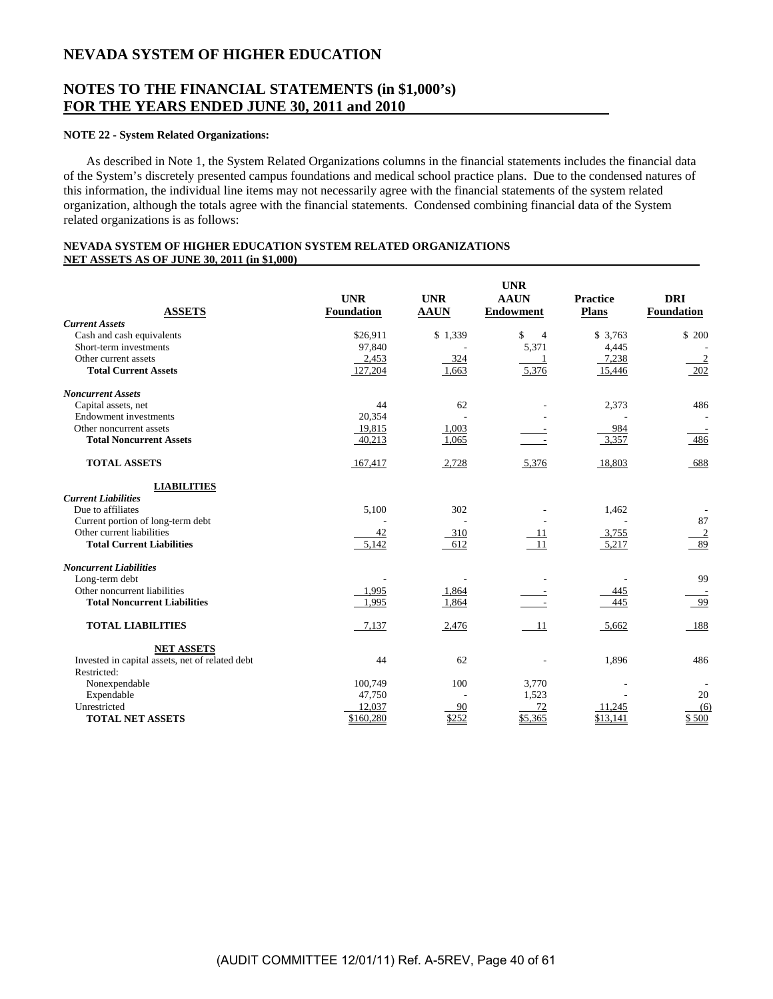### **NOTES TO THE FINANCIAL STATEMENTS (in \$1,000's) FOR THE YEARS ENDED JUNE 30, 2011 and 2010**

#### **NOTE 22 - System Related Organizations:**

 As described in Note 1, the System Related Organizations columns in the financial statements includes the financial data of the System's discretely presented campus foundations and medical school practice plans. Due to the condensed natures of this information, the individual line items may not necessarily agree with the financial statements of the system related organization, although the totals agree with the financial statements. Condensed combining financial data of the System related organizations is as follows:

#### **NEVADA SYSTEM OF HIGHER EDUCATION SYSTEM RELATED ORGANIZATIONS NET ASSETS AS OF JUNE 30, 2011 (in \$1,000)**

| <b>ASSETS</b>                                   | <b>UNR</b><br><b>Foundation</b> | <b>UNR</b><br><b>AAUN</b> | <b>UNR</b><br><b>AAUN</b><br><b>Endowment</b> | <b>Practice</b><br><b>Plans</b> | <b>DRI</b><br><b>Foundation</b> |
|-------------------------------------------------|---------------------------------|---------------------------|-----------------------------------------------|---------------------------------|---------------------------------|
| <b>Current Assets</b>                           |                                 |                           |                                               |                                 |                                 |
| Cash and cash equivalents                       | \$26,911                        | \$1,339                   | \$<br>$\overline{4}$                          | \$3,763                         | \$200                           |
| Short-term investments                          | 97,840                          |                           | 5,371                                         | 4,445                           |                                 |
| Other current assets                            | 2,453                           | 324                       |                                               | 7,238                           | $\overline{c}$                  |
| <b>Total Current Assets</b>                     | 127,204                         | 1,663                     | 5,376                                         | 15,446                          | 202                             |
| <b>Noncurrent Assets</b>                        |                                 |                           |                                               |                                 |                                 |
| Capital assets, net                             | 44                              | 62                        |                                               | 2,373                           | 486                             |
| <b>Endowment</b> investments                    | 20,354                          |                           |                                               |                                 |                                 |
| Other noncurrent assets                         | 19,815                          | 1,003                     |                                               | 984                             |                                 |
| <b>Total Noncurrent Assets</b>                  | 40,213                          | 1,065                     | $\overline{\phantom{a}}$                      | 3,357                           | 486                             |
| <b>TOTAL ASSETS</b>                             | 167,417                         | 2,728                     | 5,376                                         | 18,803                          | 688                             |
| <b>LIABILITIES</b>                              |                                 |                           |                                               |                                 |                                 |
| <b>Current Liabilities</b>                      |                                 |                           |                                               |                                 |                                 |
| Due to affiliates                               | 5,100                           | 302                       |                                               | 1,462                           |                                 |
| Current portion of long-term debt               |                                 |                           |                                               |                                 | 87                              |
| Other current liabilities                       | 42                              | 310                       | -11                                           | 3,755                           | $\overline{c}$                  |
| <b>Total Current Liabilities</b>                | 5.142                           | 612                       | 11                                            | 5,217                           | 89                              |
| <b>Noncurrent Liabilities</b>                   |                                 |                           |                                               |                                 |                                 |
| Long-term debt                                  |                                 |                           |                                               |                                 | 99                              |
| Other noncurrent liabilities                    | 1,995                           | 1,864                     |                                               | 445                             |                                 |
| <b>Total Noncurrent Liabilities</b>             | 1,995                           | 1,864                     |                                               | 445                             | 99                              |
| <b>TOTAL LIABILITIES</b>                        | 7,137                           | 2,476                     | 11                                            | 5,662                           | 188                             |
| <b>NET ASSETS</b>                               |                                 |                           |                                               |                                 |                                 |
| Invested in capital assets, net of related debt | 44                              | 62                        |                                               | 1,896                           | 486                             |
| Restricted:                                     |                                 |                           |                                               |                                 |                                 |
| Nonexpendable                                   | 100,749                         | 100                       | 3,770                                         |                                 | $\overline{\phantom{a}}$        |
| Expendable                                      | 47,750                          |                           | 1,523                                         |                                 | 20                              |
| Unrestricted                                    | 12,037                          | 90                        | 72                                            | 11.245                          | (6)                             |
| <b>TOTAL NET ASSETS</b>                         | \$160,280                       | \$252                     | \$5,365                                       | \$13,141                        | \$500                           |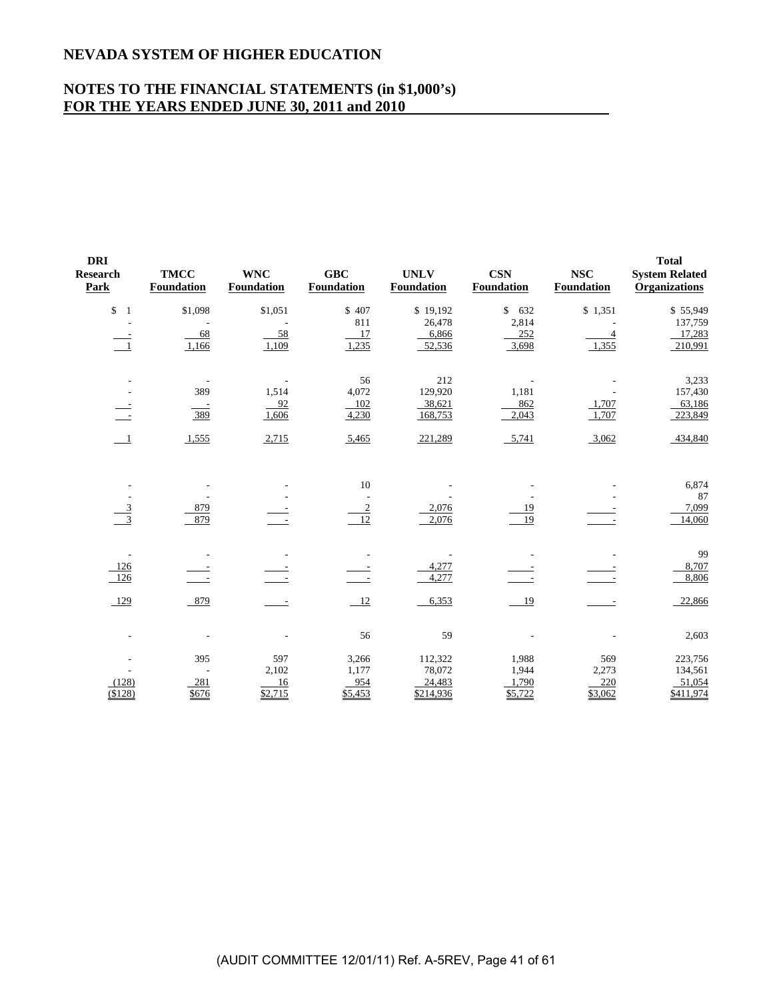### **NOTES TO THE FINANCIAL STATEMENTS (in \$1,000's) FOR THE YEARS ENDED JUNE 30, 2011 and 2010**

| <b>DRI</b><br>Research<br>Park | <b>TMCC</b><br><b>Foundation</b> | <b>WNC</b><br><b>Foundation</b> | <b>GBC</b><br><b>Foundation</b> | <b>UNLV</b><br><b>Foundation</b> | <b>CSN</b><br><b>Foundation</b> | $\mathbf{NSC}$<br><b>Foundation</b> | <b>Total</b><br><b>System Related</b><br><b>Organizations</b> |
|--------------------------------|----------------------------------|---------------------------------|---------------------------------|----------------------------------|---------------------------------|-------------------------------------|---------------------------------------------------------------|
| \$<br>$\overline{1}$           | \$1,098                          | \$1,051                         | \$ 407                          | \$19,192                         | \$632                           | \$1,351                             | \$55,949                                                      |
|                                |                                  |                                 | 811                             | 26,478                           | 2,814                           |                                     | 137,759                                                       |
|                                | 68<br>1,166                      | 58<br>1,109                     | 17<br>1,235                     | 6,866<br>52,536                  | 252<br>3,698                    | 4<br>1,355                          | 17,283<br>210,991                                             |
|                                | $\overline{\phantom{a}}$         |                                 | 56                              | 212                              |                                 |                                     | 3,233                                                         |
|                                | 389                              | 1,514                           | 4,072                           | 129,920                          | 1,181                           |                                     | 157,430                                                       |
|                                | 389                              | 92<br>1,606                     | 102<br>4,230                    | 38,621<br>168,753                | 862<br>2,043                    | 1,707<br>1,707                      | 63,186<br>223,849                                             |
| $\overline{1}$                 | 1,555                            | 2,715                           | 5,465                           | 221,289                          | 5,741                           | 3,062                               | 434,840                                                       |
|                                |                                  |                                 |                                 |                                  |                                 |                                     |                                                               |
|                                |                                  |                                 | 10<br>$\overline{\phantom{a}}$  |                                  |                                 |                                     | 6,874<br>87                                                   |
|                                | 879                              |                                 | $\overline{2}$                  | 2,076                            | 19                              |                                     | 7,099                                                         |
| $\frac{3}{3}$                  | 879                              |                                 | 12                              | 2,076                            | 19                              |                                     | 14,060                                                        |
| $\overline{\phantom{a}}$       |                                  |                                 |                                 |                                  |                                 |                                     | 99                                                            |
| 126<br>126                     |                                  |                                 |                                 | 4,277<br>4,277                   |                                 |                                     | 8,707<br>8,806                                                |
| 129                            | 879                              |                                 | $-12$                           | 6,353                            | 19                              |                                     | 22,866                                                        |
|                                |                                  |                                 | 56                              | 59                               |                                 |                                     | 2,603                                                         |
|                                | 395                              | 597                             | 3,266                           | 112,322                          | 1,988                           | 569                                 | 223,756                                                       |
|                                | $\overline{\phantom{a}}$         | 2,102                           | 1,177                           | 78,072                           | 1,944                           | 2,273                               | 134,561                                                       |
| (128)<br>(\$128)               | 281                              | 16<br>\$2,715                   | 954                             | 24,483                           | 1,790                           | 220                                 | 51,054                                                        |
|                                | \$676                            |                                 | \$5,453                         | \$214,936                        | \$5,722                         | \$3,062                             | \$411,974                                                     |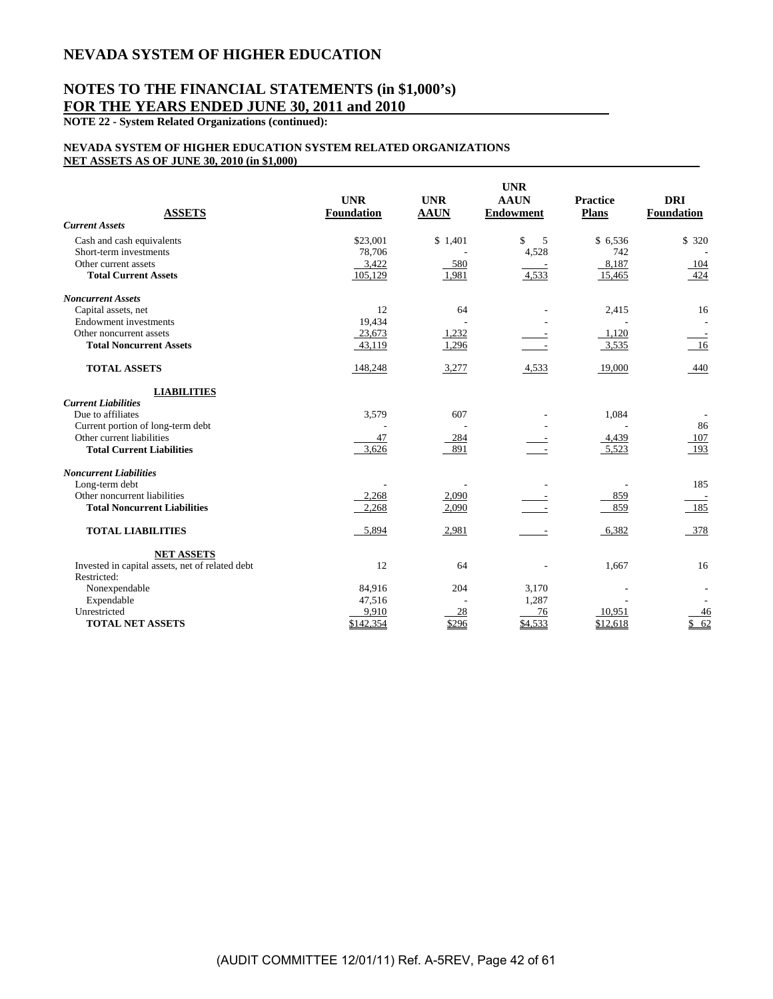### **NOTES TO THE FINANCIAL STATEMENTS (in \$1,000's) FOR THE YEARS ENDED JUNE 30, 2011 and 2010**

**NOTE 22 - System Related Organizations (continued):** 

#### **NEVADA SYSTEM OF HIGHER EDUCATION SYSTEM RELATED ORGANIZATIONS NET ASSETS AS OF JUNE 30, 2010 (in \$1,000)**

|                                                                | <b>UNR</b>        |             |                          |                 |                          |  |  |
|----------------------------------------------------------------|-------------------|-------------|--------------------------|-----------------|--------------------------|--|--|
|                                                                | <b>UNR</b>        | <b>UNR</b>  | <b>AAUN</b>              | <b>Practice</b> | <b>DRI</b>               |  |  |
| <b>ASSETS</b>                                                  | <b>Foundation</b> | <b>AAUN</b> | <b>Endowment</b>         | <b>Plans</b>    | <b>Foundation</b>        |  |  |
| <b>Current Assets</b>                                          |                   |             |                          |                 |                          |  |  |
| Cash and cash equivalents                                      | \$23,001          | \$1,401     | \$<br>5                  | \$6.536         | \$ 320                   |  |  |
| Short-term investments                                         | 78,706            |             | 4,528                    | 742             |                          |  |  |
| Other current assets                                           | 3,422             | 580         |                          | 8,187           | 104                      |  |  |
| <b>Total Current Assets</b>                                    | 105,129           | 1,981       | 4,533                    | 15,465          | 424                      |  |  |
| <b>Noncurrent Assets</b>                                       |                   |             |                          |                 |                          |  |  |
| Capital assets, net                                            | 12                | 64          |                          | 2,415           | 16                       |  |  |
| <b>Endowment</b> investments                                   | 19,434            |             |                          |                 | $\overline{\phantom{a}}$ |  |  |
| Other noncurrent assets                                        | 23,673            | 1,232       |                          | 1,120           |                          |  |  |
| <b>Total Noncurrent Assets</b>                                 | 43,119            | 1,296       |                          | 3,535           | 16                       |  |  |
| <b>TOTAL ASSETS</b>                                            | 148,248           | 3,277       | 4,533                    | 19,000          | 440                      |  |  |
| <b>LIABILITIES</b>                                             |                   |             |                          |                 |                          |  |  |
| <b>Current Liabilities</b>                                     |                   |             |                          |                 |                          |  |  |
| Due to affiliates                                              | 3,579             | 607         |                          | 1,084           |                          |  |  |
| Current portion of long-term debt                              |                   |             |                          |                 | 86                       |  |  |
| Other current liabilities                                      | 47                | 284         |                          | 4,439           | 107                      |  |  |
| <b>Total Current Liabilities</b>                               | 3,626             | 891         |                          | 5,523           | 193                      |  |  |
| <b>Noncurrent Liabilities</b>                                  |                   |             |                          |                 |                          |  |  |
| Long-term debt                                                 |                   |             |                          |                 | 185                      |  |  |
| Other noncurrent liabilities                                   | 2,268             | 2,090       |                          | 859             |                          |  |  |
| <b>Total Noncurrent Liabilities</b>                            | 2,268             | 2,090       | $\overline{\phantom{a}}$ | 859             | 185                      |  |  |
| <b>TOTAL LIABILITIES</b>                                       | 5,894             | 2,981       |                          | 6,382           | 378                      |  |  |
| <b>NET ASSETS</b>                                              |                   |             |                          |                 |                          |  |  |
| Invested in capital assets, net of related debt<br>Restricted: | 12                | 64          |                          | 1,667           | 16                       |  |  |
| Nonexpendable                                                  | 84,916            | 204         | 3,170                    |                 |                          |  |  |
| Expendable                                                     | 47,516            |             | 1,287                    |                 | $\overline{\phantom{a}}$ |  |  |
| Unrestricted                                                   | 9,910             | 28          | 76                       | 10,951          | 46                       |  |  |
| <b>TOTAL NET ASSETS</b>                                        | \$142,354         | \$296       | \$4,533                  | \$12,618        | 62<br>\$                 |  |  |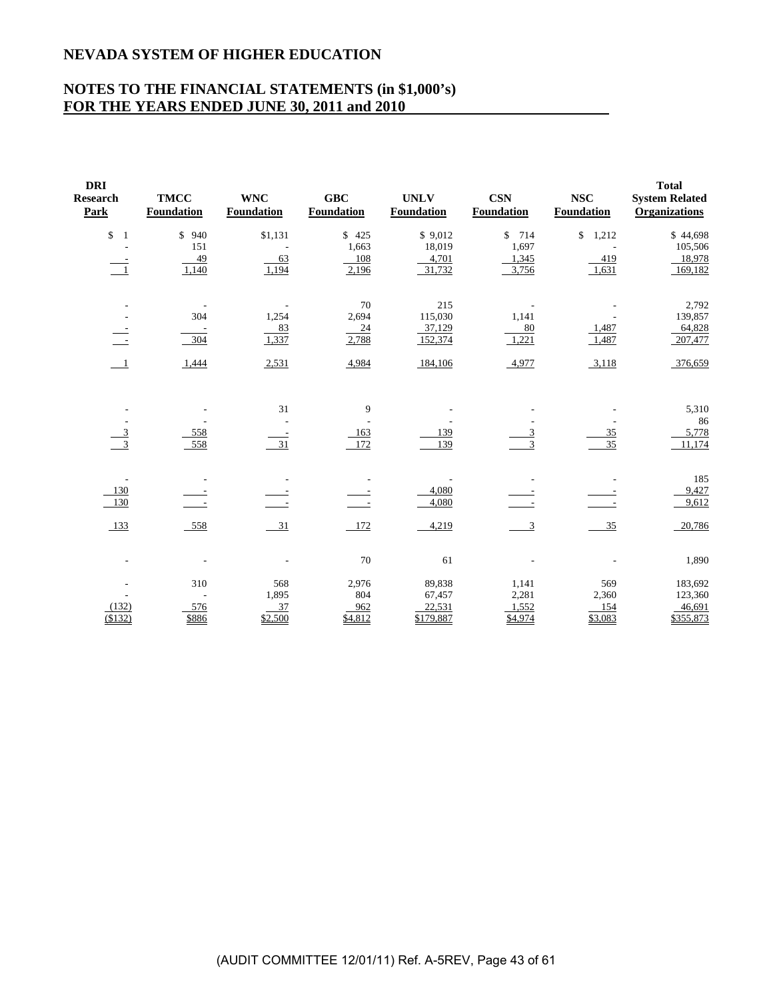### **NOTES TO THE FINANCIAL STATEMENTS (in \$1,000's) FOR THE YEARS ENDED JUNE 30, 2011 and 2010**

| <b>DRI</b><br><b>Research</b><br>Park  | <b>TMCC</b><br><b>Foundation</b>                | <b>WNC</b><br><b>Foundation</b> | <b>GBC</b><br><b>Foundation</b> | <b>UNLV</b><br><b>Foundation</b>        | <b>CSN</b><br><b>Foundation</b>    | $\ensuremath{\mathbf{NSC}}$<br><b>Foundation</b> | <b>Total</b><br><b>System Related</b><br><b>Organizations</b> |
|----------------------------------------|-------------------------------------------------|---------------------------------|---------------------------------|-----------------------------------------|------------------------------------|--------------------------------------------------|---------------------------------------------------------------|
| \$<br>$\mathbf{1}$                     | \$940<br>151                                    | \$1,131<br>L,                   | \$425<br>1,663                  | \$9,012<br>18,019                       | 714<br>\$<br>1,697                 | \$<br>1,212                                      | \$44,698<br>105,506                                           |
| $\overline{1}$                         | 49<br>1,140                                     | 63<br>1,194                     | 108<br>2,196                    | 4,701<br>31,732                         | 1,345<br>3,756                     | 419<br>1,631                                     | 18,978<br>169,182                                             |
|                                        | 304                                             | 1,254                           | 70<br>2,694                     | 215<br>115,030                          | 1,141                              |                                                  | 2,792<br>139,857                                              |
|                                        | 304                                             | 83<br>1,337                     | 24<br>2,788                     | 37,129<br>152,374                       | 80<br>1,221                        | 1,487<br>1,487                                   | 64,828<br>207,477                                             |
| $\overline{1}$                         | 1,444                                           | 2,531                           | 4,984                           | 184,106                                 | 4,977                              | 3,118                                            | 376,659                                                       |
|                                        |                                                 | 31                              | 9<br>$\overline{\phantom{a}}$   |                                         |                                    |                                                  | 5,310<br>86                                                   |
| $\frac{3}{3}$                          | 558<br>558                                      | 31                              | 163<br>172                      | 139<br>139                              | 3<br>3                             | 35<br>35                                         | 5,778<br>11,174                                               |
| $\overline{\phantom{a}}$<br>130<br>130 |                                                 |                                 |                                 | 4,080<br>4,080                          |                                    |                                                  | 185<br>9,427<br>9,612                                         |
| 133                                    | 558                                             | 31                              | 172                             | 4,219                                   | 3                                  | 35                                               | 20,786                                                        |
|                                        |                                                 |                                 | 70                              | 61                                      |                                    |                                                  | 1,890                                                         |
| (132)<br>( \$132)                      | 310<br>$\overline{\phantom{a}}$<br>576<br>\$886 | 568<br>1,895<br>37<br>\$2,500   | 2,976<br>804<br>962<br>\$4,812  | 89,838<br>67,457<br>22,531<br>\$179,887 | 1,141<br>2,281<br>1,552<br>\$4,974 | 569<br>2,360<br>154<br>\$3,083                   | 183,692<br>123,360<br>46,691<br>\$355,873                     |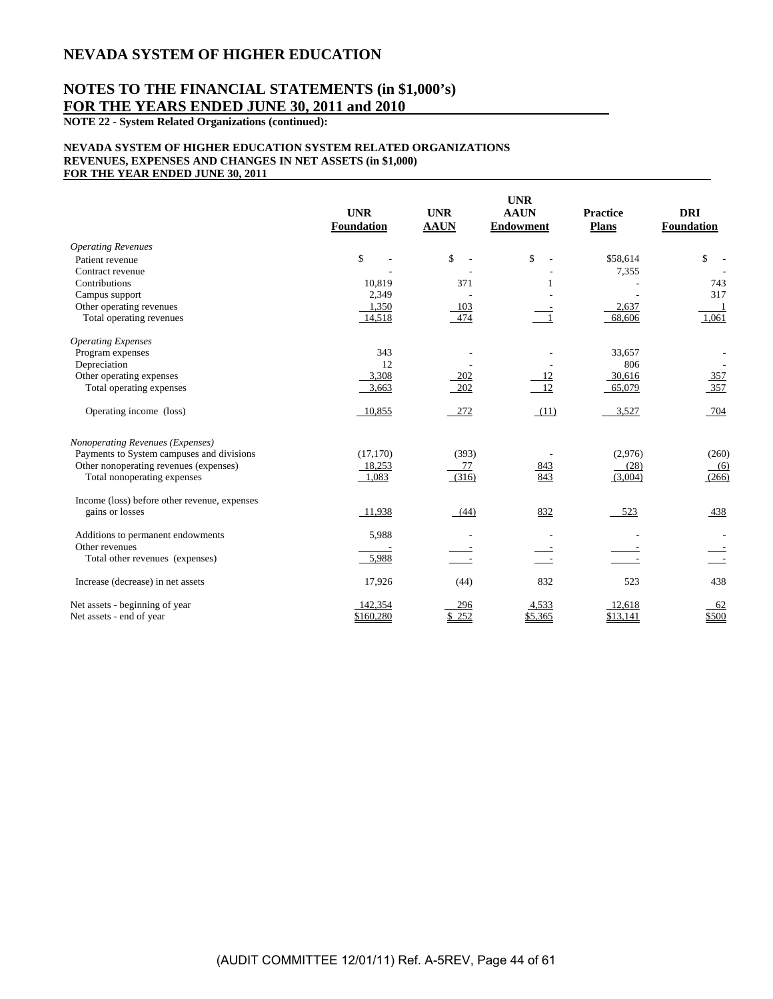### **NOTES TO THE FINANCIAL STATEMENTS (in \$1,000's) FOR THE YEARS ENDED JUNE 30, 2011 and 2010**

**NOTE 22 - System Related Organizations (continued):** 

#### **NEVADA SYSTEM OF HIGHER EDUCATION SYSTEM RELATED ORGANIZATIONS REVENUES, EXPENSES AND CHANGES IN NET ASSETS (in \$1,000) FOR THE YEAR ENDED JUNE 30, 2011**

|                                              | <b>UNR</b><br><b>Foundation</b> | <b>UNR</b><br><b>AAUN</b> | <b>UNR</b><br><b>AAUN</b><br><b>Endowment</b> | <b>Practice</b><br><b>Plans</b> | <b>DRI</b><br><b>Foundation</b> |
|----------------------------------------------|---------------------------------|---------------------------|-----------------------------------------------|---------------------------------|---------------------------------|
| <b>Operating Revenues</b>                    |                                 |                           |                                               |                                 |                                 |
| Patient revenue                              | \$                              | \$                        | \$                                            | \$58,614                        | \$                              |
| Contract revenue                             |                                 |                           |                                               | 7,355                           |                                 |
| Contributions                                | 10,819                          | 371                       | $\mathbf{1}$                                  |                                 | 743                             |
| Campus support                               | 2,349                           |                           |                                               |                                 | 317                             |
| Other operating revenues                     | 1,350                           | 103                       |                                               | 2.637                           |                                 |
| Total operating revenues                     | 14,518                          | 474                       |                                               | 68,606                          | 1,061                           |
| <b>Operating Expenses</b>                    |                                 |                           |                                               |                                 |                                 |
| Program expenses                             | 343                             |                           |                                               | 33,657                          |                                 |
| Depreciation                                 | 12                              |                           |                                               | 806                             |                                 |
| Other operating expenses                     | 3,308                           | 202                       | 12                                            | 30,616                          | 357                             |
| Total operating expenses                     | 3,663                           | 202                       | 12                                            | 65,079                          | $-357$                          |
| Operating income (loss)                      | 10,855                          | $-272$                    | (11)                                          | 3,527                           | $-704$                          |
| Nonoperating Revenues (Expenses)             |                                 |                           |                                               |                                 |                                 |
| Payments to System campuses and divisions    | (17, 170)                       | (393)                     |                                               | (2,976)                         | (260)                           |
| Other nonoperating revenues (expenses)       | 18,253                          | 77                        | 843                                           | (28)                            | (6)                             |
| Total nonoperating expenses                  | 1,083                           | (316)                     | 843                                           | (3,004)                         | (266)                           |
| Income (loss) before other revenue, expenses |                                 |                           |                                               |                                 |                                 |
| gains or losses                              | 11,938                          | (44)                      | 832                                           | 523                             | 438                             |
| Additions to permanent endowments            | 5,988                           |                           |                                               |                                 | $\sim$                          |
| Other revenues                               |                                 |                           |                                               |                                 |                                 |
| Total other revenues (expenses)              | 5,988                           |                           |                                               |                                 |                                 |
| Increase (decrease) in net assets            | 17,926                          | (44)                      | 832                                           | 523                             | 438                             |
| Net assets - beginning of year               | 142,354                         | 296                       | 4,533                                         | 12,618                          | 62                              |
| Net assets - end of year                     | \$160,280                       | \$252                     | \$5,365                                       | \$13,141                        | \$500                           |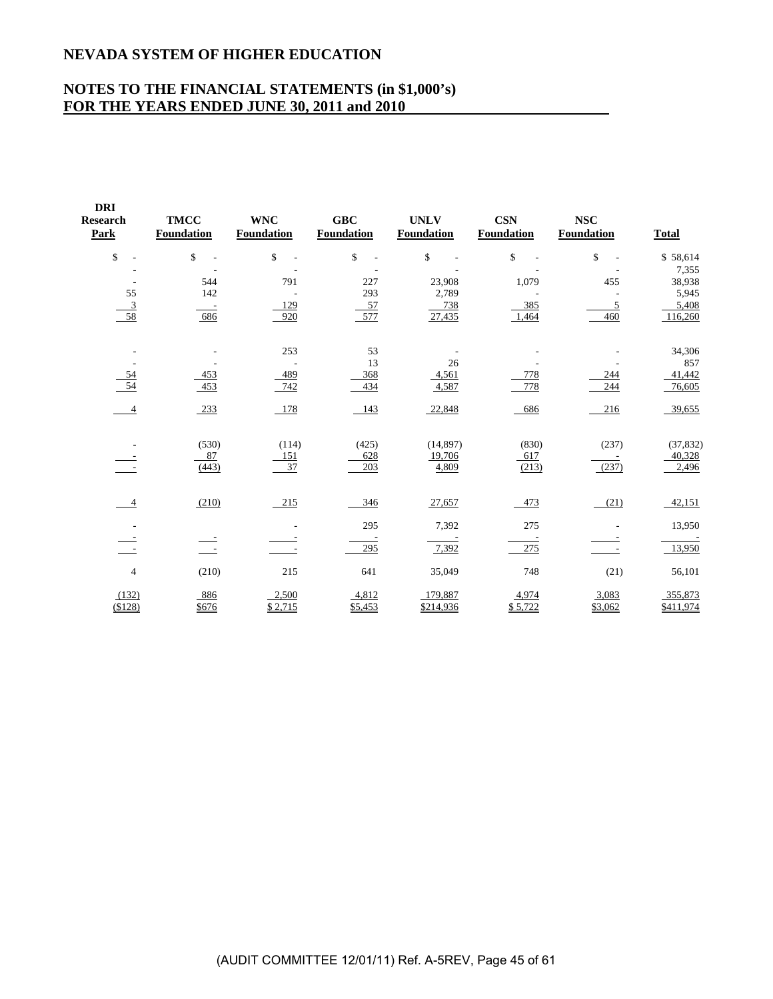### **NOTES TO THE FINANCIAL STATEMENTS (in \$1,000's) FOR THE YEARS ENDED JUNE 30, 2011 and 2010**

| <b>DRI</b><br>Research<br><b>Park</b> | <b>TMCC</b><br><b>Foundation</b> | <b>WNC</b><br><b>Foundation</b> | GBC<br><b>Foundation</b>       | <b>UNLV</b><br><b>Foundation</b>        | <b>CSN</b><br><b>Foundation</b> | <b>NSC</b><br><b>Foundation</b> | <b>Total</b> |
|---------------------------------------|----------------------------------|---------------------------------|--------------------------------|-----------------------------------------|---------------------------------|---------------------------------|--------------|
| \$<br>$\overline{\phantom{a}}$        | \$<br>$\overline{\phantom{a}}$   | \$<br>$\overline{\phantom{a}}$  | \$<br>$\overline{\phantom{a}}$ | $\mathbb S$<br>$\overline{\phantom{m}}$ | \$                              | \$<br>$\overline{\phantom{a}}$  | \$58,614     |
|                                       |                                  |                                 |                                |                                         |                                 |                                 | 7,355        |
|                                       | 544                              | 791                             | 227                            | 23,908                                  | 1,079                           | 455                             | 38,938       |
| 55                                    | 142                              | Ĭ.                              | 293                            | 2,789                                   |                                 |                                 | 5,945        |
| $\overline{3}$                        | $\sim$                           | 129                             | 57                             | 738                                     | 385                             | 5                               | 5,408        |
| 58                                    | 686                              | 920                             | 577                            | 27,435                                  | 1,464                           | 460                             | 116,260      |
|                                       |                                  | 253                             | 53                             |                                         |                                 |                                 | 34,306       |
|                                       |                                  | $\overline{\phantom{a}}$        | 13                             | 26                                      |                                 |                                 | 857          |
| 54                                    | 453                              | 489                             | 368                            | 4,561                                   | 778                             | 244                             | 41,442       |
| 54                                    | 453                              | 742                             | 434                            | 4,587                                   | 778                             | 244                             | 76,605       |
| $\overline{4}$                        | $-233$                           | 178                             | 143                            | 22,848                                  | 686                             | 216                             | 39,655       |
|                                       | (530)                            | (114)                           | (425)                          | (14, 897)                               | (830)                           | (237)                           | (37, 832)    |
|                                       | 87                               | 151                             | 628                            | 19,706                                  | 617                             |                                 | 40,328       |
|                                       | (443)                            | 37                              | 203                            | 4,809                                   | (213)                           | (237)                           | 2,496        |
| $\overline{4}$                        | (210)                            | 215                             | 346                            | 27,657                                  | 473                             | (21)                            | 42,151       |
|                                       |                                  |                                 | 295                            | 7,392                                   | 275                             |                                 | 13,950       |
|                                       |                                  |                                 |                                |                                         |                                 |                                 |              |
|                                       |                                  |                                 | 295                            | 7,392                                   | 275                             |                                 | 13,950       |
| $\overline{4}$                        | (210)                            | 215                             | 641                            | 35,049                                  | 748                             | (21)                            | 56,101       |
| (132)                                 | 886                              | 2,500                           | 4,812                          | 179,887                                 | 4,974                           | 3,083                           | 355,873      |
| ( \$128)                              | \$676                            | \$2,715                         | \$5,453                        | \$214,936                               | \$5,722                         | \$3,062                         | \$411,974    |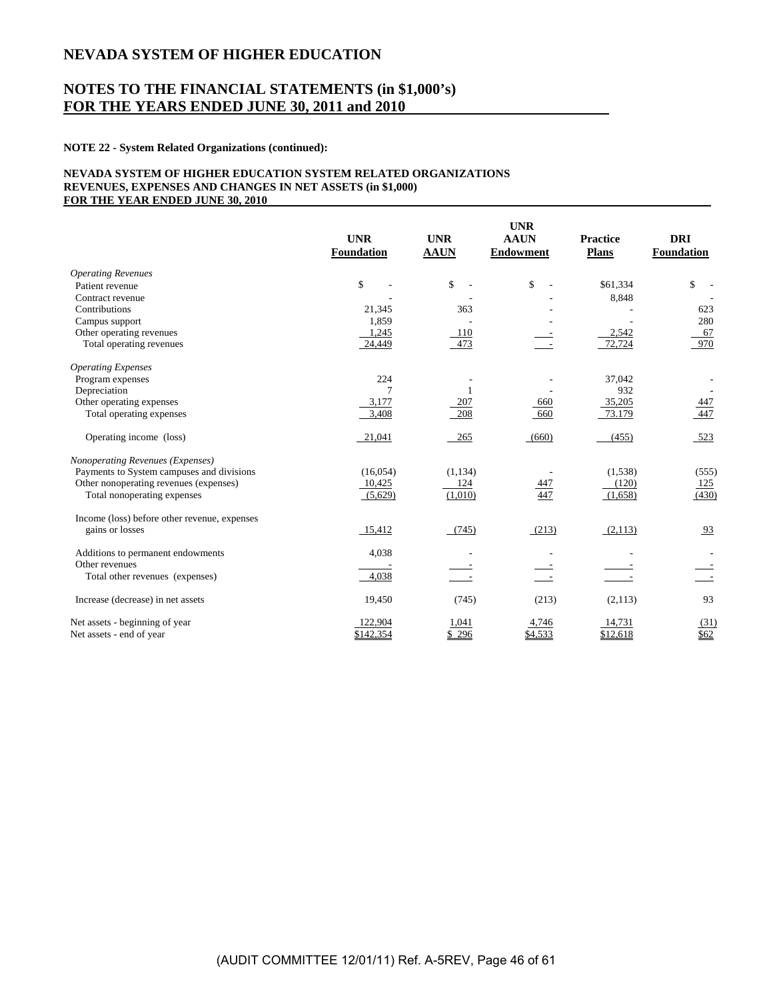### **NOTES TO THE FINANCIAL STATEMENTS (in \$1,000's) FOR THE YEARS ENDED JUNE 30, 2011 and 2010**

#### **NOTE 22 - System Related Organizations (continued):**

#### **NEVADA SYSTEM OF HIGHER EDUCATION SYSTEM RELATED ORGANIZATIONS REVENUES, EXPENSES AND CHANGES IN NET ASSETS (in \$1,000) FOR THE YEAR ENDED JUNE 30, 2010**

|                                              | <b>UNR</b><br><b>Foundation</b> | <b>UNR</b><br><b>AAUN</b> | <b>UNR</b><br><b>AAUN</b><br><b>Endowment</b> | <b>Practice</b><br><b>Plans</b> | <b>DRI</b><br><b>Foundation</b> |
|----------------------------------------------|---------------------------------|---------------------------|-----------------------------------------------|---------------------------------|---------------------------------|
| <b>Operating Revenues</b>                    |                                 |                           |                                               |                                 |                                 |
| Patient revenue                              | \$                              | \$                        | \$                                            | \$61,334                        | \$                              |
| Contract revenue                             |                                 |                           |                                               | 8,848                           |                                 |
| Contributions                                | 21,345                          | 363                       |                                               |                                 | 623                             |
| Campus support                               | 1,859                           |                           |                                               |                                 | 280                             |
| Other operating revenues                     | 1,245                           | - 110                     |                                               | 2,542                           | 67                              |
| Total operating revenues                     | 24,449                          | 473                       | $\sim 100$                                    | 72,724                          | 970                             |
| <b>Operating Expenses</b>                    |                                 |                           |                                               |                                 |                                 |
| Program expenses                             | 224                             |                           |                                               | 37,042                          |                                 |
| Depreciation                                 | $\overline{7}$                  |                           |                                               | 932                             |                                 |
| Other operating expenses                     | 3,177                           | 207                       | 660                                           | 35,205                          | 447                             |
| Total operating expenses                     | 3,408                           | 208                       | 660                                           | 73.179                          | 447                             |
| Operating income (loss)                      | 21,041                          | 265                       | (660)                                         | (455)                           | 523                             |
| <b>Nonoperating Revenues (Expenses)</b>      |                                 |                           |                                               |                                 |                                 |
| Payments to System campuses and divisions    | (16,054)                        | (1, 134)                  |                                               | (1,538)                         | (555)                           |
| Other nonoperating revenues (expenses)       | 10,425                          | 124                       | 447                                           | (120)                           | 125                             |
| Total nonoperating expenses                  | (5,629)                         | (1,010)                   | 447                                           | (1,658)                         | (430)                           |
| Income (loss) before other revenue, expenses |                                 |                           |                                               |                                 |                                 |
| gains or losses                              | 15,412                          | (745)                     | (213)                                         | (2,113)                         | 93                              |
| Additions to permanent endowments            | 4,038                           |                           |                                               |                                 | $\overline{\phantom{a}}$        |
| Other revenues                               |                                 |                           |                                               |                                 |                                 |
| Total other revenues (expenses)              | 4,038                           |                           | $\sim 100$                                    |                                 |                                 |
| Increase (decrease) in net assets            | 19,450                          | (745)                     | (213)                                         | (2,113)                         | 93                              |
| Net assets - beginning of year               | 122,904                         | 1,041                     | 4,746                                         | 14,731                          | (31)                            |
| Net assets - end of year                     | \$142,354                       | 296<br>\$                 | \$4,533                                       | \$12,618                        | 62                              |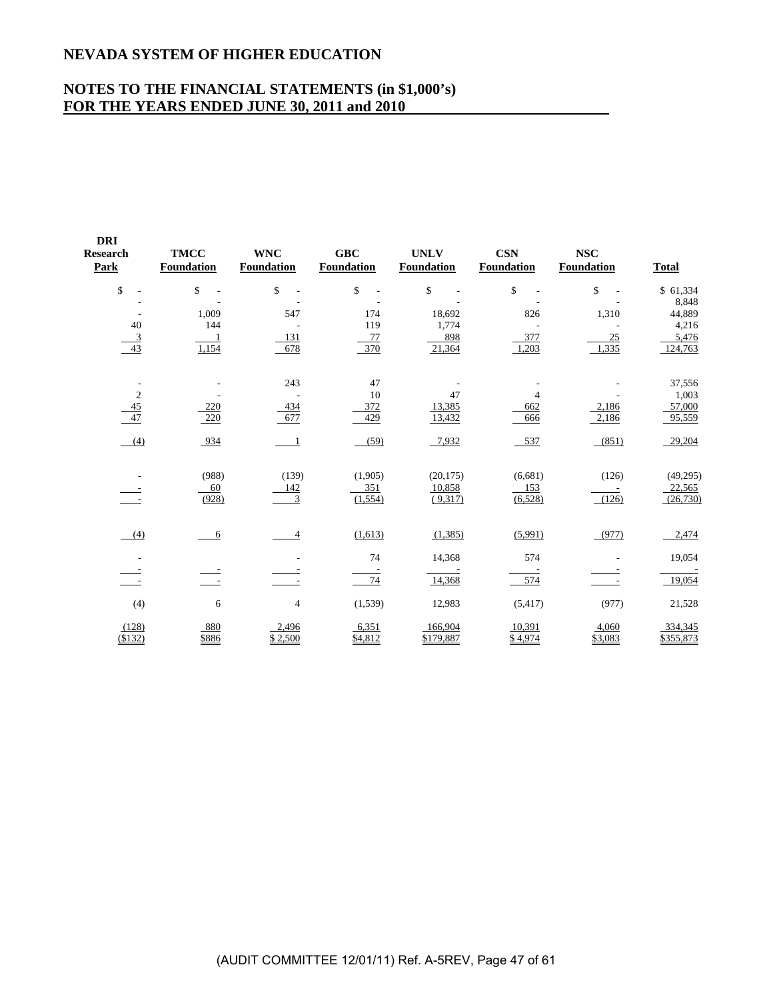### **NOTES TO THE FINANCIAL STATEMENTS (in \$1,000's) FOR THE YEARS ENDED JUNE 30, 2011 and 2010**

| <b>DRI</b><br>Research<br><b>Park</b> | <b>TMCC</b><br><b>Foundation</b> | <b>WNC</b><br><b>Foundation</b> | <b>GBC</b><br><b>Foundation</b> | <b>UNLV</b><br><b>Foundation</b> | $\mathbf{CSN}$<br><b>Foundation</b> | $\bf NSC$<br><b>Foundation</b> | <b>Total</b> |
|---------------------------------------|----------------------------------|---------------------------------|---------------------------------|----------------------------------|-------------------------------------|--------------------------------|--------------|
| \$<br>$\overline{a}$                  | \$<br>$\overline{\phantom{a}}$   | \$<br>$\overline{\phantom{a}}$  | \$<br>$\overline{a}$            | \$<br>÷,                         | \$                                  | \$                             | \$ 61,334    |
|                                       |                                  |                                 |                                 |                                  |                                     |                                | 8,848        |
|                                       | 1,009                            | 547                             | 174                             | 18,692                           | 826                                 | 1,310                          | 44,889       |
| 40                                    | 144                              | $\overline{\phantom{a}}$        | 119                             | 1,774                            | L.                                  |                                | 4,216        |
| $\frac{3}{43}$                        |                                  | 131                             | 77                              | 898                              | 377                                 | 25                             | 5,476        |
|                                       | 1,154                            | 678                             | 370                             | 21,364                           | 1,203                               | 1,335                          | 124,763      |
| ÷                                     |                                  | 243                             | 47                              |                                  |                                     |                                | 37,556       |
| $\frac{2}{45}$                        |                                  |                                 | 10                              | 47                               | $\overline{4}$                      |                                | 1,003        |
|                                       | 220                              | 434                             | 372                             | 13,385                           | 662                                 | 2,186                          | 57,000       |
| 47                                    | 220                              | 677                             | 429                             | 13,432                           | 666                                 | 2,186                          | 95,559       |
| (4)                                   | 934                              |                                 | (59)                            | 7,932                            | 537                                 | (851)                          | 29,204       |
|                                       | (988)                            | (139)                           | (1,905)                         | (20, 175)                        | (6,681)                             | (126)                          | (49, 295)    |
|                                       | 60                               | 142                             | 351                             | 10,858                           | 153                                 |                                | 22,565       |
| $\sim$ $-$                            | (928)                            | 3                               | (1,554)                         | (9,317)                          | (6,528)                             | (126)                          | (26,730)     |
| (4)                                   | 6                                | $\overline{4}$                  | (1,613)                         | (1,385)                          | (5,991)                             | (977)                          | 2,474        |
|                                       |                                  |                                 | 74                              | 14,368                           | 574                                 |                                | 19,054       |
|                                       |                                  |                                 |                                 |                                  |                                     |                                |              |
|                                       |                                  |                                 | 74                              | 14,368                           | 574                                 |                                | 19,054       |
| (4)                                   | 6                                | $\overline{4}$                  | (1,539)                         | 12,983                           | (5, 417)                            | (977)                          | 21,528       |
| (128)                                 | 880                              | 2,496                           | 6,351                           | 166,904                          | 10,391                              | 4,060                          | 334,345      |
| (\$132)                               | \$886                            | \$2,500                         | \$4,812                         | \$179,887                        | \$4,974                             | \$3,083                        | \$355,873    |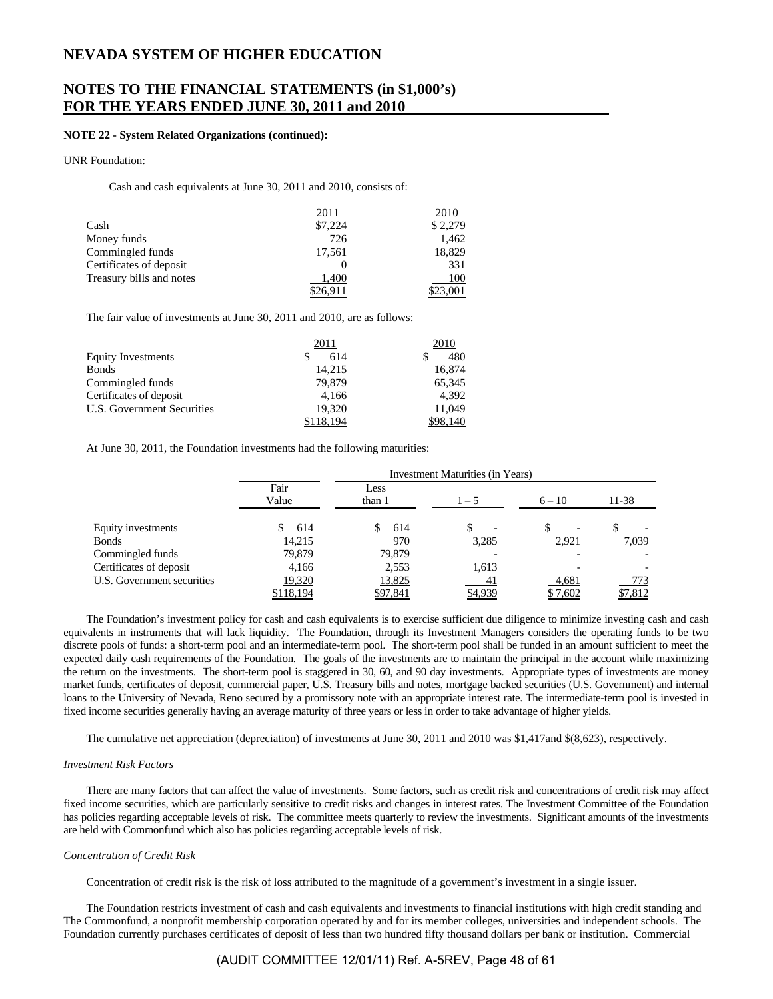### **NOTES TO THE FINANCIAL STATEMENTS (in \$1,000's) FOR THE YEARS ENDED JUNE 30, 2011 and 2010**

#### **NOTE 22 - System Related Organizations (continued):**

#### UNR Foundation:

Cash and cash equivalents at June 30, 2011 and 2010, consists of:

|                          | 2011    | 2010    |
|--------------------------|---------|---------|
| Cash                     | \$7,224 | \$2,279 |
| Money funds              | 726     | 1,462   |
| Commingled funds         | 17,561  | 18,829  |
| Certificates of deposit  |         | 331     |
| Treasury bills and notes | 1,400   | 100     |
|                          |         |         |

The fair value of investments at June 30, 2011 and 2010, are as follows:

|                            | 2011   | 2010   |
|----------------------------|--------|--------|
| <b>Equity Investments</b>  | 614    | 480    |
| <b>Bonds</b>               | 14,215 | 16,874 |
| Commingled funds           | 79,879 | 65,345 |
| Certificates of deposit    | 4,166  | 4.392  |
| U.S. Government Securities | 19,320 | 11,049 |
|                            | 18 194 | 98.140 |

At June 30, 2011, the Foundation investments had the following maturities:

|                            | <b>Investment Maturities (in Years)</b> |                |         |          |         |  |  |
|----------------------------|-----------------------------------------|----------------|---------|----------|---------|--|--|
|                            | Fair<br>Value                           | Less<br>than 1 | $1 - 5$ | $6 - 10$ | 11-38   |  |  |
| Equity investments         | 614                                     | 614            | \$      |          | \$.     |  |  |
| <b>Bonds</b>               | 14,215                                  | 970            | 3,285   | 2.921    | 7,039   |  |  |
| Commingled funds           | 79.879                                  | 79.879         |         |          |         |  |  |
| Certificates of deposit    | 4,166                                   | 2,553          | 1,613   |          |         |  |  |
| U.S. Government securities | 19,320                                  | 13,825         | 41      | 4,681    | 773     |  |  |
|                            | \$118,194                               | \$97,841       | \$4,939 | \$7,602  | \$7,812 |  |  |

The Foundation's investment policy for cash and cash equivalents is to exercise sufficient due diligence to minimize investing cash and cash equivalents in instruments that will lack liquidity. The Foundation, through its Investment Managers considers the operating funds to be two discrete pools of funds: a short-term pool and an intermediate-term pool. The short-term pool shall be funded in an amount sufficient to meet the expected daily cash requirements of the Foundation. The goals of the investments are to maintain the principal in the account while maximizing the return on the investments. The short-term pool is staggered in 30, 60, and 90 day investments. Appropriate types of investments are money market funds, certificates of deposit, commercial paper, U.S. Treasury bills and notes, mortgage backed securities (U.S. Government) and internal loans to the University of Nevada, Reno secured by a promissory note with an appropriate interest rate. The intermediate-term pool is invested in fixed income securities generally having an average maturity of three years or less in order to take advantage of higher yields.

The cumulative net appreciation (depreciation) of investments at June 30, 2011 and 2010 was \$1,417and \$(8,623), respectively.

#### *Investment Risk Factors*

There are many factors that can affect the value of investments. Some factors, such as credit risk and concentrations of credit risk may affect fixed income securities, which are particularly sensitive to credit risks and changes in interest rates. The Investment Committee of the Foundation has policies regarding acceptable levels of risk. The committee meets quarterly to review the investments. Significant amounts of the investments are held with Commonfund which also has policies regarding acceptable levels of risk.

#### *Concentration of Credit Risk*

Concentration of credit risk is the risk of loss attributed to the magnitude of a government's investment in a single issuer.

 The Foundation restricts investment of cash and cash equivalents and investments to financial institutions with high credit standing and The Commonfund, a nonprofit membership corporation operated by and for its member colleges, universities and independent schools. The Foundation currently purchases certificates of deposit of less than two hundred fifty thousand dollars per bank or institution. Commercial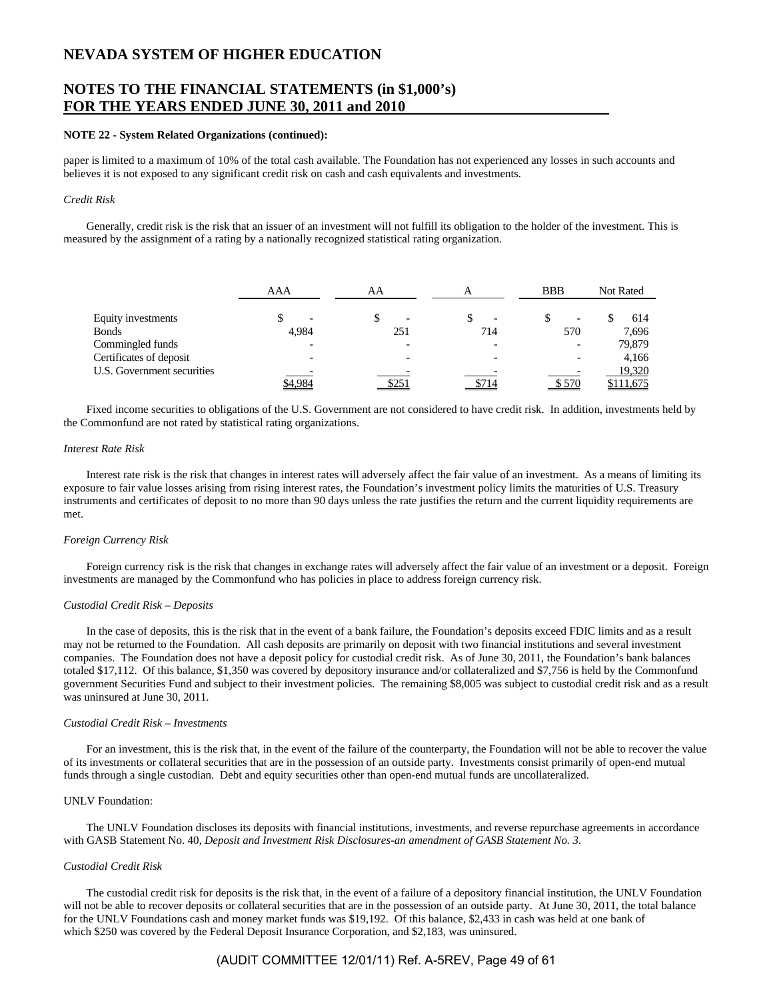### **NOTES TO THE FINANCIAL STATEMENTS (in \$1,000's) FOR THE YEARS ENDED JUNE 30, 2011 and 2010**

#### **NOTE 22 - System Related Organizations (continued):**

paper is limited to a maximum of 10% of the total cash available. The Foundation has not experienced any losses in such accounts and believes it is not exposed to any significant credit risk on cash and cash equivalents and investments.

#### *Credit Risk*

 Generally, credit risk is the risk that an issuer of an investment will not fulfill its obligation to the holder of the investment. This is measured by the assignment of a rating by a nationally recognized statistical rating organization.

|                            | AAA   | AA    |       | <b>BBB</b> | Not Rated |  |
|----------------------------|-------|-------|-------|------------|-----------|--|
| <b>Equity investments</b>  |       |       |       |            | 614       |  |
| Bonds                      | 4.984 | 251   | 714   | 570        | 7,696     |  |
| Commingled funds           |       |       |       |            | 79,879    |  |
| Certificates of deposit    |       |       |       |            | 4,166     |  |
| U.S. Government securities |       |       |       |            | 19,320    |  |
|                            | 4.984 | \$25. | \$714 | -570       | \$111,675 |  |

 Fixed income securities to obligations of the U.S. Government are not considered to have credit risk. In addition, investments held by the Commonfund are not rated by statistical rating organizations.

#### *Interest Rate Risk*

 Interest rate risk is the risk that changes in interest rates will adversely affect the fair value of an investment. As a means of limiting its exposure to fair value losses arising from rising interest rates, the Foundation's investment policy limits the maturities of U.S. Treasury instruments and certificates of deposit to no more than 90 days unless the rate justifies the return and the current liquidity requirements are met.

#### *Foreign Currency Risk*

 Foreign currency risk is the risk that changes in exchange rates will adversely affect the fair value of an investment or a deposit. Foreign investments are managed by the Commonfund who has policies in place to address foreign currency risk.

#### *Custodial Credit Risk – Deposits*

In the case of deposits, this is the risk that in the event of a bank failure, the Foundation's deposits exceed FDIC limits and as a result may not be returned to the Foundation. All cash deposits are primarily on deposit with two financial institutions and several investment companies. The Foundation does not have a deposit policy for custodial credit risk. As of June 30, 2011, the Foundation's bank balances totaled \$17,112. Of this balance, \$1,350 was covered by depository insurance and/or collateralized and \$7,756 is held by the Commonfund government Securities Fund and subject to their investment policies. The remaining \$8,005 was subject to custodial credit risk and as a result was uninsured at June 30, 2011.

#### *Custodial Credit Risk – Investments*

 For an investment, this is the risk that, in the event of the failure of the counterparty, the Foundation will not be able to recover the value of its investments or collateral securities that are in the possession of an outside party. Investments consist primarily of open-end mutual funds through a single custodian. Debt and equity securities other than open-end mutual funds are uncollateralized.

#### UNLV Foundation:

 The UNLV Foundation discloses its deposits with financial institutions, investments, and reverse repurchase agreements in accordance with GASB Statement No. 40, *Deposit and Investment Risk Disclosures-an amendment of GASB Statement No. 3*.

#### *Custodial Credit Risk*

The custodial credit risk for deposits is the risk that, in the event of a failure of a depository financial institution, the UNLV Foundation will not be able to recover deposits or collateral securities that are in the possession of an outside party. At June 30, 2011, the total balance for the UNLV Foundations cash and money market funds was \$19,192. Of this balance, \$2,433 in cash was held at one bank of which \$250 was covered by the Federal Deposit Insurance Corporation, and \$2,183, was uninsured.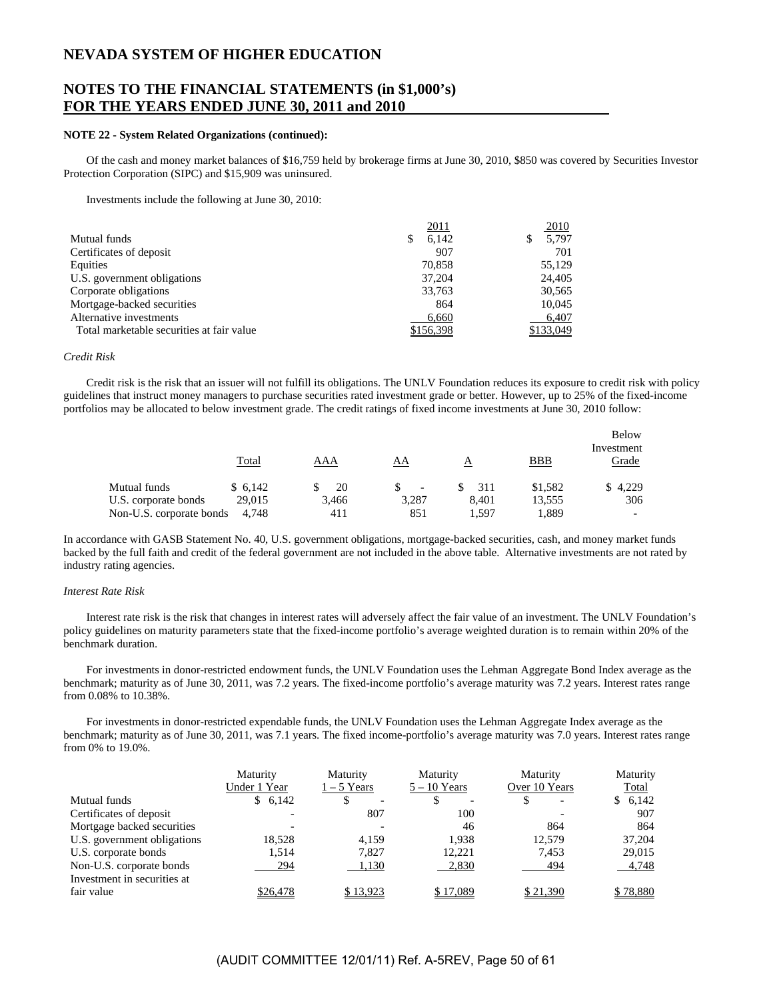### **NOTES TO THE FINANCIAL STATEMENTS (in \$1,000's) FOR THE YEARS ENDED JUNE 30, 2011 and 2010**

#### **NOTE 22 - System Related Organizations (continued):**

Of the cash and money market balances of \$16,759 held by brokerage firms at June 30, 2010, \$850 was covered by Securities Investor Protection Corporation (SIPC) and \$15,909 was uninsured.

Investments include the following at June 30, 2010:

|                                           | <u>2011</u> | 2010      |
|-------------------------------------------|-------------|-----------|
| Mutual funds                              | 6.142<br>\$ | 5,797     |
| Certificates of deposit                   | 907         | 701       |
| Equities                                  | 70.858      | 55,129    |
| U.S. government obligations               | 37,204      | 24,405    |
| Corporate obligations                     | 33,763      | 30,565    |
| Mortgage-backed securities                | 864         | 10,045    |
| Alternative investments                   | 6,660       | 6,407     |
| Total marketable securities at fair value | \$156.398   | \$133,049 |

#### *Credit Risk*

 Credit risk is the risk that an issuer will not fulfill its obligations. The UNLV Foundation reduces its exposure to credit risk with policy guidelines that instruct money managers to purchase securities rated investment grade or better. However, up to 25% of the fixed-income portfolios may be allocated to below investment grade. The credit ratings of fixed income investments at June 30, 2010 follow:

|                          |         |       |                          |          |            | <b>Below</b><br>Investment |
|--------------------------|---------|-------|--------------------------|----------|------------|----------------------------|
|                          | Total   | AAA   | AA                       | <u>A</u> | <b>BBB</b> | <b>Grade</b>               |
| Mutual funds             | \$6,142 | 20    | $\overline{\phantom{a}}$ | 311      | \$1,582    | \$4,229                    |
| U.S. corporate bonds     | 29,015  | 3.466 | 3.287                    | 8.401    | 13,555     | 306                        |
| Non-U.S. corporate bonds | 4.748   | 411   | 851                      | 1.597    | 1.889      | $\overline{\phantom{0}}$   |

In accordance with GASB Statement No. 40, U.S. government obligations, mortgage-backed securities, cash, and money market funds backed by the full faith and credit of the federal government are not included in the above table. Alternative investments are not rated by industry rating agencies.

#### *Interest Rate Risk*

 Interest rate risk is the risk that changes in interest rates will adversely affect the fair value of an investment. The UNLV Foundation's policy guidelines on maturity parameters state that the fixed-income portfolio's average weighted duration is to remain within 20% of the benchmark duration.

 For investments in donor-restricted endowment funds, the UNLV Foundation uses the Lehman Aggregate Bond Index average as the benchmark; maturity as of June 30, 2011, was 7.2 years. The fixed-income portfolio's average maturity was 7.2 years. Interest rates range from 0.08% to 10.38%.

 For investments in donor-restricted expendable funds, the UNLV Foundation uses the Lehman Aggregate Index average as the benchmark; maturity as of June 30, 2011, was 7.1 years. The fixed income-portfolio's average maturity was 7.0 years. Interest rates range from 0% to 19.0%.

|                             | Maturity<br>Under 1 Year | Maturity<br>$1 - 5$ Years     | Maturity<br>$5 - 10$ Years | Maturity<br>Over 10 Years     | Maturity<br>Total |
|-----------------------------|--------------------------|-------------------------------|----------------------------|-------------------------------|-------------------|
| Mutual funds                | \$6,142                  | S<br>$\overline{\phantom{0}}$ |                            | S<br>$\overline{\phantom{a}}$ | 6,142<br>S        |
| Certificates of deposit     |                          | 807                           | 100                        |                               | 907               |
| Mortgage backed securities  |                          |                               | 46                         | 864                           | 864               |
| U.S. government obligations | 18.528                   | 4.159                         | 1,938                      | 12.579                        | 37,204            |
| U.S. corporate bonds        | 1.514                    | 7.827                         | 12.221                     | 7.453                         | 29,015            |
| Non-U.S. corporate bonds    | 294                      | 1,130                         | 2,830                      | 494                           | 4,748             |
| Investment in securities at |                          |                               |                            |                               |                   |
| fair value                  | \$26,478                 | \$13.923                      | \$17,089                   | \$21,390                      | \$78,880          |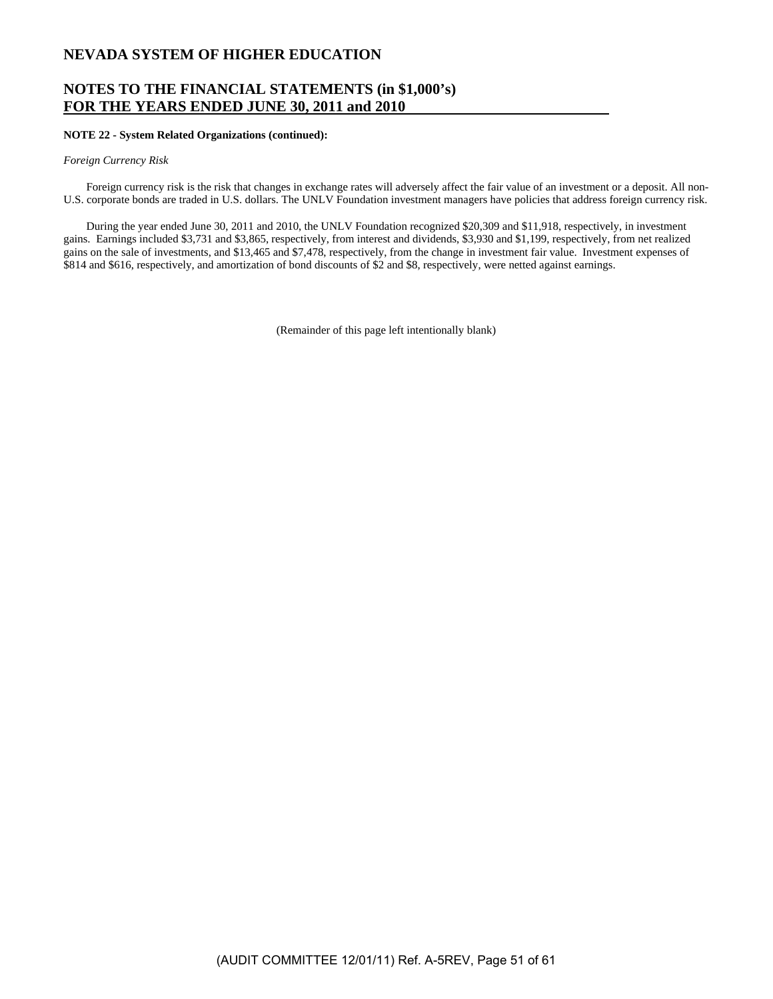### **NOTES TO THE FINANCIAL STATEMENTS (in \$1,000's) FOR THE YEARS ENDED JUNE 30, 2011 and 2010**

#### **NOTE 22 - System Related Organizations (continued):**

#### *Foreign Currency Risk*

Foreign currency risk is the risk that changes in exchange rates will adversely affect the fair value of an investment or a deposit. All non-U.S. corporate bonds are traded in U.S. dollars. The UNLV Foundation investment managers have policies that address foreign currency risk.

 During the year ended June 30, 2011 and 2010, the UNLV Foundation recognized \$20,309 and \$11,918, respectively, in investment gains. Earnings included \$3,731 and \$3,865, respectively, from interest and dividends, \$3,930 and \$1,199, respectively, from net realized gains on the sale of investments, and \$13,465 and \$7,478, respectively, from the change in investment fair value. Investment expenses of \$814 and \$616, respectively, and amortization of bond discounts of \$2 and \$8, respectively, were netted against earnings.

(Remainder of this page left intentionally blank)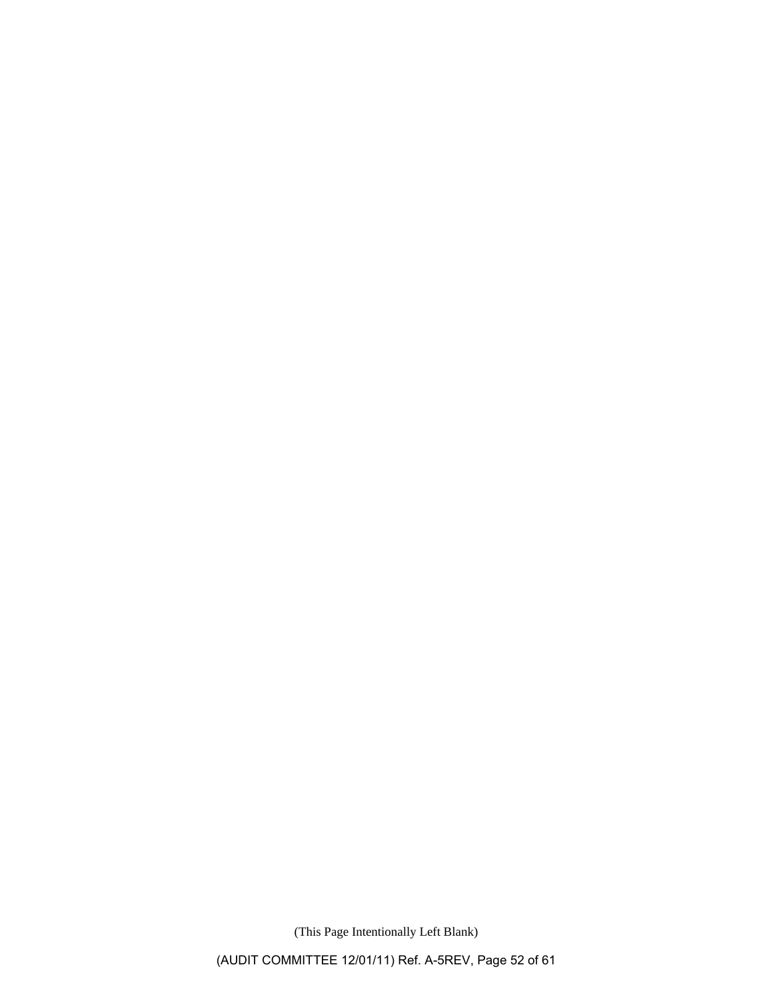(This Page Intentionally Left Blank)

(AUDIT COMMITTEE 12/01/11) Ref. A-5REV, Page 52 of 61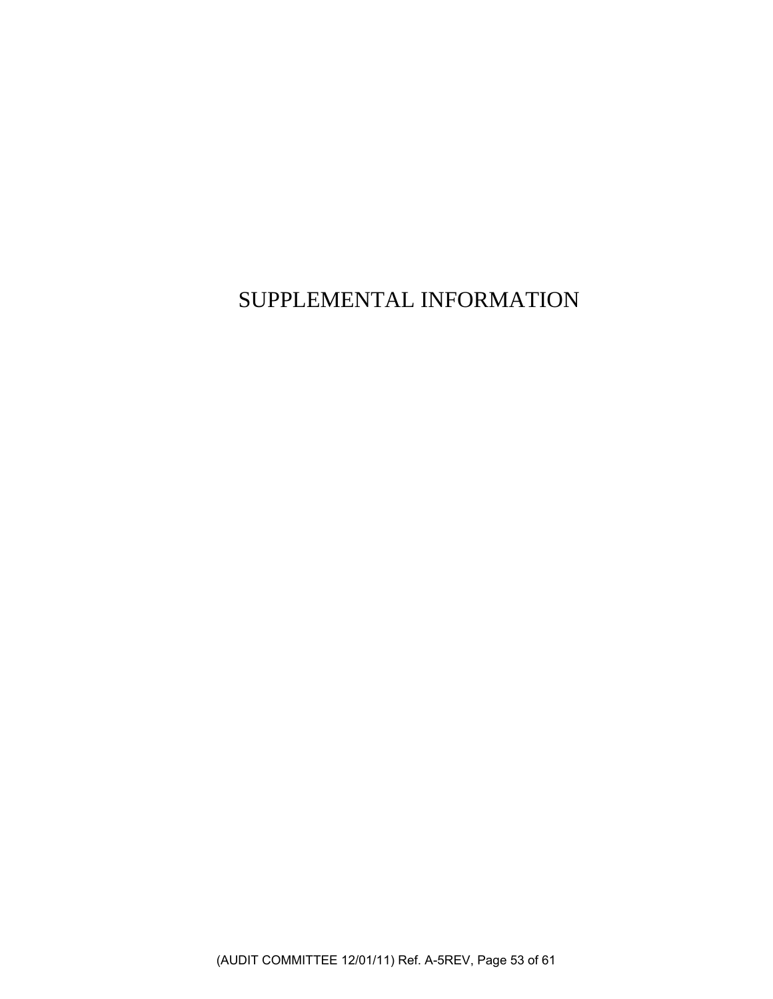# SUPPLEMENTAL INFORMATION

(AUDIT COMMITTEE 12/01/11) Ref. A-5REV, Page 53 of 61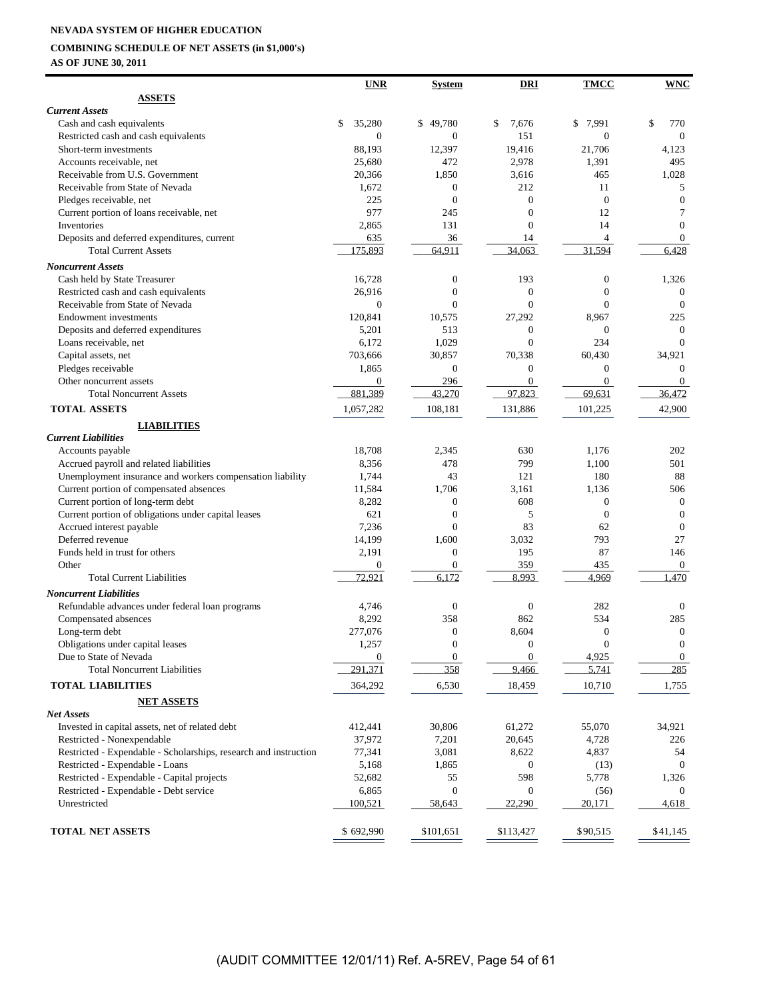#### **COMBINING SCHEDULE OF NET ASSETS (in \$1,000's)**

**AS OF JUNE 30, 2011**

|                                                                                 | <b>UNR</b>            | <b>System</b>                  | <b>DRI</b>                         | <b>TMCC</b>                      | <b>WNC</b>                |
|---------------------------------------------------------------------------------|-----------------------|--------------------------------|------------------------------------|----------------------------------|---------------------------|
| <b>ASSETS</b>                                                                   |                       |                                |                                    |                                  |                           |
| <b>Current Assets</b>                                                           |                       |                                |                                    |                                  |                           |
| Cash and cash equivalents                                                       | 35,280<br>\$          | 49,780<br>\$                   | \$<br>7,676                        | \$<br>7,991                      | \$<br>770                 |
| Restricted cash and cash equivalents                                            | $\mathbf{0}$          | $\boldsymbol{0}$               | 151                                | $\overline{0}$                   | $\mathbf{0}$              |
| Short-term investments                                                          | 88,193                | 12,397                         | 19,416                             | 21,706                           | 4,123                     |
| Accounts receivable, net                                                        | 25,680                | 472                            | 2,978                              | 1,391                            | 495                       |
| Receivable from U.S. Government                                                 | 20,366                | 1,850                          | 3,616                              | 465                              | 1,028                     |
| Receivable from State of Nevada                                                 | 1,672                 | $\boldsymbol{0}$               | 212                                | 11                               | 5                         |
| Pledges receivable, net                                                         | 225                   | $\boldsymbol{0}$               | $\boldsymbol{0}$                   | $\mathbf{0}$                     | $\boldsymbol{0}$          |
| Current portion of loans receivable, net                                        | 977                   | 245                            | $\mathbf{0}$                       | 12                               | 7<br>$\overline{0}$       |
| Inventories                                                                     | 2,865                 | 131                            | $\mathbf{0}$                       | 14                               |                           |
| Deposits and deferred expenditures, current<br><b>Total Current Assets</b>      | 635<br>175,893        | 36<br>64,911                   | 14<br>34,063                       | $\overline{4}$<br>31,594         | $\boldsymbol{0}$<br>6,428 |
|                                                                                 |                       |                                |                                    |                                  |                           |
| <b>Noncurrent Assets</b>                                                        |                       |                                |                                    |                                  |                           |
| Cash held by State Treasurer                                                    | 16,728                | $\boldsymbol{0}$               | 193                                | $\overline{0}$                   | 1,326                     |
| Restricted cash and cash equivalents                                            | 26,916                | $\boldsymbol{0}$               | $\boldsymbol{0}$                   | $\overline{0}$                   | $\theta$                  |
| Receivable from State of Nevada                                                 | $\mathbf{0}$          | $\overline{0}$                 | $\overline{0}$                     | $\overline{0}$                   | $\mathbf{0}$              |
| Endowment investments                                                           | 120,841               | 10,575                         | 27,292                             | 8.967                            | 225                       |
| Deposits and deferred expenditures                                              | 5,201                 | 513                            | $\boldsymbol{0}$<br>$\overline{0}$ | $\overline{0}$<br>234            | $\theta$<br>$\Omega$      |
| Loans receivable, net                                                           | 6,172<br>703,666      | 1,029<br>30,857                | 70,338                             | 60,430                           | 34,921                    |
| Capital assets, net<br>Pledges receivable                                       |                       | $\boldsymbol{0}$               |                                    |                                  | $\theta$                  |
|                                                                                 | 1,865<br>$\mathbf{0}$ | 296                            | $\boldsymbol{0}$<br>$\mathbf{0}$   | $\boldsymbol{0}$<br>$\mathbf{0}$ | $\boldsymbol{0}$          |
| Other noncurrent assets<br><b>Total Noncurrent Assets</b>                       | 881,389               | 43,270                         | 97,823                             | 69,631                           | 36,472                    |
|                                                                                 |                       |                                |                                    |                                  |                           |
| <b>TOTAL ASSETS</b>                                                             | 1,057,282             | 108,181                        | 131,886                            | 101,225                          | 42,900                    |
| <b>LIABILITIES</b>                                                              |                       |                                |                                    |                                  |                           |
| <b>Current Liabilities</b>                                                      |                       |                                |                                    |                                  |                           |
| Accounts payable                                                                | 18,708                | 2,345                          | 630                                | 1,176                            | 202                       |
| Accrued payroll and related liabilities                                         | 8,356                 | 478                            | 799                                | 1,100                            | 501                       |
| Unemployment insurance and workers compensation liability                       | 1,744                 | 43                             | 121                                | 180                              | 88                        |
| Current portion of compensated absences                                         | 11,584                | 1,706                          | 3,161                              | 1,136                            | 506                       |
| Current portion of long-term debt                                               | 8,282                 | $\mathbf{0}$<br>$\overline{0}$ | 608                                | $\overline{0}$<br>$\overline{0}$ | $\theta$<br>$\mathbf{0}$  |
| Current portion of obligations under capital leases<br>Accrued interest payable | 621<br>7,236          | $\mathbf{0}$                   | 5<br>83                            | 62                               | $\mathbf{0}$              |
| Deferred revenue                                                                | 14,199                | 1,600                          | 3,032                              | 793                              | 27                        |
| Funds held in trust for others                                                  | 2,191                 | $\mathbf{0}$                   | 195                                | 87                               | 146                       |
| Other                                                                           | $\mathbf{0}$          | $\boldsymbol{0}$               | 359                                | 435                              | $\mathbf{0}$              |
| <b>Total Current Liabilities</b>                                                | 72,921                | 6,172                          | 8,993                              | 4,969                            | 1,470                     |
|                                                                                 |                       |                                |                                    |                                  |                           |
| <b>Noncurrent Liabilities</b>                                                   |                       | $\boldsymbol{0}$               | $\boldsymbol{0}$                   | 282                              |                           |
| Refundable advances under federal loan programs                                 | 4,746<br>8,292        | 358                            | 862                                | 534                              | $\boldsymbol{0}$<br>285   |
| Compensated absences<br>Long-term debt                                          | 277,076               | $\mathbf{0}$                   | 8,604                              | $\overline{0}$                   | $\mathbf{0}$              |
| Obligations under capital leases                                                | 1,257                 | $\boldsymbol{0}$               | $\boldsymbol{0}$                   | $\boldsymbol{0}$                 | $\boldsymbol{0}$          |
| Due to State of Nevada                                                          | $\mathbf{0}$          | $\boldsymbol{0}$               | $\boldsymbol{0}$                   | 4,925                            | $\boldsymbol{0}$          |
| <b>Total Noncurrent Liabilities</b>                                             | 291,371               | 358                            | 9,466                              | 5,741                            | 285                       |
| <b>TOTAL LIABILITIES</b>                                                        |                       |                                |                                    | 10,710                           | 1,755                     |
|                                                                                 | 364,292               | 6,530                          | 18,459                             |                                  |                           |
| <b>NET ASSETS</b><br><b>Net Assets</b>                                          |                       |                                |                                    |                                  |                           |
| Invested in capital assets, net of related debt                                 | 412,441               | 30,806                         | 61,272                             | 55,070                           | 34,921                    |
| Restricted - Nonexpendable                                                      | 37,972                | 7,201                          | 20,645                             | 4,728                            | 226                       |
| Restricted - Expendable - Scholarships, research and instruction                | 77,341                | 3,081                          | 8,622                              | 4,837                            | 54                        |
| Restricted - Expendable - Loans                                                 | 5,168                 | 1,865                          | $\boldsymbol{0}$                   | (13)                             | $\overline{0}$            |
| Restricted - Expendable - Capital projects                                      | 52,682                | 55                             | 598                                | 5,778                            | 1,326                     |
| Restricted - Expendable - Debt service                                          | 6,865                 | $\boldsymbol{0}$               | $\boldsymbol{0}$                   | (56)                             | $\theta$                  |
| Unrestricted                                                                    | 100,521               | 58,643                         | 22,290                             | 20,171                           | 4,618                     |
|                                                                                 |                       |                                |                                    |                                  |                           |
| <b>TOTAL NET ASSETS</b>                                                         | \$692,990             | \$101,651                      | \$113,427                          | \$90,515                         | \$41,145                  |
|                                                                                 |                       |                                |                                    |                                  |                           |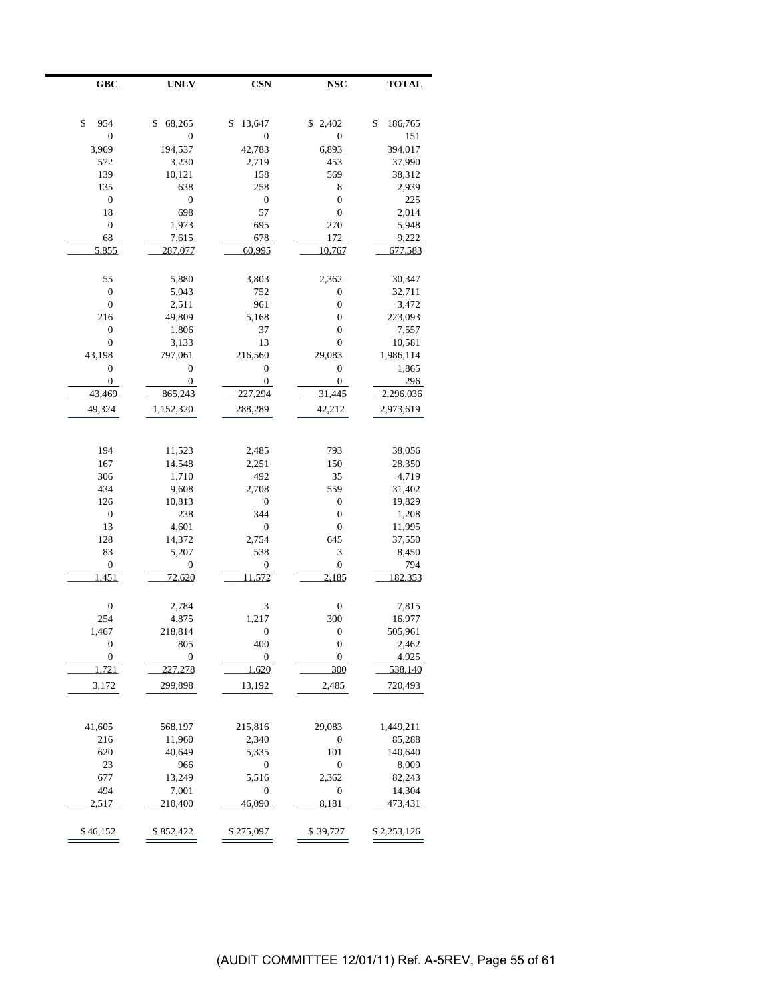| GBC                           | <b>UNLV</b>                      | <b>CSN</b>                       | <b>NSC</b>       | <b>TOTAL</b>         |
|-------------------------------|----------------------------------|----------------------------------|------------------|----------------------|
|                               |                                  |                                  |                  |                      |
|                               |                                  |                                  |                  |                      |
| \$<br>954<br>$\boldsymbol{0}$ | 68,265<br>\$<br>$\boldsymbol{0}$ | \$<br>13,647<br>$\boldsymbol{0}$ | \$2,402<br>0     | \$<br>186,765<br>151 |
| 3,969                         | 194,537                          | 42,783                           | 6,893            | 394,017              |
| 572                           | 3,230                            | 2,719                            | 453              | 37,990               |
| 139                           | 10,121                           | 158                              | 569              | 38,312               |
| 135                           | 638                              | 258                              | 8                | 2,939                |
| $\boldsymbol{0}$              | $\boldsymbol{0}$                 | $\boldsymbol{0}$                 | 0                | 225                  |
| 18                            | 698                              | 57                               | $\boldsymbol{0}$ | 2,014                |
| $\boldsymbol{0}$              | 1,973                            | 695<br>678                       | 270              | 5,948<br>9,222       |
| 68<br>5,855                   | 7,615<br>287,077                 | 60,995                           | 172<br>10,767    | 677,583              |
|                               |                                  |                                  |                  |                      |
| 55                            | 5,880                            | 3,803                            | 2,362            | 30,347               |
| $\boldsymbol{0}$              | 5,043                            | 752                              | 0                | 32,711               |
| $\boldsymbol{0}$              | 2,511                            | 961                              | 0                | 3,472                |
| 216                           | 49,809                           | 5,168                            | $\boldsymbol{0}$ | 223,093              |
| 0                             | 1,806                            | 37                               | $\boldsymbol{0}$ | 7,557                |
| $\boldsymbol{0}$              | 3,133                            | 13                               | $\boldsymbol{0}$ | 10,581               |
| 43,198                        | 797,061                          | 216,560                          | 29,083           | 1,986,114            |
| $\boldsymbol{0}$              | 0                                | $\boldsymbol{0}$                 | 0                | 1,865                |
| 0<br>43,469                   | 0<br>865,243                     | 0<br>227,294                     | 0<br>31,445      | 296<br>2,296,036     |
|                               |                                  |                                  |                  |                      |
| 49,324                        | 1,152,320                        | 288,289                          | 42,212           | 2,973,619            |
|                               |                                  |                                  |                  |                      |
| 194                           | 11,523                           | 2,485                            | 793              | 38,056               |
| 167                           | 14,548                           | 2,251                            | 150              | 28,350               |
| 306                           | 1,710                            | 492                              | 35               | 4,719                |
| 434                           | 9,608                            | 2,708                            | 559              | 31,402               |
| 126                           | 10,813                           | 0                                | 0                | 19,829               |
| $\boldsymbol{0}$              | 238                              | 344                              | $\boldsymbol{0}$ | 1,208                |
| 13                            | 4,601                            | 0                                | $\boldsymbol{0}$ | 11,995               |
| 128<br>83                     | 14,372                           | 2,754<br>538                     | 645<br>3         | 37,550               |
| $\boldsymbol{0}$              | 5,207<br>0                       | 0                                | 0                | 8,450<br>794         |
| 1,451                         | 72,620                           | 11,572                           | 2,185            | 182,353              |
|                               |                                  |                                  |                  |                      |
| $\boldsymbol{0}$              | 2,784                            | 3                                | 0                | 7,815                |
| 254                           | 4,875                            | 1,217                            | 300              | 16,977               |
| 1,467                         | 218,814                          | 0                                | $\boldsymbol{0}$ | 505,961              |
| $\boldsymbol{0}$              | 805                              | 400                              | $\boldsymbol{0}$ | 2,462                |
| $\boldsymbol{0}$              | $\boldsymbol{0}$                 | 0                                | $\boldsymbol{0}$ | 4,925                |
| 1,721                         | 227,278                          | 1,620                            | 300              | 538,140              |
| 3,172                         | 299,898                          | 13,192                           | 2,485            | 720,493              |
|                               |                                  |                                  |                  |                      |
| 41,605                        | 568,197                          | 215,816                          | 29,083           | 1,449,211            |
| 216                           | 11,960                           | 2,340                            | 0                | 85,288               |
| 620                           | 40,649                           | 5,335                            | 101              | 140,640              |
| 23                            | 966                              | $\boldsymbol{0}$                 | $\boldsymbol{0}$ | 8,009                |
| 677                           | 13,249                           | 5,516                            | 2,362            | 82,243               |
| 494                           | 7,001                            | 0                                | 0                | 14,304               |
| 2,517                         | 210,400                          | 46,090                           | 8,181            | 473,431              |
|                               |                                  |                                  |                  |                      |
| \$46,152                      | \$852,422                        | \$275,097                        | \$39,727         | \$2,253,126          |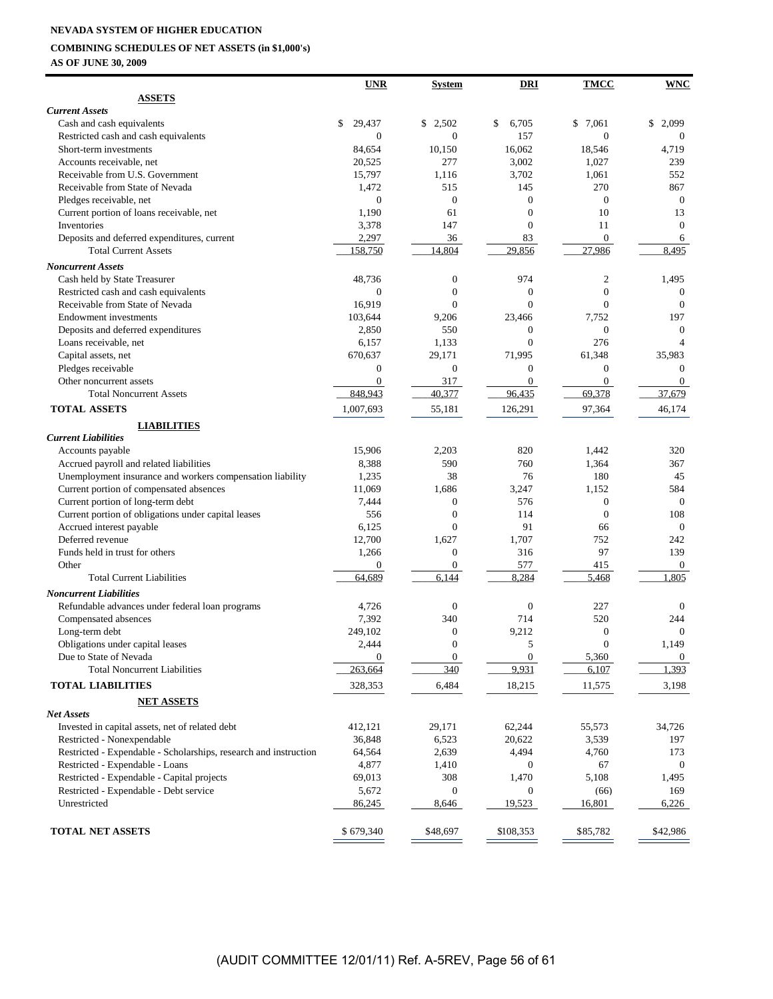#### **COMBINING SCHEDULES OF NET ASSETS (in \$1,000's)**

**AS OF JUNE 30, 2009**

|                                                                  | <b>UNR</b>       | <b>System</b>    | <b>DRI</b>       | <b>TMCC</b>      | <b>WNC</b>       |
|------------------------------------------------------------------|------------------|------------------|------------------|------------------|------------------|
| <b>ASSETS</b>                                                    |                  |                  |                  |                  |                  |
| <b>Current Assets</b>                                            |                  |                  |                  |                  |                  |
| Cash and cash equivalents                                        | \$<br>29,437     | \$2,502          | \$<br>6,705      | \$<br>7,061      | 2,099<br>\$      |
| Restricted cash and cash equivalents                             | $\mathbf{0}$     | $\mathbf{0}$     | 157              | $\mathbf{0}$     | $\mathbf{0}$     |
| Short-term investments                                           | 84,654           | 10,150           | 16,062           | 18,546           | 4,719            |
| Accounts receivable, net                                         | 20,525           | 277              | 3,002            | 1,027            | 239              |
| Receivable from U.S. Government                                  | 15,797           | 1,116            | 3,702            | 1,061            | 552              |
| Receivable from State of Nevada                                  | 1,472            | 515              | 145              | 270              | 867              |
| Pledges receivable, net                                          | $\overline{0}$   | $\mathbf{0}$     | $\mathbf{0}$     | $\mathbf{0}$     | $\theta$         |
| Current portion of loans receivable, net                         | 1,190            | 61               | $\mathbf{0}$     | 10               | 13               |
| Inventories                                                      | 3,378            | 147              | $\boldsymbol{0}$ | 11               | $\mathbf{0}$     |
| Deposits and deferred expenditures, current                      | 2,297            | 36               | 83               | $\overline{0}$   | 6                |
| <b>Total Current Assets</b>                                      | 158,750          | 14,804           | 29,856           | 27,986           | 8,495            |
| <b>Noncurrent Assets</b>                                         |                  |                  |                  |                  |                  |
| Cash held by State Treasurer                                     | 48,736           | $\boldsymbol{0}$ | 974              | 2                | 1,495            |
| Restricted cash and cash equivalents                             | $\mathbf{0}$     | $\mathbf{0}$     | $\boldsymbol{0}$ | $\overline{0}$   | $\mathbf{0}$     |
| Receivable from State of Nevada                                  | 16,919           | $\mathbf{0}$     | $\mathbf{0}$     | $\mathbf{0}$     | $\mathbf{0}$     |
| Endowment investments                                            | 103,644          | 9,206            | 23,466           | 7,752            | 197              |
| Deposits and deferred expenditures                               | 2,850            | 550              | $\boldsymbol{0}$ | $\mathbf{0}$     | $\mathbf{0}$     |
| Loans receivable, net                                            | 6,157            | 1,133            | $\overline{0}$   | 276              | $\overline{4}$   |
| Capital assets, net                                              | 670,637          | 29,171           | 71,995           | 61,348           | 35,983           |
| Pledges receivable                                               | $\boldsymbol{0}$ | $\boldsymbol{0}$ | $\boldsymbol{0}$ | $\mathbf{0}$     | $\mathbf{0}$     |
| Other noncurrent assets                                          | $\boldsymbol{0}$ | 317              | $\boldsymbol{0}$ | $\boldsymbol{0}$ | $\boldsymbol{0}$ |
| <b>Total Noncurrent Assets</b>                                   | 848,943          | 40,377           | 96,435           | 69,378           | 37,679           |
| <b>TOTAL ASSETS</b>                                              | 1,007,693        | 55,181           | 126,291          | 97,364           | 46,174           |
| <b>LIABILITIES</b>                                               |                  |                  |                  |                  |                  |
| <b>Current Liabilities</b>                                       |                  |                  |                  |                  |                  |
| Accounts payable                                                 | 15,906           | 2,203            | 820              | 1,442            | 320              |
| Accrued payroll and related liabilities                          | 8,388            | 590              | 760              | 1,364            | 367              |
| Unemployment insurance and workers compensation liability        | 1,235            | 38               | 76               | 180              | 45               |
| Current portion of compensated absences                          | 11,069           | 1,686            | 3,247            | 1,152            | 584              |
| Current portion of long-term debt                                | 7,444            | $\mathbf{0}$     | 576              | $\boldsymbol{0}$ | $\theta$         |
| Current portion of obligations under capital leases              | 556              | $\mathbf{0}$     | 114              | $\Omega$         | 108              |
| Accrued interest payable                                         | 6,125            | $\overline{0}$   | 91               | 66               | $\mathbf{0}$     |
| Deferred revenue                                                 | 12,700           | 1,627            | 1,707            | 752              | 242              |
| Funds held in trust for others                                   | 1,266            | $\mathbf{0}$     | 316              | 97               | 139              |
| Other                                                            | $\boldsymbol{0}$ | $\boldsymbol{0}$ | 577              | 415              | $\boldsymbol{0}$ |
| <b>Total Current Liabilities</b>                                 | 64,689           | 6,144            | 8,284            | 5,468            | 1,805            |
| <b>Noncurrent Liabilities</b>                                    |                  |                  |                  |                  |                  |
| Refundable advances under federal loan programs                  | 4,726            | $\mathbf{0}$     | $\boldsymbol{0}$ | 227              | $\mathbf{0}$     |
| Compensated absences                                             | 7,392            | 340              | 714              | 520              | 244              |
| Long-term debt                                                   | 249,102          | $\mathbf{0}$     | 9,212            | $\mathbf{0}$     | $\mathbf{0}$     |
| Obligations under capital leases                                 | 2,444            | $\boldsymbol{0}$ | 5                | $\boldsymbol{0}$ | 1,149            |
| Due to State of Nevada                                           | $\boldsymbol{0}$ | $\boldsymbol{0}$ | $\boldsymbol{0}$ | 5,360            | $\mathbf{0}$     |
| <b>Total Noncurrent Liabilities</b>                              | 263,664          | 340              | 9,931            | 6,107            | 1,393            |
| <b>TOTAL LIABILITIES</b>                                         | 328,353          | 6,484            | 18,215           | 11,575           | 3,198            |
| <b>NET ASSETS</b>                                                |                  |                  |                  |                  |                  |
| <b>Net Assets</b>                                                |                  |                  |                  |                  |                  |
| Invested in capital assets, net of related debt                  | 412,121          | 29,171           | 62,244           | 55,573           | 34,726           |
| Restricted - Nonexpendable                                       | 36,848           | 6,523            | 20,622           | 3,539            | 197              |
| Restricted - Expendable - Scholarships, research and instruction | 64,564           | 2,639            | 4,494            | 4,760            | 173              |
| Restricted - Expendable - Loans                                  | 4,877            | 1,410            | $\boldsymbol{0}$ | 67               | $\mathbf{0}$     |
| Restricted - Expendable - Capital projects                       | 69,013           | 308              | 1,470            | 5,108            | 1,495            |
| Restricted - Expendable - Debt service                           | 5,672            | $\boldsymbol{0}$ | $\boldsymbol{0}$ | (66)             | 169              |
| Unrestricted                                                     | 86,245           | 8,646            | 19,523           | 16,801           | 6,226            |
| <b>TOTAL NET ASSETS</b>                                          | \$679,340        | \$48,697         | \$108,353        | \$85,782         | \$42,986         |
|                                                                  |                  |                  |                  |                  |                  |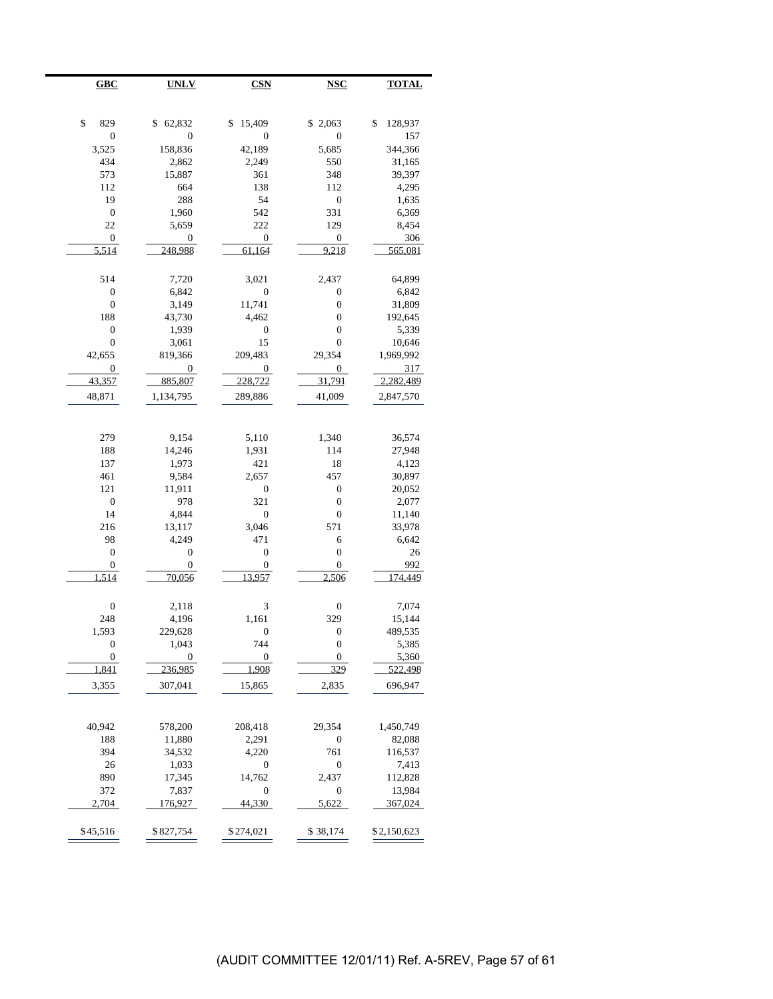| GBC                           | <b>UNLV</b>                      | <b>CSN</b>        | <b>NSC</b>                  | <b>TOTAL</b>         |
|-------------------------------|----------------------------------|-------------------|-----------------------------|----------------------|
|                               |                                  |                   |                             |                      |
|                               |                                  |                   |                             |                      |
| \$<br>829<br>$\boldsymbol{0}$ | \$<br>62,832<br>$\boldsymbol{0}$ | \$<br>15,409<br>0 | \$2,063<br>$\boldsymbol{0}$ | \$<br>128,937<br>157 |
| 3,525                         | 158,836                          | 42,189            | 5,685                       | 344,366              |
| 434                           | 2,862                            | 2,249             | 550                         | 31,165               |
| 573                           | 15,887                           | 361               | 348                         | 39,397               |
| 112                           | 664                              | 138               | 112                         | 4,295                |
| 19                            | 288                              | 54                | $\boldsymbol{0}$            | 1,635                |
| $\boldsymbol{0}$              | 1,960                            | 542               | 331                         | 6,369                |
| 22                            | 5,659                            | 222               | 129                         | 8,454                |
| 0                             | 0                                | 0                 | 0                           | 306                  |
| 5,514                         | 248,988                          | 61,164            | 9,218                       | 565,081              |
| 514                           | 7,720                            | 3,021             | 2,437                       | 64,899               |
| 0                             | 6,842                            | 0                 | 0                           | 6,842                |
| $\boldsymbol{0}$              | 3,149                            | 11,741            | 0                           | 31,809               |
| 188                           | 43,730                           | 4,462             | 0                           | 192,645              |
| $\boldsymbol{0}$              | 1,939                            | $\boldsymbol{0}$  | 0                           | 5,339                |
| $\boldsymbol{0}$              | 3,061                            | 15                | 0                           | 10,646               |
| 42,655                        | 819,366                          | 209,483           | 29,354                      | 1,969,992            |
| 0                             | 0                                | 0                 | 0                           | 317                  |
| 43,357                        | 885,807                          | 228,722           | 31,791                      | 2,282,489            |
| 48,871                        | 1,134,795                        | 289,886           | 41,009                      | 2,847,570            |
|                               |                                  |                   |                             |                      |
| 279                           | 9,154                            | 5,110             | 1,340                       | 36,574               |
| 188                           | 14,246                           | 1,931             | 114                         | 27,948               |
| 137                           | 1,973                            | 421               | 18                          | 4,123                |
| 461                           | 9,584                            | 2,657             | 457                         | 30,897               |
| 121                           | 11,911                           | $\boldsymbol{0}$  | 0                           | 20,052               |
| $\boldsymbol{0}$              | 978                              | 321               | $\boldsymbol{0}$            | 2,077                |
| 14                            | 4,844                            | $\boldsymbol{0}$  | $\boldsymbol{0}$            | 11,140               |
| 216                           | 13,117                           | 3,046             | 571                         | 33,978               |
| 98                            | 4,249                            | 471               | 6                           | 6,642                |
| $\boldsymbol{0}$              | 0                                | 0                 | $\boldsymbol{0}$            | 26                   |
| 0                             | 0                                | 0                 | 0                           | 992                  |
| 1,514                         | 70,056                           | 13,957            | 2,506                       | 174,449              |
| $\boldsymbol{0}$              | 2,118                            | 3                 | $\boldsymbol{0}$            | 7,074                |
| 248                           | 4,196                            | 1,161             | 329                         | 15,144               |
| 1,593                         | 229,628                          | 0                 | 0                           | 489,535              |
| $\boldsymbol{0}$              | 1,043                            | 744               | $\boldsymbol{0}$            | 5,385                |
| 0                             | 0                                | 0                 | $\boldsymbol{0}$            | 5,360                |
| 1,841                         | 236,985                          | 1,908             | 329                         | 522,498              |
| 3,355                         | 307,041                          | 15,865            | 2,835                       | 696,947              |
|                               |                                  |                   |                             |                      |
| 40,942                        | 578,200                          | 208,418           | 29,354                      | 1,450,749            |
| 188                           | 11,880                           | 2,291             | $\boldsymbol{0}$            | 82,088               |
| 394                           | 34,532                           | 4,220             | 761                         | 116,537              |
| 26                            | 1,033                            | $\boldsymbol{0}$  | $\boldsymbol{0}$            | 7,413                |
| 890                           | 17,345                           | 14,762            | 2,437                       | 112,828              |
| 372                           | 7,837                            | 0                 | $\boldsymbol{0}$            | 13,984               |
| 2,704                         | 176,927                          | 44,330            | 5,622                       | 367,024              |
| \$45,516                      | \$827,754                        | \$274,021         | \$38,174                    | \$2,150,623          |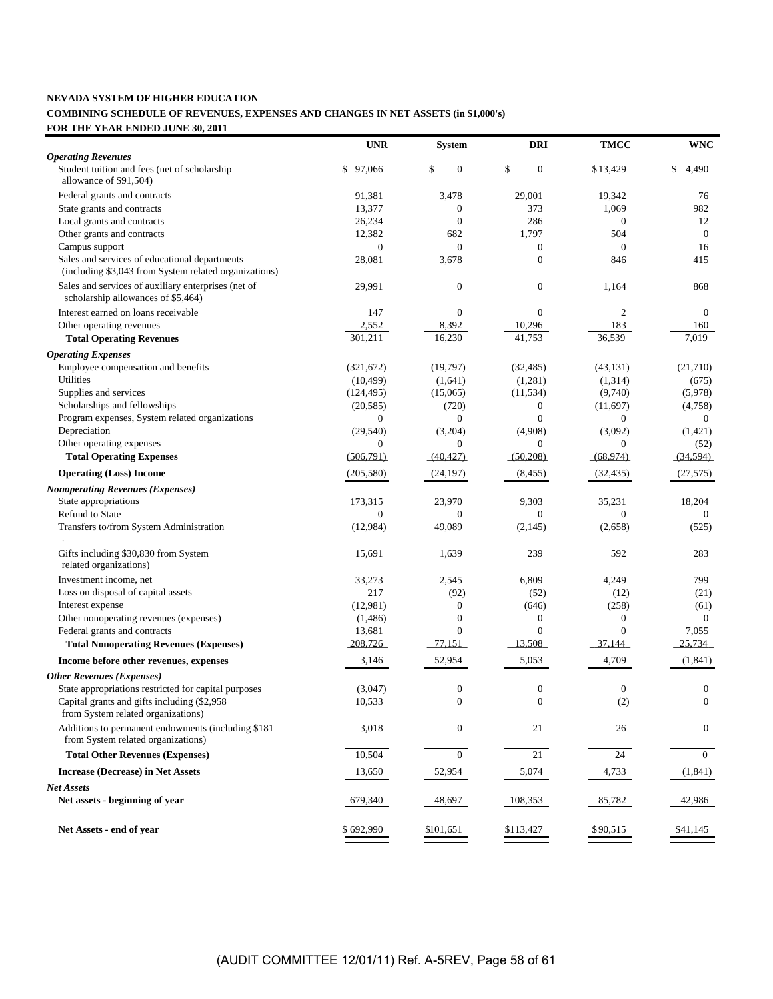#### **NEVADA SYSTEM OF HIGHER EDUCATION COMBINING SCHEDULE OF REVENUES, EXPENSES AND CHANGES IN NET ASSETS (in \$1,000's) FOR THE YEAR ENDED JUNE 30, 2011**

| ON THE TEAN ENDED JONE 50, 2011                                                                        | <b>UNR</b>       | <b>System</b>      | <b>DRI</b>         | <b>TMCC</b>      | <b>WNC</b>       |
|--------------------------------------------------------------------------------------------------------|------------------|--------------------|--------------------|------------------|------------------|
| <b>Operating Revenues</b>                                                                              |                  |                    |                    |                  |                  |
| Student tuition and fees (net of scholarship<br>allowance of \$91,504)                                 | \$97,066         | \$<br>$\mathbf{0}$ | \$<br>$\mathbf{0}$ | \$13,429         | \$<br>4,490      |
| Federal grants and contracts                                                                           | 91,381           | 3,478              | 29,001             | 19,342           | 76               |
| State grants and contracts                                                                             | 13,377           | $\theta$           | 373                | 1,069            | 982              |
| Local grants and contracts                                                                             | 26,234           | $\mathbf{0}$       | 286                | $\mathbf{0}$     | 12               |
| Other grants and contracts                                                                             | 12,382           | 682                | 1,797              | 504              | $\boldsymbol{0}$ |
| Campus support                                                                                         | $\mathbf{0}$     | $\Omega$           | $\overline{0}$     | $\Omega$         | 16               |
| Sales and services of educational departments<br>(including \$3,043 from System related organizations) | 28,081           | 3,678              | $\mathbf{0}$       | 846              | 415              |
| Sales and services of auxiliary enterprises (net of<br>scholarship allowances of \$5,464)              | 29,991           | $\boldsymbol{0}$   | $\boldsymbol{0}$   | 1,164            | 868              |
| Interest earned on loans receivable                                                                    | 147              | $\boldsymbol{0}$   | $\boldsymbol{0}$   | $\overline{c}$   | $\boldsymbol{0}$ |
| Other operating revenues                                                                               | 2,552            | 8,392              | 10,296             | 183              | 160              |
| <b>Total Operating Revenues</b>                                                                        | 301,211          | 16,230             | 41,753             | 36,539           | 7,019            |
| <b>Operating Expenses</b>                                                                              |                  |                    |                    |                  |                  |
| Employee compensation and benefits                                                                     | (321,672)        | (19,797)           | (32, 485)          | (43, 131)        | (21,710)         |
| Utilities                                                                                              | (10, 499)        | (1,641)            | (1,281)            | (1,314)          | (675)            |
| Supplies and services                                                                                  | (124, 495)       | (15,065)           | (11, 534)          | (9,740)          | (5,978)          |
| Scholarships and fellowships                                                                           | (20, 585)        | (720)              | $\overline{0}$     | (11,697)         | (4,758)          |
| Program expenses, System related organizations                                                         | $\boldsymbol{0}$ | $\mathbf{0}$       | $\overline{0}$     | $\boldsymbol{0}$ | $\mathbf{0}$     |
| Depreciation                                                                                           | (29, 540)        | (3,204)            | (4,908)            | (3,092)          | (1, 421)         |
| Other operating expenses                                                                               | $\overline{0}$   | $\overline{0}$     | $\overline{0}$     | 0                | (52)             |
| <b>Total Operating Expenses</b>                                                                        | (506, 791)       | (40, 427)          | (50, 208)          | (68, 974)        | (34,594)         |
| <b>Operating (Loss) Income</b>                                                                         | (205, 580)       | (24, 197)          | (8, 455)           | (32, 435)        | (27, 575)        |
| <b>Nonoperating Revenues (Expenses)</b>                                                                |                  |                    |                    |                  |                  |
| State appropriations                                                                                   | 173,315          | 23,970             | 9,303              | 35,231           | 18,204           |
| Refund to State                                                                                        | $\mathbf{0}$     | $\Omega$           | $\overline{0}$     | $\Omega$         | $\Omega$         |
| Transfers to/from System Administration                                                                | (12,984)         | 49,089             | (2, 145)           | (2,658)          | (525)            |
| Gifts including \$30,830 from System<br>related organizations)                                         | 15,691           | 1,639              | 239                | 592              | 283              |
| Investment income, net                                                                                 | 33,273           | 2,545              | 6,809              | 4,249            | 799              |
| Loss on disposal of capital assets                                                                     | 217              | (92)               | (52)               | (12)             | (21)             |
| Interest expense                                                                                       | (12,981)         | $\boldsymbol{0}$   | (646)              | (258)            | (61)             |
| Other nonoperating revenues (expenses)                                                                 | (1,486)          | $\mathbf{0}$       | $\boldsymbol{0}$   | $\overline{0}$   | $\mathbf{0}$     |
| Federal grants and contracts                                                                           | 13,681           | $\boldsymbol{0}$   | 0                  | $\overline{0}$   | 7,055            |
| <b>Total Nonoperating Revenues (Expenses)</b>                                                          | 208,726          | 77,151             | 13,508             | 37,144           | 25.734           |
| Income before other revenues, expenses                                                                 | 3,146            | 52,954             | 5,053              | 4,709            | (1, 841)         |
| <b>Other Revenues (Expenses)</b>                                                                       |                  |                    |                    |                  |                  |
| State appropriations restricted for capital purposes                                                   | (3,047)          | $\boldsymbol{0}$   | $\boldsymbol{0}$   | $\boldsymbol{0}$ | $\boldsymbol{0}$ |
| Capital grants and gifts including (\$2,958<br>from System related organizations)                      | 10,533           | $\boldsymbol{0}$   | $\boldsymbol{0}$   | (2)              | $\boldsymbol{0}$ |
| Additions to permanent endowments (including \$181)<br>from System related organizations)              | 3,018            | $\boldsymbol{0}$   | 21                 | 26               | $\mathbf{0}$     |
| <b>Total Other Revenues (Expenses)</b>                                                                 | 10,504           | $\overline{0}$     | 21                 | 24               | $\overline{0}$   |
| <b>Increase (Decrease) in Net Assets</b>                                                               | 13,650           | 52,954             | 5,074              | 4,733            | (1, 841)         |
| <b>Net Assets</b>                                                                                      |                  |                    |                    |                  |                  |
| Net assets - beginning of year                                                                         | 679,340          | 48,697             | 108,353            | 85,782           | 42,986           |
| Net Assets - end of year                                                                               | \$ 692,990       | \$101,651          | \$113,427          | \$90,515         | \$41,145         |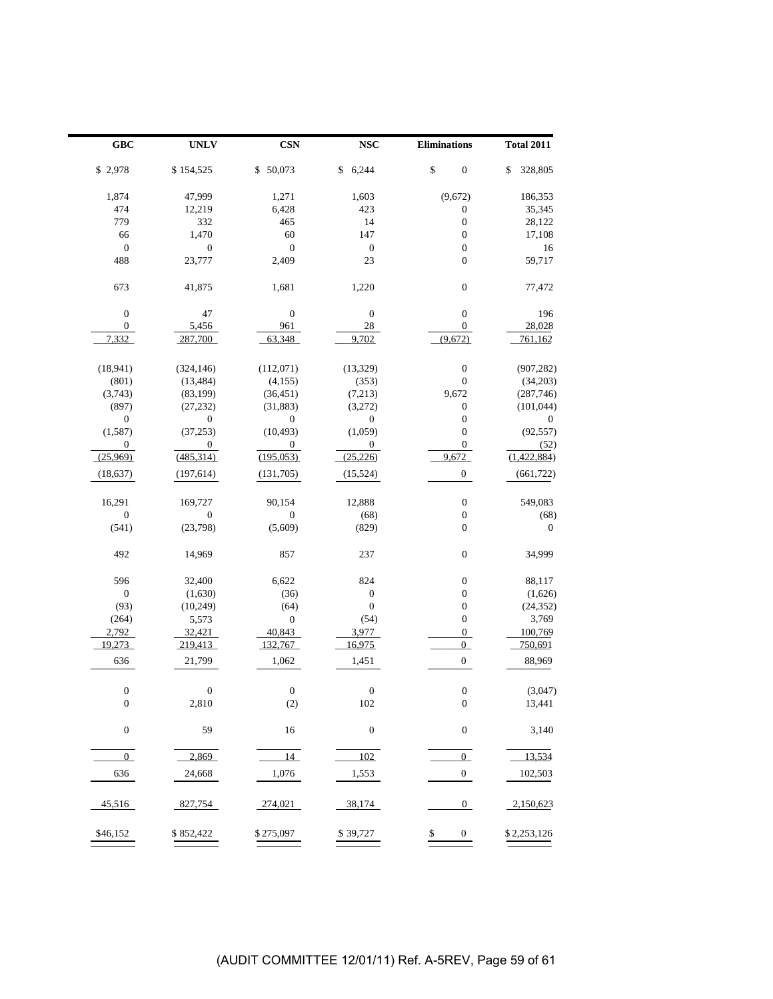| <b>GBC</b>       | <b>UNLV</b>      | <b>CSN</b>       | $_{\rm NSC}$     | <b>Eliminations</b>    | <b>Total 2011</b> |
|------------------|------------------|------------------|------------------|------------------------|-------------------|
|                  |                  |                  |                  |                        |                   |
| \$2,978          | \$154,525        | \$50,073         | \$6,244          | \$<br>$\boldsymbol{0}$ | \$<br>328,805     |
| 1,874            | 47,999           | 1,271            | 1,603            | (9,672)                | 186,353           |
| 474              | 12,219           | 6,428            | 423              | $\boldsymbol{0}$       | 35,345            |
| 779              | 332              | 465              | 14               | $\boldsymbol{0}$       | 28,122            |
| 66               | 1,470            | 60               | 147              | $\boldsymbol{0}$       | 17,108            |
| $\boldsymbol{0}$ | $\boldsymbol{0}$ | $\boldsymbol{0}$ | $\boldsymbol{0}$ | $\boldsymbol{0}$       | 16                |
| 488              | 23,777           | 2,409            | 23               | $\boldsymbol{0}$       | 59,717            |
| 673              | 41,875           | 1,681            | 1,220            | $\boldsymbol{0}$       | 77,472            |
| $\boldsymbol{0}$ | 47               | $\boldsymbol{0}$ | $\boldsymbol{0}$ | $\boldsymbol{0}$       | 196               |
| $\overline{0}$   | 5,456            | 961              | 28               | $\overline{0}$         | 28,028            |
| 7,332            | 287,700          | 63,348           | 9,702            | (9,672)                | 761,162           |
| (18,941)         | (324, 146)       | (112,071)        | (13, 329)        | $\boldsymbol{0}$       | (907, 282)        |
| (801)            | (13, 484)        | (4,155)          | (353)            | $\boldsymbol{0}$       | (34,203)          |
| (3,743)          | (83, 199)        | (36, 451)        | (7,213)          | 9,672                  | (287,746)         |
| (897)            | (27, 232)        | (31, 883)        | (3,272)          | $\boldsymbol{0}$       | (101, 044)        |
| $\boldsymbol{0}$ | $\boldsymbol{0}$ | $\boldsymbol{0}$ | $\boldsymbol{0}$ | $\boldsymbol{0}$       | $\boldsymbol{0}$  |
| (1, 587)         | (37, 253)        | (10, 493)        | (1,059)          | $\boldsymbol{0}$       | (92, 557)         |
| $\overline{0}$   | $\overline{0}$   | $\overline{0}$   | $\overline{0}$   | $\overline{0}$         | (52)              |
| (25,969)         | (485, 314)       | (195, 053)       | (25, 226)        | 9,672                  | (1,422,884)       |
| (18, 637)        | (197, 614)       | (131,705)        | (15, 524)        | $\boldsymbol{0}$       | (661, 722)        |
| 16,291           | 169,727          | 90,154           | 12,888           | $\boldsymbol{0}$       | 549,083           |
| $\boldsymbol{0}$ | $\boldsymbol{0}$ | $\boldsymbol{0}$ | (68)             | $\boldsymbol{0}$       | (68)              |
| (541)            | (23,798)         | (5,609)          | (829)            | $\boldsymbol{0}$       | $\mathbf{0}$      |
| 492              | 14,969           | 857              | 237              | $\boldsymbol{0}$       | 34,999            |
| 596              | 32,400           | 6,622            | 824              | $\boldsymbol{0}$       | 88,117            |
| $\boldsymbol{0}$ | (1,630)          | (36)             | $\boldsymbol{0}$ | $\boldsymbol{0}$       | (1,626)           |
| (93)             | (10, 249)        | (64)             | $\boldsymbol{0}$ | $\boldsymbol{0}$       | (24, 352)         |
| (264)            | 5,573            | $\mathbf{0}$     | (54)             | $\boldsymbol{0}$       | 3,769             |
| 2,792            | 32,421           | 40,843           | 3,977            | $\boldsymbol{0}$       | 100,769           |
| 19,273           | 219,413          | 132,767          | 16,975           | $\overline{0}$         | 750,691           |
| 636              | 21,799           | 1,062            | 1,451            | $\mathbf{0}$           | 88,969            |
| $\boldsymbol{0}$ | $\boldsymbol{0}$ | $\boldsymbol{0}$ | $\boldsymbol{0}$ | $\boldsymbol{0}$       | (3,047)           |
| $\boldsymbol{0}$ | 2,810            | (2)              | 102              | $\boldsymbol{0}$       | 13,441            |
| $\boldsymbol{0}$ | 59               | 16               | $\boldsymbol{0}$ | $\boldsymbol{0}$       | 3,140             |
| $\overline{0}$   | 2,869            | 14               | 102              | $\overline{0}$         | 13,534            |
| 636              | 24,668           | 1,076            | 1,553            | $\boldsymbol{0}$       | 102,503           |
| 45,516           | 827,754          | 274,021          | 38,174           | $\overline{0}$         | 2,150,623         |
| \$46,152         | \$852,422        | \$275,097        | \$39,727         | $\boldsymbol{0}$<br>\$ | \$2,253,126       |
|                  |                  |                  |                  |                        |                   |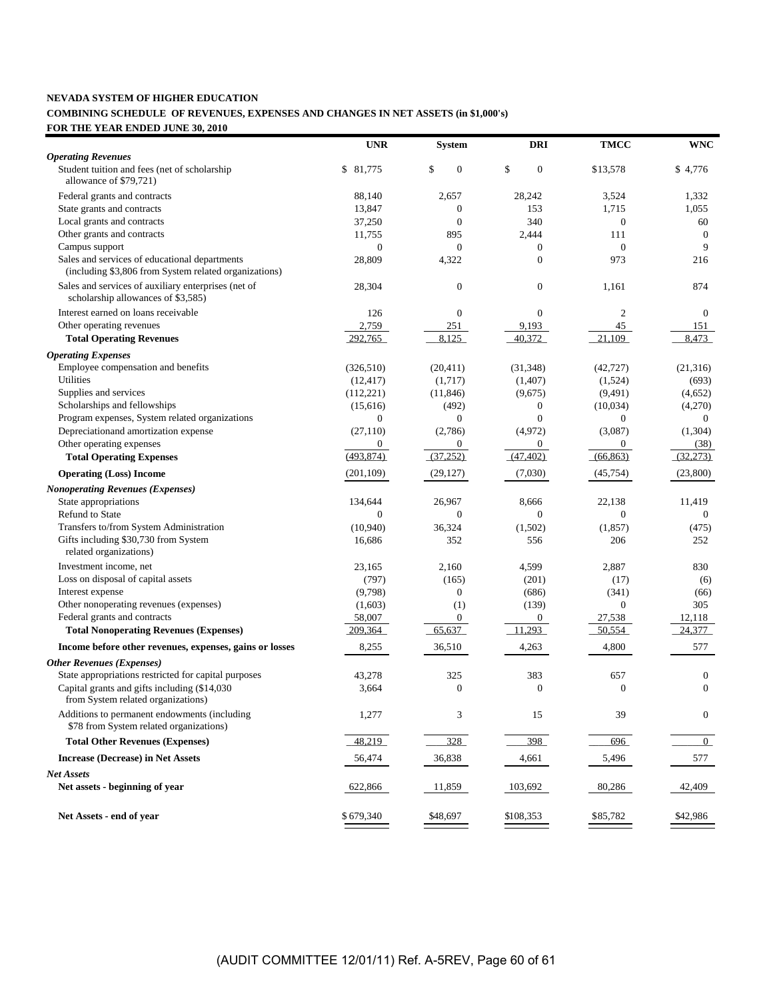#### **NEVADA SYSTEM OF HIGHER EDUCATION COMBINING SCHEDULE OF REVENUES, EXPENSES AND CHANGES IN NET ASSETS (in \$1,000's)**

#### **FOR THE YEAR ENDED JUNE 30, 2010**

| on The Temp of the control of 1970                                                                     | <b>UNR</b>     | <b>System</b>      | <b>DRI</b>         | <b>TMCC</b>    | <b>WNC</b>       |
|--------------------------------------------------------------------------------------------------------|----------------|--------------------|--------------------|----------------|------------------|
| <b>Operating Revenues</b>                                                                              |                |                    |                    |                |                  |
| Student tuition and fees (net of scholarship<br>allowance of \$79,721)                                 | \$ 81,775      | \$<br>$\mathbf{0}$ | \$<br>$\mathbf{0}$ | \$13,578       | \$4,776          |
| Federal grants and contracts                                                                           | 88,140         | 2,657              | 28,242             | 3,524          | 1,332            |
| State grants and contracts                                                                             | 13,847         | $\mathbf{0}$       | 153                | 1,715          | 1,055            |
| Local grants and contracts                                                                             | 37,250         | $\boldsymbol{0}$   | 340                | $\theta$       | 60               |
| Other grants and contracts                                                                             | 11,755         | 895                | 2,444              | 111            | $\mathbf{0}$     |
| Campus support                                                                                         | $\overline{0}$ | $\mathbf{0}$       | $\mathbf{0}$       | $\overline{0}$ | 9                |
| Sales and services of educational departments<br>(including \$3,806 from System related organizations) | 28,809         | 4,322              | $\mathbf{0}$       | 973            | 216              |
| Sales and services of auxiliary enterprises (net of<br>scholarship allowances of \$3,585)              | 28,304         | $\mathbf{0}$       | $\boldsymbol{0}$   | 1,161          | 874              |
| Interest earned on loans receivable                                                                    | 126            | $\mathbf{0}$       | $\boldsymbol{0}$   | $\overline{2}$ | $\mathbf{0}$     |
| Other operating revenues                                                                               | 2,759          | 251                | 9,193              | 45             | 151              |
| <b>Total Operating Revenues</b>                                                                        | 292,765        | 8,125              | 40,372             | 21,109         | 8,473            |
| <b>Operating Expenses</b>                                                                              |                |                    |                    |                |                  |
| Employee compensation and benefits                                                                     | (326, 510)     | (20, 411)          | (31, 348)          | (42, 727)      | (21,316)         |
| Utilities                                                                                              | (12, 417)      | (1,717)            | (1,407)            | (1,524)        | (693)            |
| Supplies and services                                                                                  | (112, 221)     | (11, 846)          | (9,675)            | (9, 491)       | (4,652)          |
| Scholarships and fellowships                                                                           | (15,616)       | (492)              | $\boldsymbol{0}$   | (10,034)       | (4,270)          |
| Program expenses, System related organizations                                                         | $\mathbf{0}$   | $\mathbf{0}$       | $\overline{0}$     | $\mathbf{0}$   | $\mathbf{0}$     |
| Depreciationand amortization expense                                                                   | (27, 110)      | (2,786)            | (4,972)            | (3,087)        | (1,304)          |
| Other operating expenses                                                                               | $\overline{0}$ | $\boldsymbol{0}$   | 0                  | 0              | (38)             |
| <b>Total Operating Expenses</b>                                                                        | (493, 874)     | (37, 252)          | (47, 402)          | (66, 863)      | (32,273)         |
| <b>Operating (Loss) Income</b>                                                                         | (201, 109)     | (29, 127)          | (7,030)            | (45, 754)      | (23,800)         |
| <b>Nonoperating Revenues (Expenses)</b>                                                                |                |                    |                    |                |                  |
| State appropriations                                                                                   | 134,644        | 26,967             | 8,666              | 22,138         | 11,419           |
| Refund to State                                                                                        | $\mathbf{0}$   | $\mathbf{0}$       | $\mathbf{0}$       | $\mathbf{0}$   | $\Omega$         |
| Transfers to/from System Administration                                                                | (10,940)       | 36,324             | (1,502)            | (1, 857)       | (475)            |
| Gifts including \$30,730 from System<br>related organizations)                                         | 16,686         | 352                | 556                | 206            | 252              |
| Investment income, net                                                                                 | 23,165         | 2,160              | 4,599              | 2,887          | 830              |
| Loss on disposal of capital assets                                                                     | (797)          | (165)              | (201)              | (17)           | (6)              |
| Interest expense                                                                                       | (9,798)        | $\boldsymbol{0}$   | (686)              | (341)          | (66)             |
| Other nonoperating revenues (expenses)                                                                 | (1,603)        | (1)                | (139)              | $\mathbf{0}$   | 305              |
| Federal grants and contracts                                                                           | 58,007         | $\mathbf{0}$       | 0                  | 27,538         | 12,118           |
| <b>Total Nonoperating Revenues (Expenses)</b>                                                          | 209,364        | 65,637             | 11,293             | 50,554         | 24,377           |
| Income before other revenues, expenses, gains or losses                                                | 8,255          | 36,510             | 4,263              | 4,800          | 577              |
| <b>Other Revenues (Expenses)</b>                                                                       |                |                    |                    |                |                  |
| State appropriations restricted for capital purposes                                                   | 43,278         | 325                | 383                | 657            | $\boldsymbol{0}$ |
| Capital grants and gifts including (\$14,030<br>from System related organizations)                     | 3,664          | $\boldsymbol{0}$   | $\boldsymbol{0}$   | $\mathbf{0}$   | $\mathbf{0}$     |
| Additions to permanent endowments (including)<br>\$78 from System related organizations)               | 1,277          | 3                  | 15                 | 39             | $\boldsymbol{0}$ |
| <b>Total Other Revenues (Expenses)</b>                                                                 | 48,219         | 328                | 398                | 696            | 0                |
| <b>Increase (Decrease) in Net Assets</b>                                                               | 56,474         | 36,838             | 4,661              | 5,496          | 577              |
| <b>Net Assets</b>                                                                                      |                |                    |                    |                |                  |
| Net assets - beginning of year                                                                         | 622,866        | 11,859             | 103,692            | 80,286         | 42,409           |
| Net Assets - end of year                                                                               | \$679,340      | \$48,697           | \$108,353          | \$85,782       | \$42,986         |